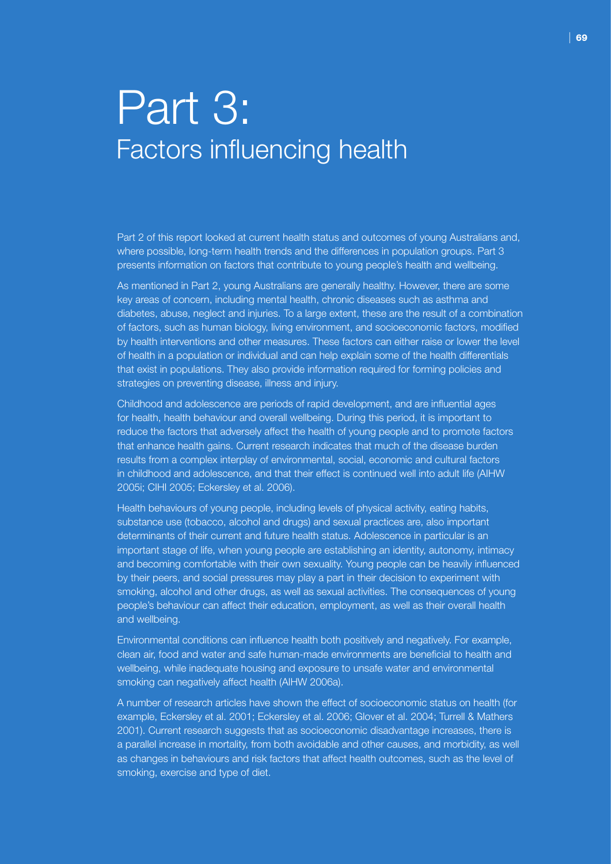# Part 3: Factors influencing health

Part 2 of this report looked at current health status and outcomes of young Australians and, where possible, long-term health trends and the differences in population groups. Part 3 presents information on factors that contribute to young people's health and wellbeing.

As mentioned in Part 2, young Australians are generally healthy. However, there are some key areas of concern, including mental health, chronic diseases such as asthma and diabetes, abuse, neglect and injuries. To a large extent, these are the result of a combination of factors, such as human biology, living environment, and socioeconomic factors, modified by health interventions and other measures. These factors can either raise or lower the level of health in a population or individual and can help explain some of the health differentials that exist in populations. They also provide information required for forming policies and strategies on preventing disease, illness and injury.

Childhood and adolescence are periods of rapid development, and are influential ages for health, health behaviour and overall wellbeing. During this period, it is important to reduce the factors that adversely affect the health of young people and to promote factors that enhance health gains. Current research indicates that much of the disease burden results from a complex interplay of environmental, social, economic and cultural factors in childhood and adolescence, and that their effect is continued well into adult life (AIHW 2005i; CIHI 2005; Eckersley et al. 2006).

Health behaviours of young people, including levels of physical activity, eating habits, substance use (tobacco, alcohol and drugs) and sexual practices are, also important determinants of their current and future health status. Adolescence in particular is an important stage of life, when young people are establishing an identity, autonomy, intimacy and becoming comfortable with their own sexuality. Young people can be heavily influenced by their peers, and social pressures may play a part in their decision to experiment with smoking, alcohol and other drugs, as well as sexual activities. The consequences of young people's behaviour can affect their education, employment, as well as their overall health and wellbeing.

Environmental conditions can influence health both positively and negatively. For example, clean air, food and water and safe human-made environments are beneficial to health and wellbeing, while inadequate housing and exposure to unsafe water and environmental smoking can negatively affect health (AIHW 2006a).

A number of research articles have shown the effect of socioeconomic status on health (for example, Eckersley et al. 2001; Eckersley et al. 2006; Glover et al. 2004; Turrell & Mathers 2001). Current research suggests that as socioeconomic disadvantage increases, there is a parallel increase in mortality, from both avoidable and other causes, and morbidity, as well as changes in behaviours and risk factors that affect health outcomes, such as the level of smoking, exercise and type of diet.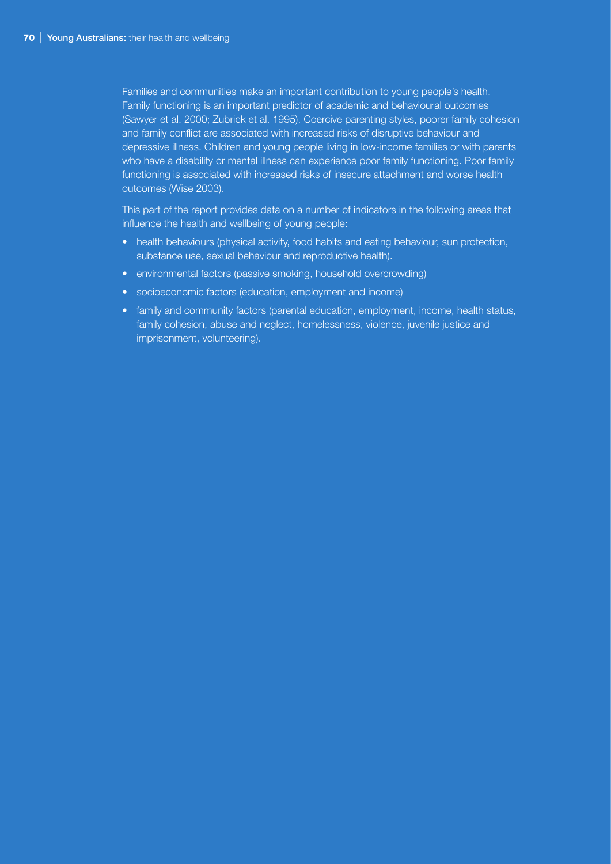Families and communities make an important contribution to young people's health. Family functioning is an important predictor of academic and behavioural outcomes (Sawyer et al. 2000; Zubrick et al. 1995). Coercive parenting styles, poorer family cohesion and family conflict are associated with increased risks of disruptive behaviour and depressive illness. Children and young people living in low-income families or with parents who have a disability or mental illness can experience poor family functioning. Poor family functioning is associated with increased risks of insecure attachment and worse health outcomes (Wise 2003).

This part of the report provides data on a number of indicators in the following areas that influence the health and wellbeing of young people:

- health behaviours (physical activity, food habits and eating behaviour, sun protection, substance use, sexual behaviour and reproductive health).
- environmental factors (passive smoking, household overcrowding)
- socioeconomic factors (education, employment and income)
- family and community factors (parental education, employment, income, health status, family cohesion, abuse and neglect, homelessness, violence, juvenile justice and imprisonment, volunteering).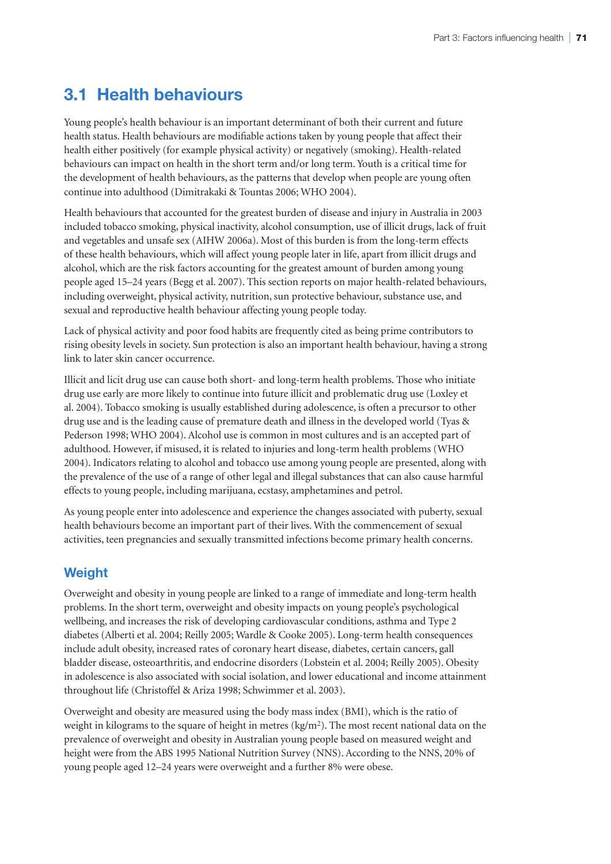## **3.1 Health behaviours**

Young people's health behaviour is an important determinant of both their current and future health status. Health behaviours are modifiable actions taken by young people that affect their health either positively (for example physical activity) or negatively (smoking). Health-related behaviours can impact on health in the short term and/or long term. Youth is a critical time for the development of health behaviours, as the patterns that develop when people are young often continue into adulthood (Dimitrakaki & Tountas 2006; WHO 2004).

Health behaviours that accounted for the greatest burden of disease and injury in Australia in 2003 included tobacco smoking, physical inactivity, alcohol consumption, use of illicit drugs, lack of fruit and vegetables and unsafe sex (AIHW 2006a). Most of this burden is from the long-term effects of these health behaviours, which will affect young people later in life, apart from illicit drugs and alcohol, which are the risk factors accounting for the greatest amount of burden among young people aged 15–24 years (Begg et al. 2007). This section reports on major health-related behaviours, including overweight, physical activity, nutrition, sun protective behaviour, substance use, and sexual and reproductive health behaviour affecting young people today.

Lack of physical activity and poor food habits are frequently cited as being prime contributors to rising obesity levels in society. Sun protection is also an important health behaviour, having a strong link to later skin cancer occurrence.

Illicit and licit drug use can cause both short- and long-term health problems. Those who initiate drug use early are more likely to continue into future illicit and problematic drug use (Loxley et al. 2004). Tobacco smoking is usually established during adolescence, is often a precursor to other drug use and is the leading cause of premature death and illness in the developed world (Tyas & Pederson 1998; WHO 2004). Alcohol use is common in most cultures and is an accepted part of adulthood. However, if misused, it is related to injuries and long-term health problems (WHO 2004). Indicators relating to alcohol and tobacco use among young people are presented, along with the prevalence of the use of a range of other legal and illegal substances that can also cause harmful effects to young people, including marijuana, ecstasy, amphetamines and petrol.

As young people enter into adolescence and experience the changes associated with puberty, sexual health behaviours become an important part of their lives. With the commencement of sexual activities, teen pregnancies and sexually transmitted infections become primary health concerns.

## **Weight**

Overweight and obesity in young people are linked to a range of immediate and long-term health problems. In the short term, overweight and obesity impacts on young people's psychological wellbeing, and increases the risk of developing cardiovascular conditions, asthma and Type 2 diabetes (Alberti et al. 2004; Reilly 2005; Wardle & Cooke 2005). Long-term health consequences include adult obesity, increased rates of coronary heart disease, diabetes, certain cancers, gall bladder disease, osteoarthritis, and endocrine disorders (Lobstein et al. 2004; Reilly 2005). Obesity in adolescence is also associated with social isolation, and lower educational and income attainment throughout life (Christoffel & Ariza 1998; Schwimmer et al. 2003).

Overweight and obesity are measured using the body mass index (BMI), which is the ratio of weight in kilograms to the square of height in metres  $(kg/m<sup>2</sup>)$ . The most recent national data on the prevalence of overweight and obesity in Australian young people based on measured weight and height were from the ABS 1995 National Nutrition Survey (NNS). According to the NNS, 20% of young people aged 12–24 years were overweight and a further 8% were obese.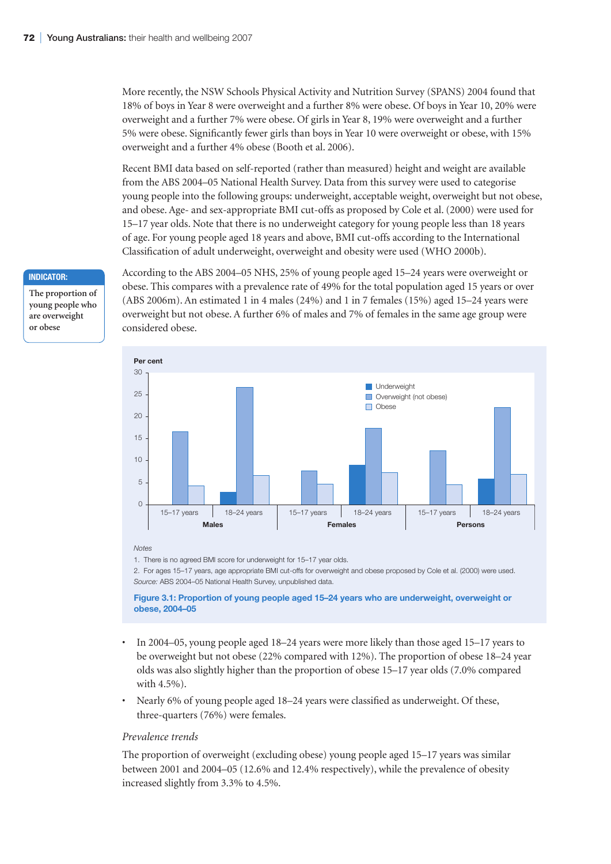More recently, the NSW Schools Physical Activity and Nutrition Survey (SPANS) 2004 found that 18% of boys in Year 8 were overweight and a further 8% were obese. Of boys in Year 10, 20% were overweight and a further 7% were obese. Of girls in Year 8, 19% were overweight and a further 5% were obese. Significantly fewer girls than boys in Year 10 were overweight or obese, with 15% overweight and a further 4% obese (Booth et al. 2006).

Recent BMI data based on self-reported (rather than measured) height and weight are available from the ABS 2004–05 National Health Survey. Data from this survey were used to categorise young people into the following groups: underweight, acceptable weight, overweight but not obese, and obese. Age- and sex-appropriate BMI cut-offs as proposed by Cole et al. (2000) were used for 15–17 year olds. Note that there is no underweight category for young people less than 18 years of age. For young people aged 18 years and above, BMI cut-offs according to the International Classification of adult underweight, overweight and obesity were used (WHO 2000b).

According to the ABS 2004–05 NHS, 25% of young people aged 15–24 years were overweight or obese. This compares with a prevalence rate of 49% for the total population aged 15 years or over (ABS 2006m). An estimated 1 in 4 males (24%) and 1 in 7 females (15%) aged 15–24 years were overweight but not obese. A further 6% of males and 7% of females in the same age group were considered obese.



#### *Notes*

1. There is no agreed BMI score for underweight for 15–17 year olds.

2. For ages 15–17 years, age appropriate BMI cut-offs for overweight and obese proposed by Cole et al. (2000) were used. *Source:* ABS 2004–05 National Health Survey, unpublished data.

**Figure 3.1: Proportion of young people aged 15–24 years who are underweight, overweight or obese, 2004–05**

- In 2004–05, young people aged 18–24 years were more likely than those aged 15–17 years to be overweight but not obese (22% compared with 12%). The proportion of obese 18–24 year olds was also slightly higher than the proportion of obese 15–17 year olds (7.0% compared with 4.5%).
- Nearly 6% of young people aged 18–24 years were classified as underweight. Of these, three-quarters (76%) were females.

#### *Prevalence trends*

The proportion of overweight (excluding obese) young people aged 15–17 years was similar between 2001 and 2004–05 (12.6% and 12.4% respectively), while the prevalence of obesity increased slightly from 3.3% to 4.5%.

#### **Indicator:**

**The proportion of young people who are overweight or obese**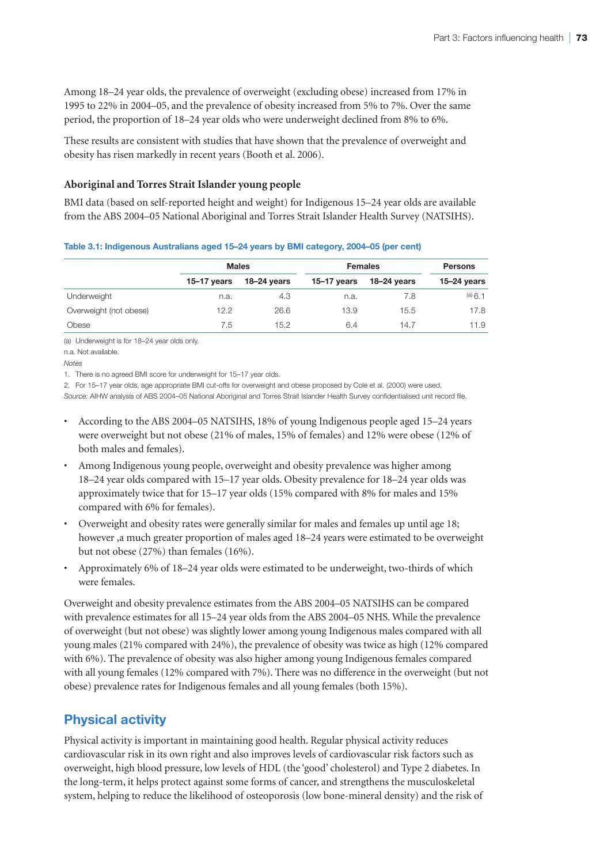Among 18–24 year olds, the prevalence of overweight (excluding obese) increased from 17% in 1995 to 22% in 2004–05, and the prevalence of obesity increased from 5% to 7%. Over the same period, the proportion of 18–24 year olds who were underweight declined from 8% to 6%.

These results are consistent with studies that have shown that the prevalence of overweight and obesity has risen markedly in recent years (Booth et al. 2006).

#### **Aboriginal and Torres Strait Islander young people**

BMI data (based on self-reported height and weight) for Indigenous 15–24 year olds are available from the ABS 2004–05 National Aboriginal and Torres Strait Islander Health Survey (NATSIHS).

|  |  |  | Table 3.1: Indigenous Australians aged 15–24 years by BMI category, 2004–05 (per cent) |  |
|--|--|--|----------------------------------------------------------------------------------------|--|
|  |  |  |                                                                                        |  |

|                        |                 | <b>Males</b>  |               | <b>Females</b> |             |  |
|------------------------|-----------------|---------------|---------------|----------------|-------------|--|
|                        | $15 - 17$ years | $18-24$ years | $15-17$ years | $18-24$ years  | 15–24 years |  |
| Underweight            | n.a.            | 4.3           | n.a.          | 7.8            | (a) 6.1     |  |
| Overweight (not obese) | 12.2            | 26.6          | 13.9          | 15.5           | 17.8        |  |
| Obese                  | 7.5             | 15.2          | 6.4           | 14.7           | 11.9        |  |

(a) Underweight is for 18–24 year olds only. n.a. Not available.

*Notes*

1. There is no agreed BMI score for underweight for 15–17 year olds.

2. For 15–17 year olds, age appropriate BMI cut-offs for overweight and obese proposed by Cole et al. (2000) were used.

*Source:* AIHW analysis of ABS 2004–05 National Aboriginal and Torres Strait Islander Health Survey confidentialised unit record file.

- According to the ABS 2004–05 NATSIHS, 18% of young Indigenous people aged 15–24 years were overweight but not obese (21% of males, 15% of females) and 12% were obese (12% of both males and females).
- Among Indigenous young people, overweight and obesity prevalence was higher among 18–24 year olds compared with 15–17 year olds. Obesity prevalence for 18–24 year olds was approximately twice that for 15–17 year olds (15% compared with 8% for males and 15% compared with 6% for females).
- Overweight and obesity rates were generally similar for males and females up until age 18; however ,a much greater proportion of males aged 18–24 years were estimated to be overweight but not obese (27%) than females (16%).
- Approximately 6% of 18–24 year olds were estimated to be underweight, two-thirds of which were females.

Overweight and obesity prevalence estimates from the ABS 2004–05 NATSIHS can be compared with prevalence estimates for all 15–24 year olds from the ABS 2004–05 NHS. While the prevalence of overweight (but not obese) was slightly lower among young Indigenous males compared with all young males (21% compared with 24%), the prevalence of obesity was twice as high (12% compared with 6%). The prevalence of obesity was also higher among young Indigenous females compared with all young females (12% compared with 7%). There was no difference in the overweight (but not obese) prevalence rates for Indigenous females and all young females (both 15%).

## **Physical activity**

Physical activity is important in maintaining good health. Regular physical activity reduces cardiovascular risk in its own right and also improves levels of cardiovascular risk factors such as overweight, high blood pressure, low levels of HDL (the 'good' cholesterol) and Type 2 diabetes. In the long-term, it helps protect against some forms of cancer, and strengthens the musculoskeletal system, helping to reduce the likelihood of osteoporosis (low bone-mineral density) and the risk of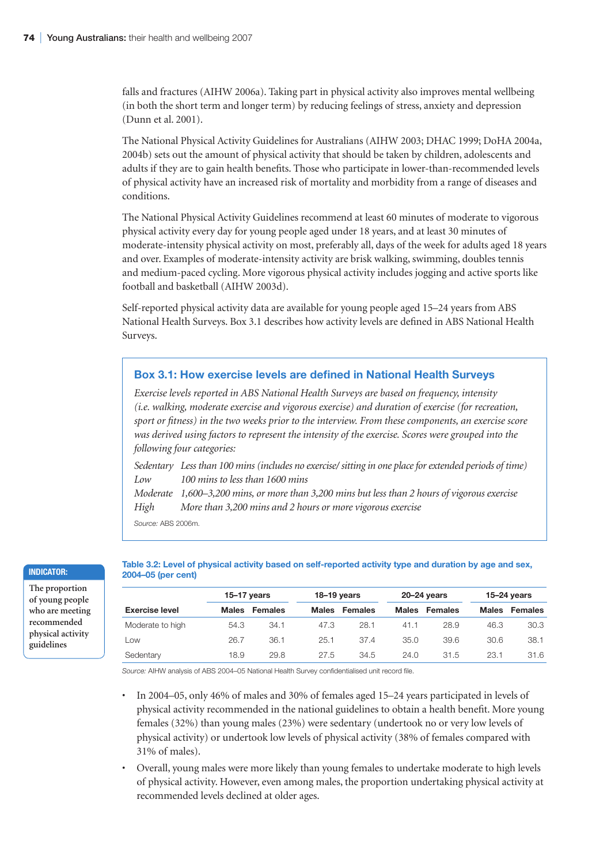falls and fractures (AIHW 2006a). Taking part in physical activity also improves mental wellbeing (in both the short term and longer term) by reducing feelings of stress, anxiety and depression (Dunn et al. 2001).

The National Physical Activity Guidelines for Australians (AIHW 2003; DHAC 1999; DoHA 2004a, 2004b) sets out the amount of physical activity that should be taken by children, adolescents and adults if they are to gain health benefits. Those who participate in lower-than-recommended levels of physical activity have an increased risk of mortality and morbidity from a range of diseases and conditions.

The National Physical Activity Guidelines recommend at least 60 minutes of moderate to vigorous physical activity every day for young people aged under 18 years, and at least 30 minutes of moderate-intensity physical activity on most, preferably all, days of the week for adults aged 18 years and over. Examples of moderate-intensity activity are brisk walking, swimming, doubles tennis and medium-paced cycling. More vigorous physical activity includes jogging and active sports like football and basketball (AIHW 2003d).

Self-reported physical activity data are available for young people aged 15–24 years from ABS National Health Surveys. Box 3.1 describes how activity levels are defined in ABS National Health Surveys.

#### **Box 3.1: How exercise levels are defined in National Health Surveys**

*Exercise levels reported in ABS National Health Surveys are based on frequency, intensity (i.e. walking, moderate exercise and vigorous exercise) and duration of exercise (for recreation, sport or fitness) in the two weeks prior to the interview. From these components, an exercise score was derived using factors to represent the intensity of the exercise. Scores were grouped into the following four categories:*

*Sedentary Less than 100 mins (includes no exercise/ sitting in one place for extended periods of time) Low 100 mins to less than 1600 mins Moderate 1,600–3,200 mins, or more than 3,200 mins but less than 2 hours of vigorous exercise High More than 3,200 mins and 2 hours or more vigorous exercise* 

*Source:* ABS 2006m.

#### **Table 3.2: Level of physical activity based on self-reported activity type and duration by age and sex, 2004–05 (per cent)**

|                       | $15-17$ years |                | $18-19$ years |         | $20 - 24$ years |         | $15-24$ years |         |
|-----------------------|---------------|----------------|---------------|---------|-----------------|---------|---------------|---------|
| <b>Exercise level</b> | <b>Males</b>  | <b>Females</b> | <b>Males</b>  | Females | <b>Males</b>    | Females | <b>Males</b>  | Females |
| Moderate to high      | 54.3          | 34.1           | 47.3          | 28.1    | 41.1            | 28.9    | 46.3          | 30.3    |
| Low                   | 26.7          | 36.1           | 25.1          | 37.4    | 35.0            | 39.6    | 30.6          | 38.1    |
| Sedentary             | 18.9          | 29.8           | 27.5          | 34.5    | 24.0            | 31.5    | 23.1          | 31.6    |

*Source:* AIHW analysis of ABS 2004–05 National Health Survey confidentialised unit record file.

- In 2004–05, only 46% of males and 30% of females aged 15–24 years participated in levels of physical activity recommended in the national guidelines to obtain a health benefit. More young females (32%) than young males (23%) were sedentary (undertook no or very low levels of physical activity) or undertook low levels of physical activity (38% of females compared with 31% of males).
- Overall, young males were more likely than young females to undertake moderate to high levels of physical activity. However, even among males, the proportion undertaking physical activity at recommended levels declined at older ages.

#### **Indicator:**

**The proportion of young people who are meeting recommended physical activity guidelines**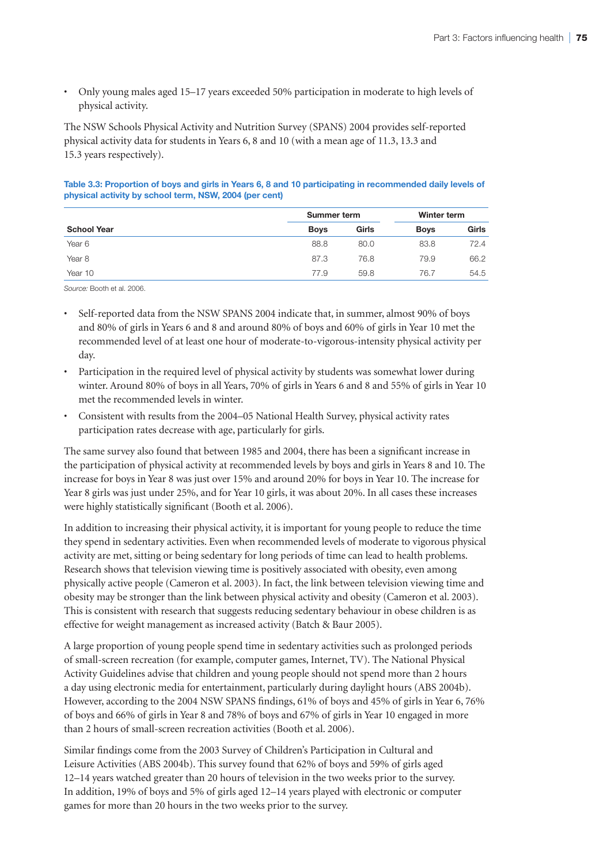• Only young males aged 15–17 years exceeded 50% participation in moderate to high levels of physical activity.

The NSW Schools Physical Activity and Nutrition Survey (SPANS) 2004 provides self-reported physical activity data for students in Years 6, 8 and 10 (with a mean age of 11.3, 13.3 and 15.3 years respectively).

|                    | Summer term |       | Winter term |       |
|--------------------|-------------|-------|-------------|-------|
| <b>School Year</b> | <b>Boys</b> | Girls | <b>Boys</b> | Girls |
| Year 6             | 88.8        | 80.0  | 83.8        | 72.4  |
| Year 8             | 87.3        | 76.8  | 79.9        | 66.2  |
| Year 10            | 77.9        | 59.8  | 76.7        | 54.5  |

#### **Table 3.3: Proportion of boys and girls in Years 6, 8 and 10 participating in recommended daily levels of physical activity by school term, NSW, 2004 (per cent)**

*Source:* Booth et al. 2006.

- Self-reported data from the NSW SPANS 2004 indicate that, in summer, almost 90% of boys and 80% of girls in Years 6 and 8 and around 80% of boys and 60% of girls in Year 10 met the recommended level of at least one hour of moderate-to-vigorous-intensity physical activity per day.
- Participation in the required level of physical activity by students was somewhat lower during winter. Around 80% of boys in all Years, 70% of girls in Years 6 and 8 and 55% of girls in Year 10 met the recommended levels in winter.
- Consistent with results from the 2004–05 National Health Survey, physical activity rates participation rates decrease with age, particularly for girls.

The same survey also found that between 1985 and 2004, there has been a significant increase in the participation of physical activity at recommended levels by boys and girls in Years 8 and 10. The increase for boys in Year 8 was just over 15% and around 20% for boys in Year 10. The increase for Year 8 girls was just under 25%, and for Year 10 girls, it was about 20%. In all cases these increases were highly statistically significant (Booth et al. 2006).

In addition to increasing their physical activity, it is important for young people to reduce the time they spend in sedentary activities. Even when recommended levels of moderate to vigorous physical activity are met, sitting or being sedentary for long periods of time can lead to health problems. Research shows that television viewing time is positively associated with obesity, even among physically active people (Cameron et al. 2003). In fact, the link between television viewing time and obesity may be stronger than the link between physical activity and obesity (Cameron et al. 2003). This is consistent with research that suggests reducing sedentary behaviour in obese children is as effective for weight management as increased activity (Batch & Baur 2005).

A large proportion of young people spend time in sedentary activities such as prolonged periods of small-screen recreation (for example, computer games, Internet, TV). The National Physical Activity Guidelines advise that children and young people should not spend more than 2 hours a day using electronic media for entertainment, particularly during daylight hours (ABS 2004b). However, according to the 2004 NSW SPANS findings, 61% of boys and 45% of girls in Year 6, 76% of boys and 66% of girls in Year 8 and 78% of boys and 67% of girls in Year 10 engaged in more than 2 hours of small-screen recreation activities (Booth et al. 2006).

Similar findings come from the 2003 Survey of Children's Participation in Cultural and Leisure Activities (ABS 2004b). This survey found that 62% of boys and 59% of girls aged 12–14 years watched greater than 20 hours of television in the two weeks prior to the survey. In addition, 19% of boys and 5% of girls aged 12–14 years played with electronic or computer games for more than 20 hours in the two weeks prior to the survey.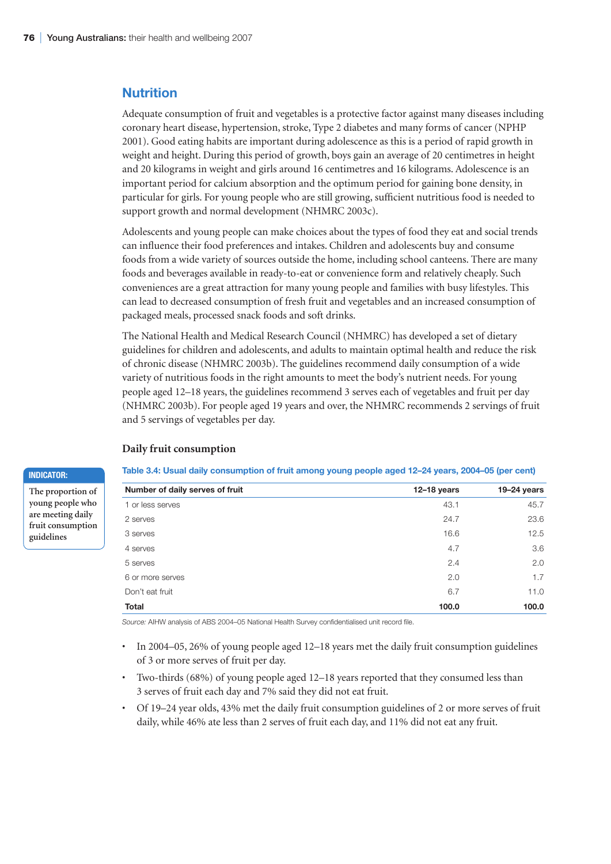## **Nutrition**

Adequate consumption of fruit and vegetables is a protective factor against many diseases including coronary heart disease, hypertension, stroke, Type 2 diabetes and many forms of cancer (NPHP 2001). Good eating habits are important during adolescence as this is a period of rapid growth in weight and height. During this period of growth, boys gain an average of 20 centimetres in height and 20 kilograms in weight and girls around 16 centimetres and 16 kilograms. Adolescence is an important period for calcium absorption and the optimum period for gaining bone density, in particular for girls. For young people who are still growing, sufficient nutritious food is needed to support growth and normal development (NHMRC 2003c).

Adolescents and young people can make choices about the types of food they eat and social trends can influence their food preferences and intakes. Children and adolescents buy and consume foods from a wide variety of sources outside the home, including school canteens. There are many foods and beverages available in ready-to-eat or convenience form and relatively cheaply. Such conveniences are a great attraction for many young people and families with busy lifestyles. This can lead to decreased consumption of fresh fruit and vegetables and an increased consumption of packaged meals, processed snack foods and soft drinks.

The National Health and Medical Research Council (NHMRC) has developed a set of dietary guidelines for children and adolescents, and adults to maintain optimal health and reduce the risk of chronic disease (NHMRC 2003b). The guidelines recommend daily consumption of a wide variety of nutritious foods in the right amounts to meet the body's nutrient needs. For young people aged 12–18 years, the guidelines recommend 3 serves each of vegetables and fruit per day (NHMRC 2003b). For people aged 19 years and over, the NHMRC recommends 2 servings of fruit and 5 servings of vegetables per day.

#### **Daily fruit consumption**

#### **Table 3.4: Usual daily consumption of fruit among young people aged 12–24 years, 2004–05 (per cent)**

| Number of daily serves of fruit | 12-18 years | $19-24$ years |
|---------------------------------|-------------|---------------|
| 1 or less serves                | 43.1        | 45.7          |
| 2 serves                        | 24.7        | 23.6          |
| 3 serves                        | 16.6        | 12.5          |
| 4 serves                        | 4.7         | 3.6           |
| 5 serves                        | 2.4         | 2.0           |
| 6 or more serves                | 2.0         | 1.7           |
| Don't eat fruit                 | 6.7         | 11.0          |
| <b>Total</b>                    | 100.0       | 100.0         |

*Source:* AIHW analysis of ABS 2004–05 National Health Survey confidentialised unit record file.

- In 2004–05, 26% of young people aged 12–18 years met the daily fruit consumption guidelines of 3 or more serves of fruit per day.
- Two-thirds (68%) of young people aged 12–18 years reported that they consumed less than 3 serves of fruit each day and 7% said they did not eat fruit.
- Of 19–24 year olds, 43% met the daily fruit consumption guidelines of 2 or more serves of fruit daily, while 46% ate less than 2 serves of fruit each day, and 11% did not eat any fruit.

**Indicator:**

**The proportion of young people who are meeting daily fruit consumption guidelines**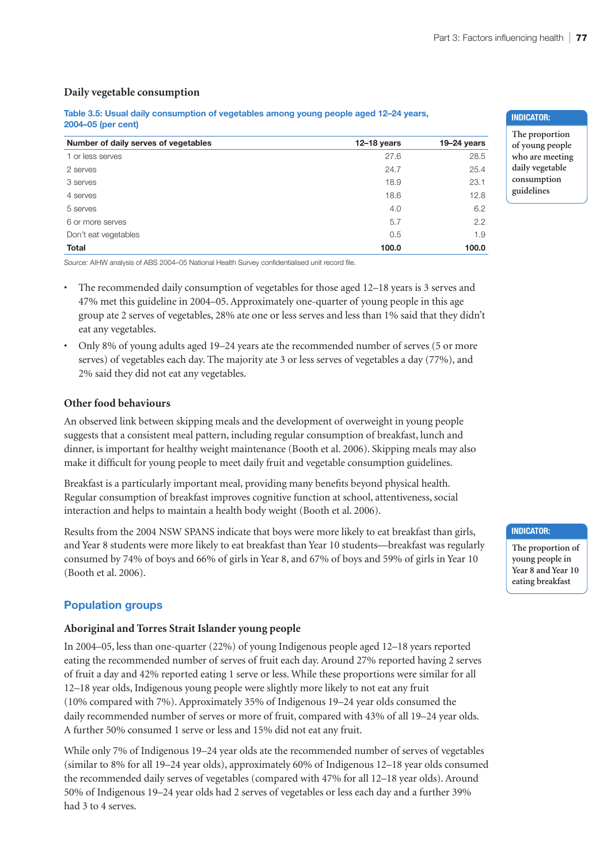#### **Daily vegetable consumption**

**Table 3.5: Usual daily consumption of vegetables among young people aged 12–24 years, 2004–05 (per cent)**

| Number of daily serves of vegetables | $12-18$ years | $19-24$ years |
|--------------------------------------|---------------|---------------|
| 1 or less serves                     | 27.6          | 28.5          |
| 2 serves                             | 24.7          | 25.4          |
| 3 serves                             | 18.9          | 23.1          |
| 4 serves                             | 18.6          | 12.8          |
| 5 serves                             | 4.0           | 6.2           |
| 6 or more serves                     | 5.7           | 2.2           |
| Don't eat vegetables                 | 0.5           | 1.9           |
| <b>Total</b>                         | 100.0         | 100.0         |

*Source:* AIHW analysis of ABS 2004–05 National Health Survey confidentialised unit record file.

- The recommended daily consumption of vegetables for those aged 12–18 years is 3 serves and 47% met this guideline in 2004–05. Approximately one-quarter of young people in this age group ate 2 serves of vegetables, 28% ate one or less serves and less than 1% said that they didn't eat any vegetables.
- Only 8% of young adults aged 19–24 years ate the recommended number of serves (5 or more serves) of vegetables each day. The majority ate 3 or less serves of vegetables a day (77%), and 2% said they did not eat any vegetables.

#### **Other food behaviours**

An observed link between skipping meals and the development of overweight in young people suggests that a consistent meal pattern, including regular consumption of breakfast, lunch and dinner, is important for healthy weight maintenance (Booth et al. 2006). Skipping meals may also make it difficult for young people to meet daily fruit and vegetable consumption guidelines.

Breakfast is a particularly important meal, providing many benefits beyond physical health. Regular consumption of breakfast improves cognitive function at school, attentiveness, social interaction and helps to maintain a health body weight (Booth et al. 2006).

Results from the 2004 NSW SPANS indicate that boys were more likely to eat breakfast than girls, and Year 8 students were more likely to eat breakfast than Year 10 students—breakfast was regularly consumed by 74% of boys and 66% of girls in Year 8, and 67% of boys and 59% of girls in Year 10 (Booth et al. 2006).

### **Population groups**

#### **Aboriginal and Torres Strait Islander young people**

In 2004–05, less than one-quarter (22%) of young Indigenous people aged 12–18 years reported eating the recommended number of serves of fruit each day. Around 27% reported having 2 serves of fruit a day and 42% reported eating 1 serve or less. While these proportions were similar for all 12–18 year olds, Indigenous young people were slightly more likely to not eat any fruit (10% compared with 7%). Approximately 35% of Indigenous 19–24 year olds consumed the daily recommended number of serves or more of fruit, compared with 43% of all 19–24 year olds. A further 50% consumed 1 serve or less and 15% did not eat any fruit.

While only 7% of Indigenous 19–24 year olds ate the recommended number of serves of vegetables (similar to 8% for all 19–24 year olds), approximately 60% of Indigenous 12–18 year olds consumed the recommended daily serves of vegetables (compared with 47% for all 12–18 year olds). Around 50% of Indigenous 19–24 year olds had 2 serves of vegetables or less each day and a further 39% had 3 to 4 serves.

**Indicator:**

**The proportion of young people who are meeting daily vegetable consumption guidelines**

#### **Indicator:**

**The proportion of young people in Year 8 and Year 10 eating breakfast**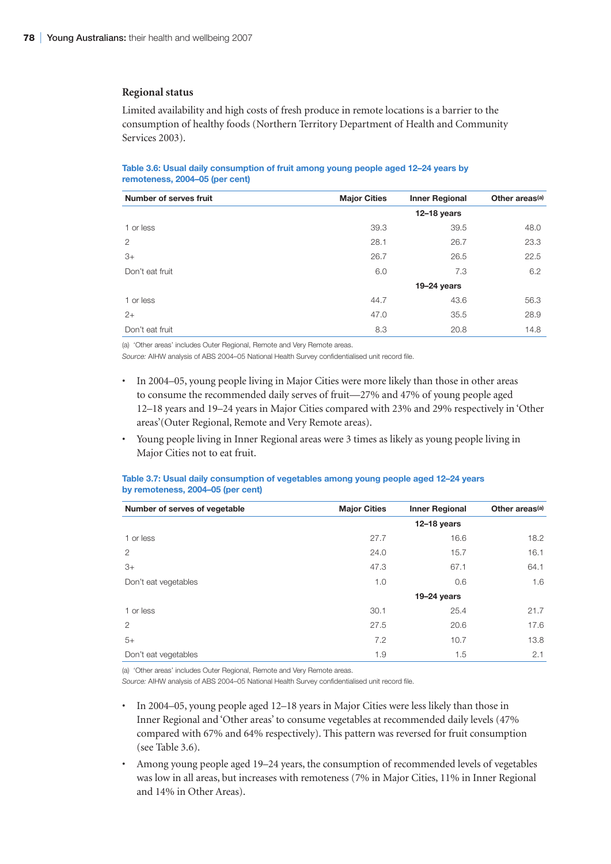#### **Regional status**

Limited availability and high costs of fresh produce in remote locations is a barrier to the consumption of healthy foods (Northern Territory Department of Health and Community Services 2003).

#### **Table 3.6: Usual daily consumption of fruit among young people aged 12–24 years by remoteness, 2004–05 (per cent)**

| Number of serves fruit | <b>Major Cities</b> | <b>Inner Regional</b> | Other areas <sup>(a)</sup> |
|------------------------|---------------------|-----------------------|----------------------------|
|                        |                     | $12 - 18$ years       |                            |
| 1 or less              | 39.3                | 39.5                  | 48.0                       |
| 2                      | 28.1                | 26.7                  | 23.3                       |
| $3+$                   | 26.7                | 26.5                  | 22.5                       |
| Don't eat fruit        | 6.0                 | 7.3                   | 6.2                        |
|                        |                     | $19-24$ years         |                            |
| 1 or less              | 44.7                | 43.6                  | 56.3                       |
| $2+$                   | 47.0                | 35.5                  | 28.9                       |
| Don't eat fruit        | 8.3                 | 20.8                  | 14.8                       |

(a) 'Other areas' includes Outer Regional, Remote and Very Remote areas.

*Source:* AIHW analysis of ABS 2004–05 National Health Survey confidentialised unit record file.

- In 2004–05, young people living in Major Cities were more likely than those in other areas to consume the recommended daily serves of fruit—27% and 47% of young people aged 12–18 years and 19–24 years in Major Cities compared with 23% and 29% respectively in 'Other areas'(Outer Regional, Remote and Very Remote areas).
- Young people living in Inner Regional areas were 3 times as likely as young people living in Major Cities not to eat fruit.

#### **Table 3.7: Usual daily consumption of vegetables among young people aged 12–24 years by remoteness, 2004–05 (per cent)**

| Number of serves of vegetable | <b>Major Cities</b> | <b>Inner Regional</b> | Other areas <sup>(a)</sup> |
|-------------------------------|---------------------|-----------------------|----------------------------|
|                               |                     | $12 - 18$ years       |                            |
| 1 or less                     | 27.7                | 16.6                  | 18.2                       |
| 2                             | 24.0                | 15.7                  | 16.1                       |
| $3+$                          | 47.3                | 67.1                  | 64.1                       |
| Don't eat vegetables          | 1.0                 | 0.6                   | 1.6                        |
|                               |                     | $19-24$ years         |                            |
| 1 or less                     | 30.1                | 25.4                  | 21.7                       |
| 2                             | 27.5                | 20.6                  | 17.6                       |
| $5+$                          | 7.2                 | 10.7                  | 13.8                       |
| Don't eat vegetables          | 1.9                 | 1.5                   | 2.1                        |

(a) 'Other areas' includes Outer Regional, Remote and Very Remote areas.

*Source:* AIHW analysis of ABS 2004–05 National Health Survey confidentialised unit record file.

- In 2004–05, young people aged 12–18 years in Major Cities were less likely than those in Inner Regional and 'Other areas' to consume vegetables at recommended daily levels (47% compared with 67% and 64% respectively). This pattern was reversed for fruit consumption (see Table 3.6).
- Among young people aged 19–24 years, the consumption of recommended levels of vegetables was low in all areas, but increases with remoteness (7% in Major Cities, 11% in Inner Regional and 14% in Other Areas).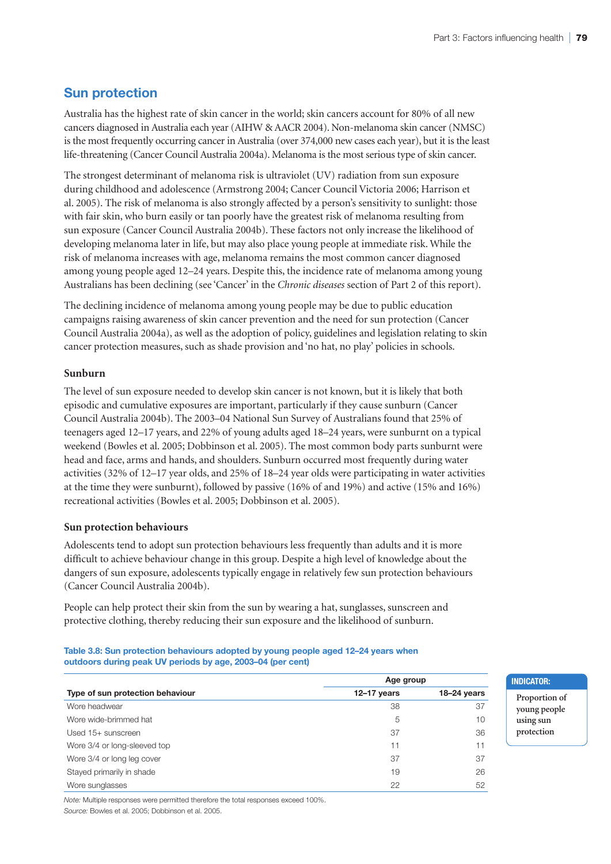## **Sun protection**

Australia has the highest rate of skin cancer in the world; skin cancers account for 80% of all new cancers diagnosed in Australia each year (AIHW & AACR 2004). Non-melanoma skin cancer (NMSC) is the most frequently occurring cancer in Australia (over 374,000 new cases each year), but it is the least life-threatening (Cancer Council Australia 2004a). Melanoma is the most serious type of skin cancer.

The strongest determinant of melanoma risk is ultraviolet (UV) radiation from sun exposure during childhood and adolescence (Armstrong 2004; Cancer Council Victoria 2006; Harrison et al. 2005). The risk of melanoma is also strongly affected by a person's sensitivity to sunlight: those with fair skin, who burn easily or tan poorly have the greatest risk of melanoma resulting from sun exposure (Cancer Council Australia 2004b). These factors not only increase the likelihood of developing melanoma later in life, but may also place young people at immediate risk. While the risk of melanoma increases with age, melanoma remains the most common cancer diagnosed among young people aged 12–24 years. Despite this, the incidence rate of melanoma among young Australians has been declining (see 'Cancer' in the *Chronic diseases* section of Part 2 of this report).

The declining incidence of melanoma among young people may be due to public education campaigns raising awareness of skin cancer prevention and the need for sun protection (Cancer Council Australia 2004a), as well as the adoption of policy, guidelines and legislation relating to skin cancer protection measures, such as shade provision and 'no hat, no play' policies in schools.

#### **Sunburn**

The level of sun exposure needed to develop skin cancer is not known, but it is likely that both episodic and cumulative exposures are important, particularly if they cause sunburn (Cancer Council Australia 2004b). The 2003–04 National Sun Survey of Australians found that 25% of teenagers aged 12–17 years, and 22% of young adults aged 18–24 years, were sunburnt on a typical weekend (Bowles et al. 2005; Dobbinson et al. 2005). The most common body parts sunburnt were head and face, arms and hands, and shoulders. Sunburn occurred most frequently during water activities (32% of 12–17 year olds, and 25% of 18–24 year olds were participating in water activities at the time they were sunburnt), followed by passive (16% of and 19%) and active (15% and 16%) recreational activities (Bowles et al. 2005; Dobbinson et al. 2005).

#### **Sun protection behaviours**

Adolescents tend to adopt sun protection behaviours less frequently than adults and it is more difficult to achieve behaviour change in this group. Despite a high level of knowledge about the dangers of sun exposure, adolescents typically engage in relatively few sun protection behaviours (Cancer Council Australia 2004b).

People can help protect their skin from the sun by wearing a hat, sunglasses, sunscreen and protective clothing, thereby reducing their sun exposure and the likelihood of sunburn.

#### **Table 3.8: Sun protection behaviours adopted by young people aged 12–24 years when outdoors during peak UV periods by age, 2003–04 (per cent)**

|                                  | Age group       |             |  |
|----------------------------------|-----------------|-------------|--|
| Type of sun protection behaviour | $12 - 17$ years | 18-24 years |  |
| Wore headwear                    | 38              | 37          |  |
| Wore wide-brimmed hat            | 5               | 10          |  |
| Used 15+ sunscreen               | 37              | 36          |  |
| Wore 3/4 or long-sleeved top     | 11              | 11          |  |
| Wore 3/4 or long leg cover       | 37              | 37          |  |
| Stayed primarily in shade        | 19              | 26          |  |
| Wore sunglasses                  | 22              | 52          |  |

**Indicator:**

**Proportion of young people using sun protection**

*Note:* Multiple responses were permitted therefore the total responses exceed 100%.

*Source:* Bowles et al. 2005; Dobbinson et al. 2005.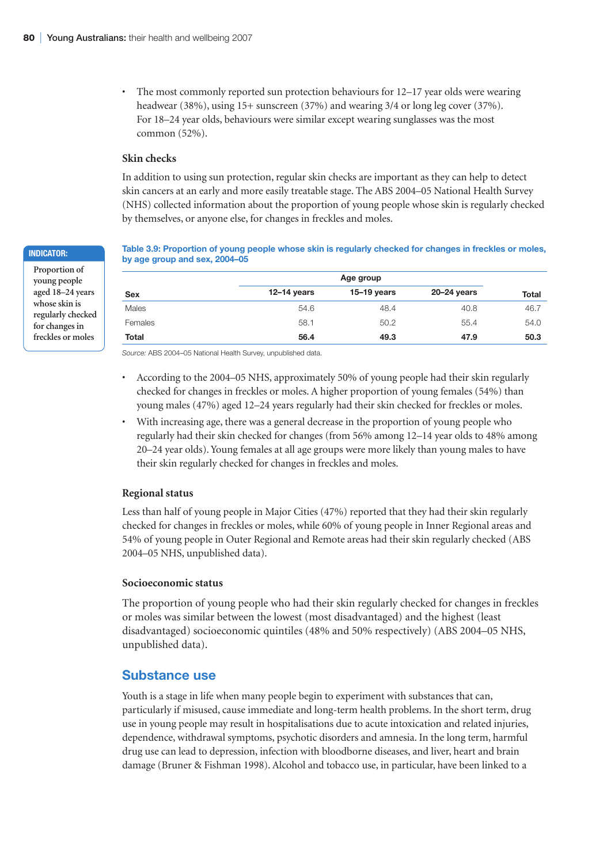• The most commonly reported sun protection behaviours for 12–17 year olds were wearing headwear (38%), using 15+ sunscreen (37%) and wearing 3/4 or long leg cover (37%). For 18–24 year olds, behaviours were similar except wearing sunglasses was the most common (52%).

#### **Skin checks**

In addition to using sun protection, regular skin checks are important as they can help to detect skin cancers at an early and more easily treatable stage. The ABS 2004–05 National Health Survey (NHS) collected information about the proportion of young people whose skin is regularly checked by themselves, or anyone else, for changes in freckles and moles.

#### **Table 3.9: Proportion of young people whose skin is regularly checked for changes in freckles or moles, by age group and sex, 2004–05**

|            | Age group       |               |                 |       |
|------------|-----------------|---------------|-----------------|-------|
| <b>Sex</b> | $12 - 14$ years | $15-19$ years | $20 - 24$ years | Total |
| Males      | 54.6            | 48.4          | 40.8            | 46.7  |
| Females    | 58.1            | 50.2          | 55.4            | 54.0  |
| Total      | 56.4            | 49.3          | 47.9            | 50.3  |

*Source:* ABS 2004–05 National Health Survey, unpublished data.

- According to the 2004–05 NHS, approximately 50% of young people had their skin regularly checked for changes in freckles or moles. A higher proportion of young females (54%) than young males (47%) aged 12–24 years regularly had their skin checked for freckles or moles.
- With increasing age, there was a general decrease in the proportion of young people who regularly had their skin checked for changes (from 56% among 12–14 year olds to 48% among 20–24 year olds). Young females at all age groups were more likely than young males to have their skin regularly checked for changes in freckles and moles.

#### **Regional status**

Less than half of young people in Major Cities (47%) reported that they had their skin regularly checked for changes in freckles or moles, while 60% of young people in Inner Regional areas and 54% of young people in Outer Regional and Remote areas had their skin regularly checked (ABS 2004–05 NHS, unpublished data).

#### **Socioeconomic status**

The proportion of young people who had their skin regularly checked for changes in freckles or moles was similar between the lowest (most disadvantaged) and the highest (least disadvantaged) socioeconomic quintiles (48% and 50% respectively) (ABS 2004–05 NHS, unpublished data).

#### **Substance use**

Youth is a stage in life when many people begin to experiment with substances that can, particularly if misused, cause immediate and long-term health problems. In the short term, drug use in young people may result in hospitalisations due to acute intoxication and related injuries, dependence, withdrawal symptoms, psychotic disorders and amnesia. In the long term, harmful drug use can lead to depression, infection with bloodborne diseases, and liver, heart and brain damage (Bruner & Fishman 1998). Alcohol and tobacco use, in particular, have been linked to a

#### **Indicator:**

**Proportion of young people aged 18–24 years whose skin is regularly checked for changes in freckles or moles**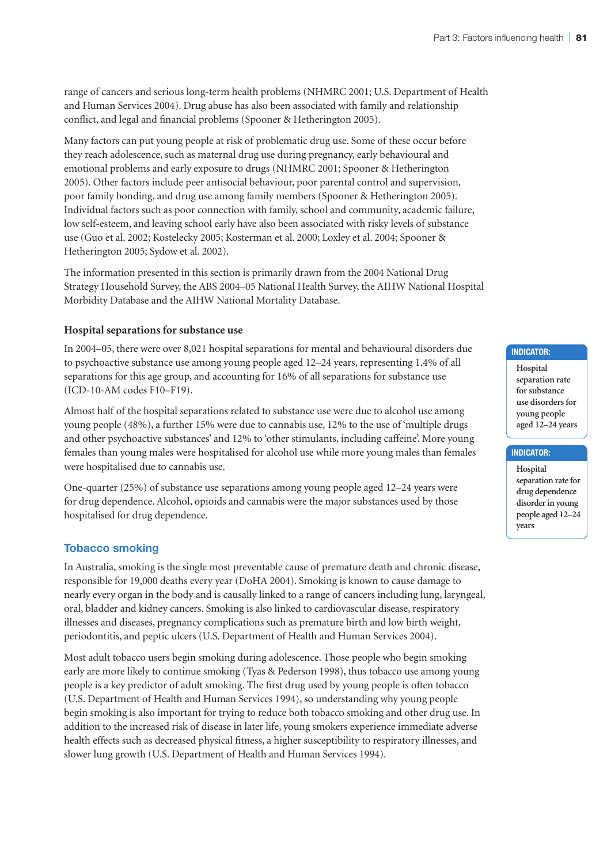range of cancers and serious long-term health problems (NHMRC 2001; U.S. Department of Health and Human Services 2004). Drug abuse has also been associated with family and relationship conflict, and legal and financial problems (Spooner & Hetherington 2005).

Many factors can put young people at risk of problematic drug use. Some of these occur before they reach adolescence, such as maternal drug use during pregnancy, early behavioural and emotional problems and early exposure to drugs (NHMRC 2001; Spooner & Hetherington 2005). Other factors include peer antisocial behaviour, poor parental control and supervision, poor family bonding, and drug use among family members (Spooner & Hetherington 2005). Individual factors such as poor connection with family, school and community, academic failure, low self-esteem, and leaving school early have also been associated with risky levels of substance use (Guo et al. 2002; Kostelecky 2005; Kosterman et al. 2000; Loxley et al. 2004; Spooner & Hetherington 2005; Sydow et al. 2002).

The information presented in this section is primarily drawn from the 2004 National Drug Strategy Household Survey, the ABS 2004–05 National Health Survey, the AIHW National Hospital Morbidity Database and the AIHW National Mortality Database.

#### **Hospital separations for substance use**

In 2004–05, there were over 8,021 hospital separations for mental and behavioural disorders due to psychoactive substance use among young people aged 12–24 years, representing 1.4% of all separations for this age group, and accounting for 16% of all separations for substance use (ICD-10-AM codes F10–F19).

Almost half of the hospital separations related to substance use were due to alcohol use among young people (48%), a further 15% were due to cannabis use, 12% to the use of 'multiple drugs and other psychoactive substances' and 12% to 'other stimulants, including caffeine'. More young females than young males were hospitalised for alcohol use while more young males than females were hospitalised due to cannabis use.

One-quarter (25%) of substance use separations among young people aged 12–24 years were for drug dependence. Alcohol, opioids and cannabis were the major substances used by those hospitalised for drug dependence.

#### **Tobacco smoking**

In Australia, smoking is the single most preventable cause of premature death and chronic disease, responsible for 19,000 deaths every year (DoHA 2004). Smoking is known to cause damage to nearly every organ in the body and is causally linked to a range of cancers including lung, laryngeal, oral, bladder and kidney cancers. Smoking is also linked to cardiovascular disease, respiratory illnesses and diseases, pregnancy complications such as premature birth and low birth weight, periodontitis, and peptic ulcers (U.S. Department of Health and Human Services 2004).

Most adult tobacco users begin smoking during adolescence. Those people who begin smoking early are more likely to continue smoking (Tyas & Pederson 1998), thus tobacco use among young people is a key predictor of adult smoking. The first drug used by young people is often tobacco (U.S. Department of Health and Human Services 1994), so understanding why young people begin smoking is also important for trying to reduce both tobacco smoking and other drug use. In addition to the increased risk of disease in later life, young smokers experience immediate adverse health effects such as decreased physical fitness, a higher susceptibility to respiratory illnesses, and slower lung growth (U.S. Department of Health and Human Services 1994).

#### **Indicator:**

**Hospital separation rate for substance use disorders for young people aged 12–24 years**

#### **Indicator:**

**Hospital separation rate for drug dependence disorder in young people aged 12–24 years**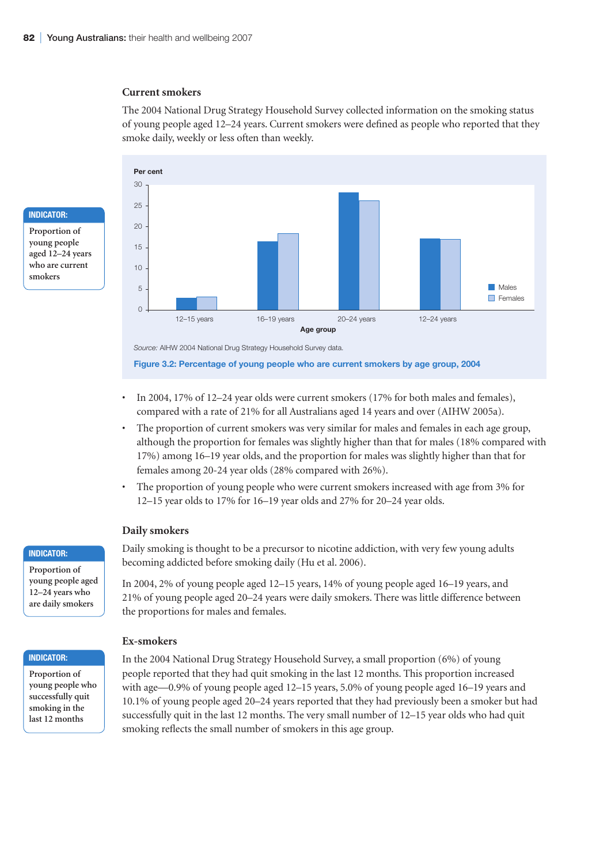#### **Current smokers**

The 2004 National Drug Strategy Household Survey collected information on the smoking status of young people aged 12–24 years. Current smokers were defined as people who reported that they smoke daily, weekly or less often than weekly.

**Indicator: Proportion of** 

**young people aged 12–24 years who are current smokers**



**Figure 3.2: Percentage of young people who are current smokers by age group, 2004**

- In 2004, 17% of 12–24 year olds were current smokers (17% for both males and females), compared with a rate of 21% for all Australians aged 14 years and over (AIHW 2005a).
- The proportion of current smokers was very similar for males and females in each age group, although the proportion for females was slightly higher than that for males (18% compared with 17%) among 16–19 year olds, and the proportion for males was slightly higher than that for females among 20-24 year olds (28% compared with 26%).
- The proportion of young people who were current smokers increased with age from 3% for 12–15 year olds to 17% for 16–19 year olds and 27% for 20–24 year olds.

#### **Daily smokers**

Daily smoking is thought to be a precursor to nicotine addiction, with very few young adults becoming addicted before smoking daily (Hu et al. 2006).

In 2004, 2% of young people aged 12–15 years, 14% of young people aged 16–19 years, and 21% of young people aged 20–24 years were daily smokers. There was little difference between the proportions for males and females.

#### **Ex-smokers**

In the 2004 National Drug Strategy Household Survey, a small proportion (6%) of young people reported that they had quit smoking in the last 12 months. This proportion increased with age—0.9% of young people aged 12–15 years, 5.0% of young people aged 16–19 years and 10.1% of young people aged 20–24 years reported that they had previously been a smoker but had successfully quit in the last 12 months. The very small number of 12–15 year olds who had quit smoking reflects the small number of smokers in this age group.

#### **Indicator:**

**Proportion of young people aged 12–24 years who are daily smokers**

#### **Indicator:**

**Proportion of young people who successfully quit smoking in the last 12 months**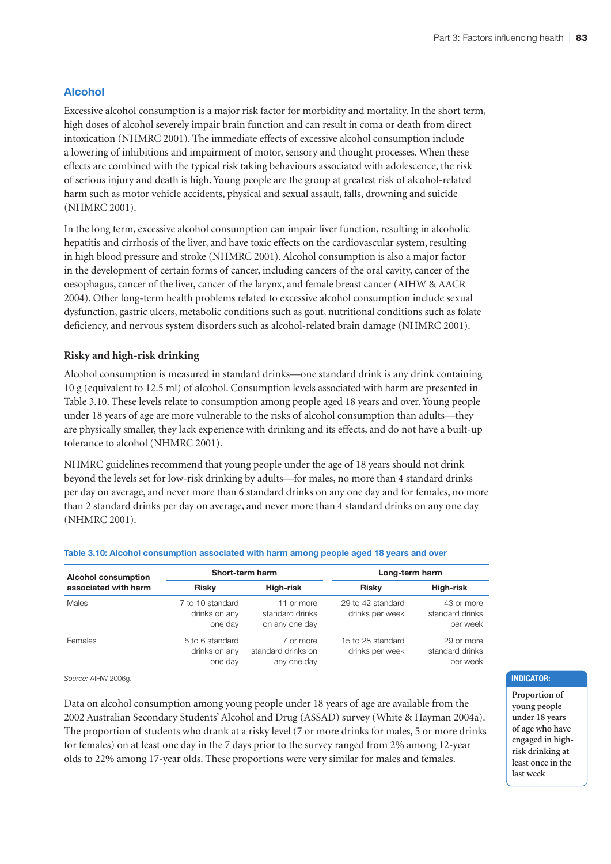#### **Alcohol**

Excessive alcohol consumption is a major risk factor for morbidity and mortality. In the short term, high doses of alcohol severely impair brain function and can result in coma or death from direct intoxication (NHMRC 2001). The immediate effects of excessive alcohol consumption include a lowering of inhibitions and impairment of motor, sensory and thought processes. When these effects are combined with the typical risk taking behaviours associated with adolescence, the risk of serious injury and death is high. Young people are the group at greatest risk of alcohol-related harm such as motor vehicle accidents, physical and sexual assault, falls, drowning and suicide (NHMRC 2001).

In the long term, excessive alcohol consumption can impair liver function, resulting in alcoholic hepatitis and cirrhosis of the liver, and have toxic effects on the cardiovascular system, resulting in high blood pressure and stroke (NHMRC 2001). Alcohol consumption is also a major factor in the development of certain forms of cancer, including cancers of the oral cavity, cancer of the oesophagus, cancer of the liver, cancer of the larynx, and female breast cancer (AIHW & AACR 2004). Other long-term health problems related to excessive alcohol consumption include sexual dysfunction, gastric ulcers, metabolic conditions such as gout, nutritional conditions such as folate deficiency, and nervous system disorders such as alcohol-related brain damage (NHMRC 2001).

#### **Risky and high-risk drinking**

Alcohol consumption is measured in standard drinks—one standard drink is any drink containing 10 g (equivalent to 12.5 ml) of alcohol. Consumption levels associated with harm are presented in Table 3.10. These levels relate to consumption among people aged 18 years and over. Young people under 18 years of age are more vulnerable to the risks of alcohol consumption than adults—they are physically smaller, they lack experience with drinking and its effects, and do not have a built-up tolerance to alcohol (NHMRC 2001).

NHMRC guidelines recommend that young people under the age of 18 years should not drink beyond the levels set for low-risk drinking by adults—for males, no more than 4 standard drinks per day on average, and never more than 6 standard drinks on any one day and for females, no more than 2 standard drinks per day on average, and never more than 4 standard drinks on any one day (NHMRC 2001).

| <b>Alcohol consumption</b> |                                              | Short-term harm                                 | Long-term harm                       |                                           |  |
|----------------------------|----------------------------------------------|-------------------------------------------------|--------------------------------------|-------------------------------------------|--|
| associated with harm       | Risky                                        | High-risk                                       | Risky                                | High-risk                                 |  |
| Males                      | 7 to 10 standard<br>drinks on any<br>one day | 11 or more<br>standard drinks<br>on any one day | 29 to 42 standard<br>drinks per week | 43 or more<br>standard drinks<br>per week |  |
| <b>Females</b>             | 5 to 6 standard<br>drinks on any<br>one day  | 7 or more<br>standard drinks on<br>any one day  | 15 to 28 standard<br>drinks per week | 29 or more<br>standard drinks<br>per week |  |

#### **Table 3.10: Alcohol consumption associated with harm among people aged 18 years and over**

*Source:* AIHW 2006g.

Data on alcohol consumption among young people under 18 years of age are available from the 2002 Australian Secondary Students' Alcohol and Drug (ASSAD) survey (White & Hayman 2004a). The proportion of students who drank at a risky level (7 or more drinks for males, 5 or more drinks for females) on at least one day in the 7 days prior to the survey ranged from 2% among 12-year olds to 22% among 17-year olds. These proportions were very similar for males and females.

### **Indicator:**

**Proportion of young people under 18 years of age who have engaged in highrisk drinking at least once in the last week**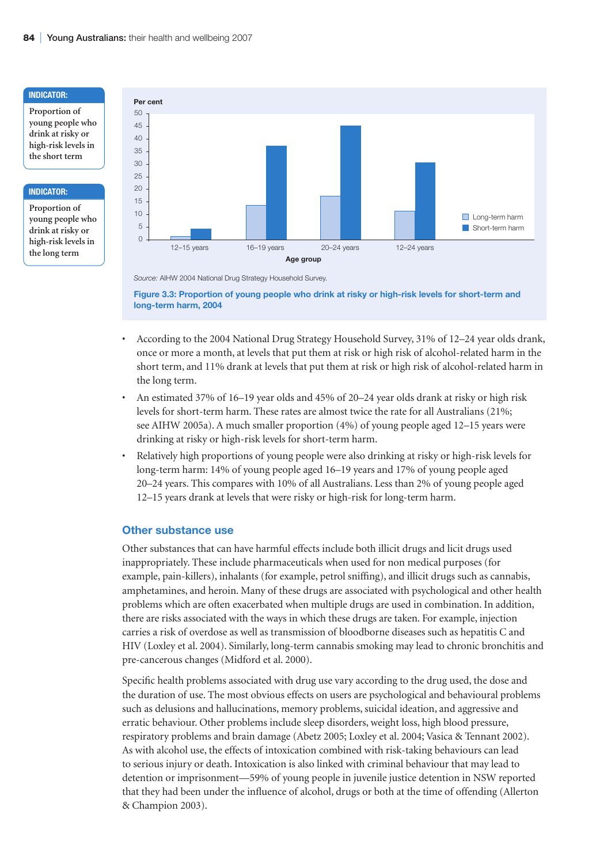

*Source:* AIHW 2004 National Drug Strategy Household Survey.

**Figure 3.3: Proportion of young people who drink at risky or high-risk levels for short-term and long-term harm, 2004**

- According to the 2004 National Drug Strategy Household Survey, 31% of 12–24 year olds drank, once or more a month, at levels that put them at risk or high risk of alcohol-related harm in the short term, and 11% drank at levels that put them at risk or high risk of alcohol-related harm in the long term.
- An estimated 37% of 16–19 year olds and 45% of 20–24 year olds drank at risky or high risk levels for short-term harm. These rates are almost twice the rate for all Australians (21%; see AIHW 2005a). A much smaller proportion (4%) of young people aged 12–15 years were drinking at risky or high-risk levels for short-term harm.
- Relatively high proportions of young people were also drinking at risky or high-risk levels for long-term harm: 14% of young people aged 16–19 years and 17% of young people aged 20–24 years. This compares with 10% of all Australians. Less than 2% of young people aged 12–15 years drank at levels that were risky or high-risk for long-term harm.

#### **Other substance use**

Other substances that can have harmful effects include both illicit drugs and licit drugs used inappropriately. These include pharmaceuticals when used for non medical purposes (for example, pain-killers), inhalants (for example, petrol sniffing), and illicit drugs such as cannabis, amphetamines, and heroin. Many of these drugs are associated with psychological and other health problems which are often exacerbated when multiple drugs are used in combination. In addition, there are risks associated with the ways in which these drugs are taken. For example, injection carries a risk of overdose as well as transmission of bloodborne diseases such as hepatitis C and HIV (Loxley et al. 2004). Similarly, long-term cannabis smoking may lead to chronic bronchitis and pre-cancerous changes (Midford et al. 2000).

Specific health problems associated with drug use vary according to the drug used, the dose and the duration of use. The most obvious effects on users are psychological and behavioural problems such as delusions and hallucinations, memory problems, suicidal ideation, and aggressive and erratic behaviour. Other problems include sleep disorders, weight loss, high blood pressure, respiratory problems and brain damage (Abetz 2005; Loxley et al. 2004; Vasica & Tennant 2002). As with alcohol use, the effects of intoxication combined with risk-taking behaviours can lead to serious injury or death. Intoxication is also linked with criminal behaviour that may lead to detention or imprisonment—59% of young people in juvenile justice detention in NSW reported that they had been under the influence of alcohol, drugs or both at the time of offending (Allerton & Champion 2003).

#### **Indicator:**

**Proportion of young people who drink at risky or high-risk levels in the short term**

#### **Indicator:**

**Proportion of young people who drink at risky or high-risk levels in the long term**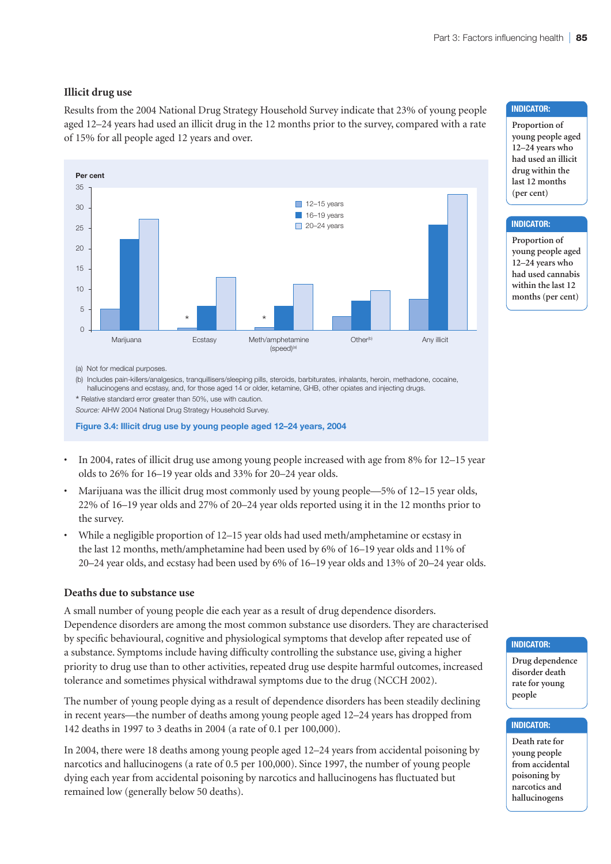#### **Illicit drug use**

Results from the 2004 National Drug Strategy Household Survey indicate that 23% of young people aged 12–24 years had used an illicit drug in the 12 months prior to the survey, compared with a rate of 15% for all people aged 12 years and over.



(a) Not for medical purposes.

(b) Includes pain-killers/analgesics, tranquillisers/sleeping pills, steroids, barbiturates, inhalants, heroin, methadone, cocaine, hallucinogens and ecstasy, and, for those aged 14 or older, ketamine, GHB, other opiates and injecting drugs. \* Relative standard error greater than 50%, use with caution.

*Source:* AIHW 2004 National Drug Strategy Household Survey.

**Figure 3.4: Illicit drug use by young people aged 12–24 years, 2004**

- In 2004, rates of illicit drug use among young people increased with age from 8% for 12–15 year olds to 26% for 16–19 year olds and 33% for 20–24 year olds.
- Marijuana was the illicit drug most commonly used by young people—5% of 12–15 year olds, 22% of 16–19 year olds and 27% of 20–24 year olds reported using it in the 12 months prior to the survey.
- While a negligible proportion of 12–15 year olds had used meth/amphetamine or ecstasy in the last 12 months, meth/amphetamine had been used by 6% of 16–19 year olds and 11% of 20–24 year olds, and ecstasy had been used by 6% of 16–19 year olds and 13% of 20–24 year olds.

#### **Deaths due to substance use**

A small number of young people die each year as a result of drug dependence disorders. Dependence disorders are among the most common substance use disorders. They are characterised by specific behavioural, cognitive and physiological symptoms that develop after repeated use of a substance. Symptoms include having difficulty controlling the substance use, giving a higher priority to drug use than to other activities, repeated drug use despite harmful outcomes, increased tolerance and sometimes physical withdrawal symptoms due to the drug (NCCH 2002).

The number of young people dying as a result of dependence disorders has been steadily declining in recent years—the number of deaths among young people aged 12–24 years has dropped from 142 deaths in 1997 to 3 deaths in 2004 (a rate of 0.1 per 100,000).

In 2004, there were 18 deaths among young people aged 12–24 years from accidental poisoning by narcotics and hallucinogens (a rate of 0.5 per 100,000). Since 1997, the number of young people dying each year from accidental poisoning by narcotics and hallucinogens has fluctuated but remained low (generally below 50 deaths).

#### **Indicator:**

**Proportion of young people aged 12–24 years who had used an illicit drug within the last 12 months (per cent)**

#### **Indicator:**

**Proportion of young people aged 12–24 years who had used cannabis within the last 12 months (per cent)**

#### **Indicator:**

**Drug dependence disorder death rate for young people**

#### **Indicator:**

**Death rate for young people from accidental poisoning by narcotics and hallucinogens**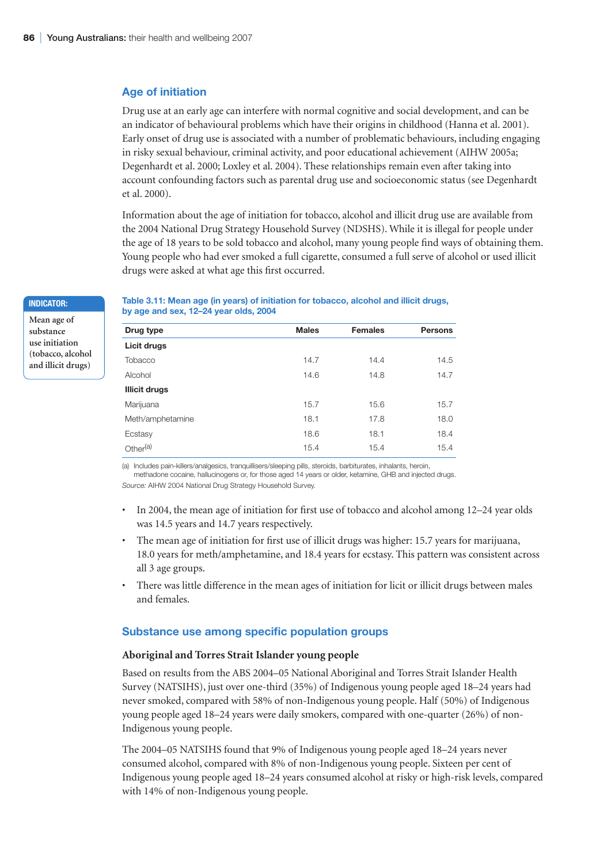#### **Age of initiation**

Drug use at an early age can interfere with normal cognitive and social development, and can be an indicator of behavioural problems which have their origins in childhood (Hanna et al. 2001). Early onset of drug use is associated with a number of problematic behaviours, including engaging in risky sexual behaviour, criminal activity, and poor educational achievement (AIHW 2005a; Degenhardt et al. 2000; Loxley et al. 2004). These relationships remain even after taking into account confounding factors such as parental drug use and socioeconomic status (see Degenhardt et al. 2000).

Information about the age of initiation for tobacco, alcohol and illicit drug use are available from the 2004 National Drug Strategy Household Survey (NDSHS). While it is illegal for people under the age of 18 years to be sold tobacco and alcohol, many young people find ways of obtaining them. Young people who had ever smoked a full cigarette, consumed a full serve of alcohol or used illicit drugs were asked at what age this first occurred.

#### **Indicator:**

**Mean age of substance use initiation (tobacco, alcohol and illicit drugs)**

#### **Table 3.11: Mean age (in years) of initiation for tobacco, alcohol and illicit drugs, by age and sex, 12–24 year olds, 2004**

| Drug type            | <b>Males</b> | <b>Females</b> | <b>Persons</b> |
|----------------------|--------------|----------------|----------------|
| Licit drugs          |              |                |                |
| Tobacco              | 14.7         | 14.4           | 14.5           |
| Alcohol              | 14.6         | 14.8           | 14.7           |
| <b>Illicit drugs</b> |              |                |                |
| Marijuana            | 15.7         | 15.6           | 15.7           |
| Meth/amphetamine     | 18.1         | 17.8           | 18.0           |
| Ecstasy              | 18.6         | 18.1           | 18.4           |
| Other <sup>(a)</sup> | 15.4         | 15.4           | 15.4           |

(a) Includes pain-killers/analgesics, tranquillisers/sleeping pills, steroids, barbiturates, inhalants, heroin, methadone cocaine, hallucinogens or, for those aged 14 years or older, ketamine, GHB and injected drugs.

*Source:* AIHW 2004 National Drug Strategy Household Survey.

- In 2004, the mean age of initiation for first use of tobacco and alcohol among 12–24 year olds was 14.5 years and 14.7 years respectively.
- The mean age of initiation for first use of illicit drugs was higher: 15.7 years for marijuana, 18.0 years for meth/amphetamine, and 18.4 years for ecstasy. This pattern was consistent across all 3 age groups.
- There was little difference in the mean ages of initiation for licit or illicit drugs between males and females.

#### **Substance use among specific population groups**

#### **Aboriginal and Torres Strait Islander young people**

Based on results from the ABS 2004–05 National Aboriginal and Torres Strait Islander Health Survey (NATSIHS), just over one-third (35%) of Indigenous young people aged 18–24 years had never smoked, compared with 58% of non-Indigenous young people. Half (50%) of Indigenous young people aged 18–24 years were daily smokers, compared with one-quarter (26%) of non-Indigenous young people.

The 2004–05 NATSIHS found that 9% of Indigenous young people aged 18–24 years never consumed alcohol, compared with 8% of non-Indigenous young people. Sixteen per cent of Indigenous young people aged 18–24 years consumed alcohol at risky or high-risk levels, compared with 14% of non-Indigenous young people.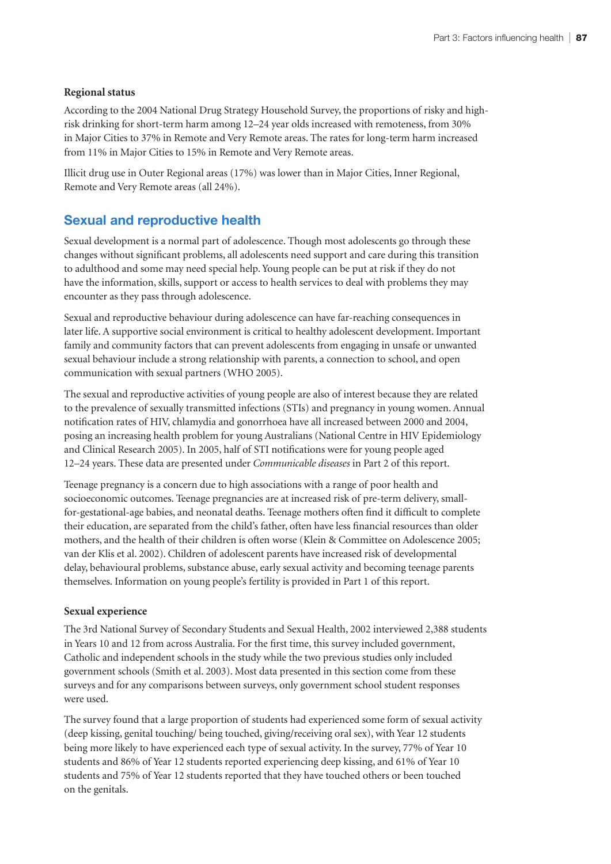#### **Regional status**

According to the 2004 National Drug Strategy Household Survey, the proportions of risky and highrisk drinking for short-term harm among 12–24 year olds increased with remoteness, from 30% in Major Cities to 37% in Remote and Very Remote areas. The rates for long-term harm increased from 11% in Major Cities to 15% in Remote and Very Remote areas.

Illicit drug use in Outer Regional areas (17%) was lower than in Major Cities, Inner Regional, Remote and Very Remote areas (all 24%).

## **Sexual and reproductive health**

Sexual development is a normal part of adolescence. Though most adolescents go through these changes without significant problems, all adolescents need support and care during this transition to adulthood and some may need special help. Young people can be put at risk if they do not have the information, skills, support or access to health services to deal with problems they may encounter as they pass through adolescence.

Sexual and reproductive behaviour during adolescence can have far-reaching consequences in later life. A supportive social environment is critical to healthy adolescent development. Important family and community factors that can prevent adolescents from engaging in unsafe or unwanted sexual behaviour include a strong relationship with parents, a connection to school, and open communication with sexual partners (WHO 2005).

The sexual and reproductive activities of young people are also of interest because they are related to the prevalence of sexually transmitted infections (STIs) and pregnancy in young women. Annual notification rates of HIV, chlamydia and gonorrhoea have all increased between 2000 and 2004, posing an increasing health problem for young Australians (National Centre in HIV Epidemiology and Clinical Research 2005). In 2005, half of STI notifications were for young people aged 12–24 years. These data are presented under *Communicable diseases* in Part 2 of this report.

Teenage pregnancy is a concern due to high associations with a range of poor health and socioeconomic outcomes. Teenage pregnancies are at increased risk of pre-term delivery, smallfor-gestational-age babies, and neonatal deaths. Teenage mothers often find it difficult to complete their education, are separated from the child's father, often have less financial resources than older mothers, and the health of their children is often worse (Klein & Committee on Adolescence 2005; van der Klis et al. 2002). Children of adolescent parents have increased risk of developmental delay, behavioural problems, substance abuse, early sexual activity and becoming teenage parents themselves. Information on young people's fertility is provided in Part 1 of this report.

#### **Sexual experience**

The 3rd National Survey of Secondary Students and Sexual Health, 2002 interviewed 2,388 students in Years 10 and 12 from across Australia. For the first time, this survey included government, Catholic and independent schools in the study while the two previous studies only included government schools (Smith et al. 2003). Most data presented in this section come from these surveys and for any comparisons between surveys, only government school student responses were used.

The survey found that a large proportion of students had experienced some form of sexual activity (deep kissing, genital touching/ being touched, giving/receiving oral sex), with Year 12 students being more likely to have experienced each type of sexual activity. In the survey, 77% of Year 10 students and 86% of Year 12 students reported experiencing deep kissing, and 61% of Year 10 students and 75% of Year 12 students reported that they have touched others or been touched on the genitals.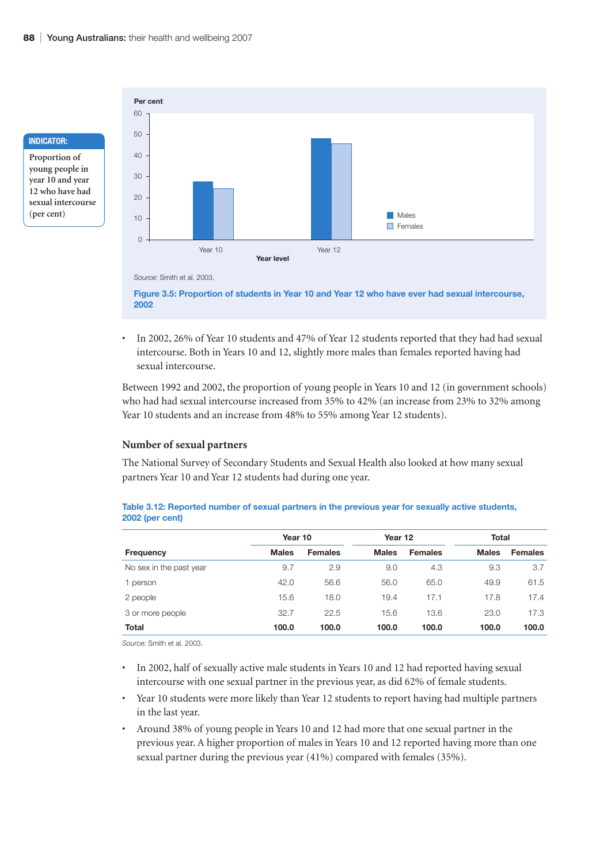

**Proportion of young people in year 10 and year 12 who have had sexual intercourse (per cent)**



*Source:* Smith et al. 2003.

**Figure 3.5: Proportion of students in Year 10 and Year 12 who have ever had sexual intercourse, 2002**

• In 2002, 26% of Year 10 students and 47% of Year 12 students reported that they had had sexual intercourse. Both in Years 10 and 12, slightly more males than females reported having had sexual intercourse.

Between 1992 and 2002, the proportion of young people in Years 10 and 12 (in government schools) who had had sexual intercourse increased from 35% to 42% (an increase from 23% to 32% among Year 10 students and an increase from 48% to 55% among Year 12 students).

#### **Number of sexual partners**

The National Survey of Secondary Students and Sexual Health also looked at how many sexual partners Year 10 and Year 12 students had during one year.

#### **Table 3.12: Reported number of sexual partners in the previous year for sexually active students, 2002 (per cent)**

|                         | Year 12<br>Year 10 |                |              | <b>Total</b>   |              |                |
|-------------------------|--------------------|----------------|--------------|----------------|--------------|----------------|
| Frequency               | <b>Males</b>       | <b>Females</b> | <b>Males</b> | <b>Females</b> | <b>Males</b> | <b>Females</b> |
| No sex in the past year | 9.7                | 2.9            | 9.0          | 4.3            | 9.3          | 3.7            |
| 1 person                | 42.0               | 56.6           | 56.0         | 65.0           | 49.9         | 61.5           |
| 2 people                | 15.6               | 18.0           | 19.4         | 17.1           | 17.8         | 17.4           |
| 3 or more people        | 32.7               | 22.5           | 15.6         | 13.6           | 23.0         | 17.3           |
| <b>Total</b>            | 100.0              | 100.0          | 100.0        | 100.0          | 100.0        | 100.0          |

*Source:* Smith et al. 2003.

- In 2002, half of sexually active male students in Years 10 and 12 had reported having sexual intercourse with one sexual partner in the previous year, as did 62% of female students.
- Year 10 students were more likely than Year 12 students to report having had multiple partners in the last year.
- Around 38% of young people in Years 10 and 12 had more that one sexual partner in the previous year. A higher proportion of males in Years 10 and 12 reported having more than one sexual partner during the previous year (41%) compared with females (35%).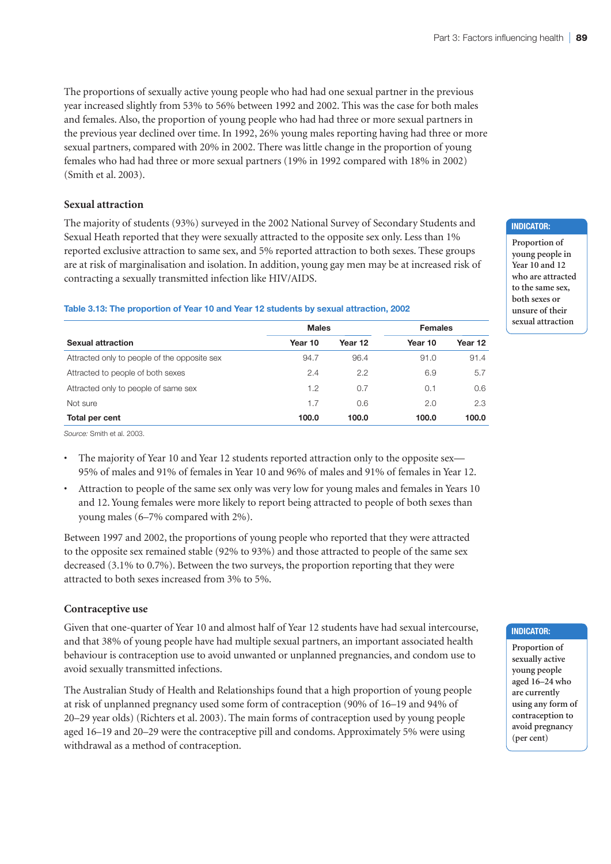The proportions of sexually active young people who had had one sexual partner in the previous year increased slightly from 53% to 56% between 1992 and 2002. This was the case for both males and females. Also, the proportion of young people who had had three or more sexual partners in the previous year declined over time. In 1992, 26% young males reporting having had three or more sexual partners, compared with 20% in 2002. There was little change in the proportion of young females who had had three or more sexual partners (19% in 1992 compared with 18% in 2002) (Smith et al. 2003).

#### **Sexual attraction**

The majority of students (93%) surveyed in the 2002 National Survey of Secondary Students and Sexual Heath reported that they were sexually attracted to the opposite sex only. Less than 1% reported exclusive attraction to same sex, and 5% reported attraction to both sexes. These groups are at risk of marginalisation and isolation. In addition, young gay men may be at increased risk of contracting a sexually transmitted infection like HIV/AIDS.

#### **Table 3.13: The proportion of Year 10 and Year 12 students by sexual attraction, 2002**

|                                              | <b>Males</b> |         | <b>Females</b> |         |  |
|----------------------------------------------|--------------|---------|----------------|---------|--|
| Sexual attraction                            | Year 10      | Year 12 | Year 10        | Year 12 |  |
| Attracted only to people of the opposite sex | 94.7         | 96.4    | 91.0           | 91.4    |  |
| Attracted to people of both sexes            | 2.4          | 2.2     | 6.9            | 5.7     |  |
| Attracted only to people of same sex         | 1.2          | 0.7     | 0.1            | 0.6     |  |
| Not sure                                     | 1.7          | 0.6     | 2.0            | 2.3     |  |
| Total per cent                               | 100.0        | 100.0   | 100.0          | 100.0   |  |

*Source:* Smith et al. 2003.

- The majority of Year 10 and Year 12 students reported attraction only to the opposite sex— 95% of males and 91% of females in Year 10 and 96% of males and 91% of females in Year 12.
- Attraction to people of the same sex only was very low for young males and females in Years 10 and 12. Young females were more likely to report being attracted to people of both sexes than young males (6–7% compared with 2%).

Between 1997 and 2002, the proportions of young people who reported that they were attracted to the opposite sex remained stable (92% to 93%) and those attracted to people of the same sex decreased (3.1% to 0.7%). Between the two surveys, the proportion reporting that they were attracted to both sexes increased from 3% to 5%.

#### **Contraceptive use**

Given that one-quarter of Year 10 and almost half of Year 12 students have had sexual intercourse, and that 38% of young people have had multiple sexual partners, an important associated health behaviour is contraception use to avoid unwanted or unplanned pregnancies, and condom use to avoid sexually transmitted infections.

The Australian Study of Health and Relationships found that a high proportion of young people at risk of unplanned pregnancy used some form of contraception (90% of 16–19 and 94% of 20–29 year olds) (Richters et al. 2003). The main forms of contraception used by young people aged 16–19 and 20–29 were the contraceptive pill and condoms. Approximately 5% were using withdrawal as a method of contraception.

#### **Indicator:**

**Proportion of young people in Year 10 and 12 who are attracted to the same sex, both sexes or unsure of their sexual attraction**

#### **Indicator:**

**Proportion of sexually active young people aged 16–24 who are currently using any form of contraception to avoid pregnancy (per cent)**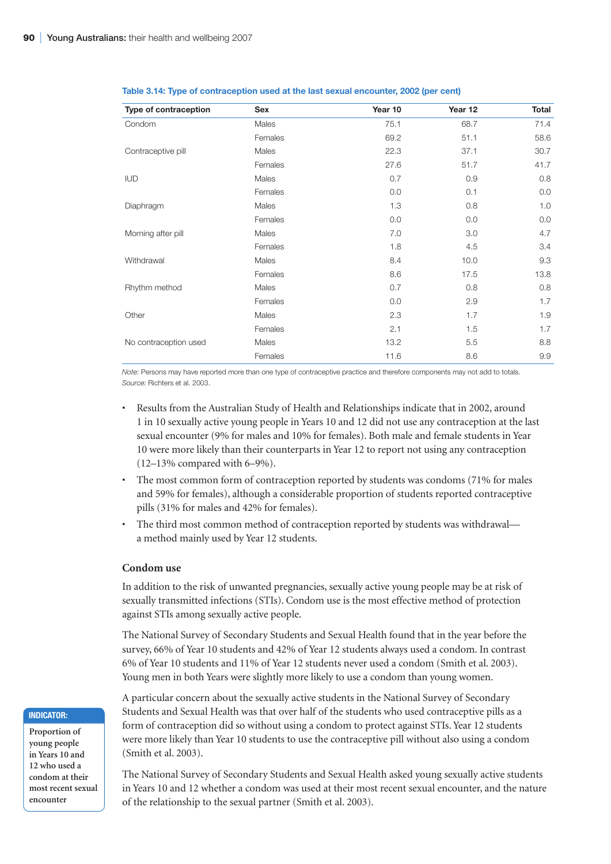| Type of contraception | <b>Sex</b> | Year 10 | Year 12 | <b>Total</b> |
|-----------------------|------------|---------|---------|--------------|
| Condom                | Males      | 75.1    | 68.7    | 71.4         |
|                       | Females    | 69.2    | 51.1    | 58.6         |
| Contraceptive pill    | Males      | 22.3    | 37.1    | 30.7         |
|                       | Females    | 27.6    | 51.7    | 41.7         |
| <b>IUD</b>            | Males      | 0.7     | 0.9     | 0.8          |
|                       | Females    | 0.0     | 0.1     | 0.0          |
| Diaphragm             | Males      | 1.3     | 0.8     | 1.0          |
|                       | Females    | 0.0     | 0.0     | 0.0          |
| Morning after pill    | Males      | 7.0     | 3.0     | 4.7          |
|                       | Females    | 1.8     | 4.5     | 3.4          |
| Withdrawal            | Males      | 8.4     | 10.0    | 9.3          |
|                       | Females    | 8.6     | 17.5    | 13.8         |
| Rhythm method         | Males      | 0.7     | 0.8     | 0.8          |
|                       | Females    | 0.0     | 2.9     | 1.7          |
| Other                 | Males      | 2.3     | 1.7     | 1.9          |
|                       | Females    | 2.1     | 1.5     | 1.7          |
| No contraception used | Males      | 13.2    | 5.5     | 8.8          |
|                       | Females    | 11.6    | 8.6     | 9.9          |

#### **Table 3.14: Type of contraception used at the last sexual encounter, 2002 (per cent)**

*Note:* Persons may have reported more than one type of contraceptive practice and therefore components may not add to totals. *Source:* Richters et al. 2003.

- Results from the Australian Study of Health and Relationships indicate that in 2002, around 1 in 10 sexually active young people in Years 10 and 12 did not use any contraception at the last sexual encounter (9% for males and 10% for females). Both male and female students in Year 10 were more likely than their counterparts in Year 12 to report not using any contraception (12–13% compared with 6–9%).
- The most common form of contraception reported by students was condoms (71% for males and 59% for females), although a considerable proportion of students reported contraceptive pills (31% for males and 42% for females).
- The third most common method of contraception reported by students was withdrawal a method mainly used by Year 12 students.

#### **Condom use**

In addition to the risk of unwanted pregnancies, sexually active young people may be at risk of sexually transmitted infections (STIs). Condom use is the most effective method of protection against STIs among sexually active people.

The National Survey of Secondary Students and Sexual Health found that in the year before the survey, 66% of Year 10 students and 42% of Year 12 students always used a condom. In contrast 6% of Year 10 students and 11% of Year 12 students never used a condom (Smith et al. 2003). Young men in both Years were slightly more likely to use a condom than young women.

A particular concern about the sexually active students in the National Survey of Secondary Students and Sexual Health was that over half of the students who used contraceptive pills as a form of contraception did so without using a condom to protect against STIs. Year 12 students were more likely than Year 10 students to use the contraceptive pill without also using a condom (Smith et al. 2003).

The National Survey of Secondary Students and Sexual Health asked young sexually active students in Years 10 and 12 whether a condom was used at their most recent sexual encounter, and the nature of the relationship to the sexual partner (Smith et al. 2003).

#### **Indicator:**

**Proportion of young people in Years 10 and 12 who used a condom at their most recent sexual encounter**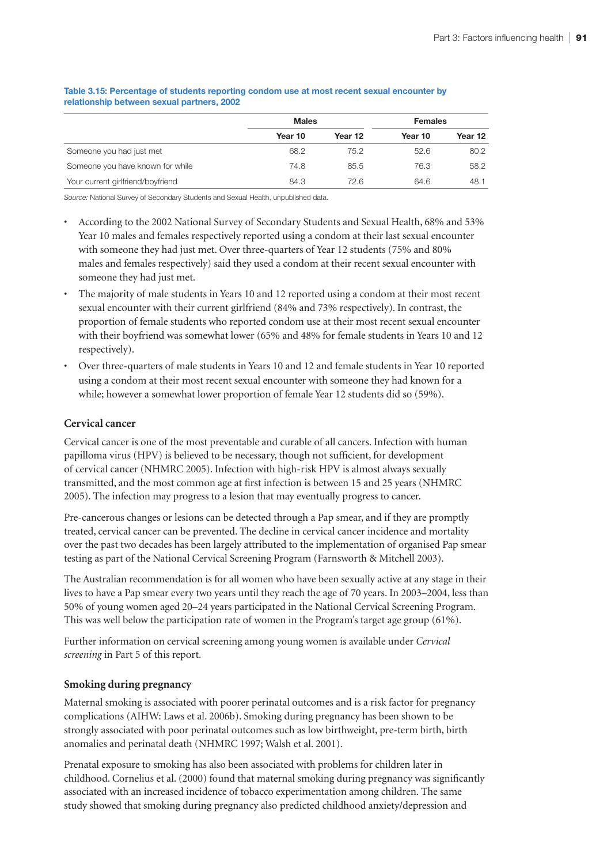|                                   | <b>Males</b> |         | <b>Females</b> |         |  |
|-----------------------------------|--------------|---------|----------------|---------|--|
|                                   | Year 10      | Year 12 | Year 10        | Year 12 |  |
| Someone you had just met          | 68.2         | 75.2    | 52.6           | 80.2    |  |
| Someone you have known for while  | 74.8         | 85.5    | 76.3           | 58.2    |  |
| Your current girlfriend/boyfriend | 84.3         | 72.6    | 64.6           | 48.1    |  |

#### **Table 3.15: Percentage of students reporting condom use at most recent sexual encounter by relationship between sexual partners, 2002**

*Source:* National Survey of Secondary Students and Sexual Health, unpublished data.

- According to the 2002 National Survey of Secondary Students and Sexual Health, 68% and 53% Year 10 males and females respectively reported using a condom at their last sexual encounter with someone they had just met. Over three-quarters of Year 12 students (75% and 80% males and females respectively) said they used a condom at their recent sexual encounter with someone they had just met.
- The majority of male students in Years 10 and 12 reported using a condom at their most recent sexual encounter with their current girlfriend (84% and 73% respectively). In contrast, the proportion of female students who reported condom use at their most recent sexual encounter with their boyfriend was somewhat lower (65% and 48% for female students in Years 10 and 12 respectively).
- Over three-quarters of male students in Years 10 and 12 and female students in Year 10 reported using a condom at their most recent sexual encounter with someone they had known for a while; however a somewhat lower proportion of female Year 12 students did so (59%).

#### **Cervical cancer**

Cervical cancer is one of the most preventable and curable of all cancers. Infection with human papilloma virus (HPV) is believed to be necessary, though not sufficient, for development of cervical cancer (NHMRC 2005). Infection with high-risk HPV is almost always sexually transmitted, and the most common age at first infection is between 15 and 25 years (NHMRC 2005). The infection may progress to a lesion that may eventually progress to cancer.

Pre-cancerous changes or lesions can be detected through a Pap smear, and if they are promptly treated, cervical cancer can be prevented. The decline in cervical cancer incidence and mortality over the past two decades has been largely attributed to the implementation of organised Pap smear testing as part of the National Cervical Screening Program (Farnsworth & Mitchell 2003).

The Australian recommendation is for all women who have been sexually active at any stage in their lives to have a Pap smear every two years until they reach the age of 70 years. In 2003–2004, less than 50% of young women aged 20–24 years participated in the National Cervical Screening Program. This was well below the participation rate of women in the Program's target age group (61%).

Further information on cervical screening among young women is available under *Cervical screening* in Part 5 of this report.

#### **Smoking during pregnancy**

Maternal smoking is associated with poorer perinatal outcomes and is a risk factor for pregnancy complications (AIHW: Laws et al. 2006b). Smoking during pregnancy has been shown to be strongly associated with poor perinatal outcomes such as low birthweight, pre-term birth, birth anomalies and perinatal death (NHMRC 1997; Walsh et al. 2001).

Prenatal exposure to smoking has also been associated with problems for children later in childhood. Cornelius et al. (2000) found that maternal smoking during pregnancy was significantly associated with an increased incidence of tobacco experimentation among children. The same study showed that smoking during pregnancy also predicted childhood anxiety/depression and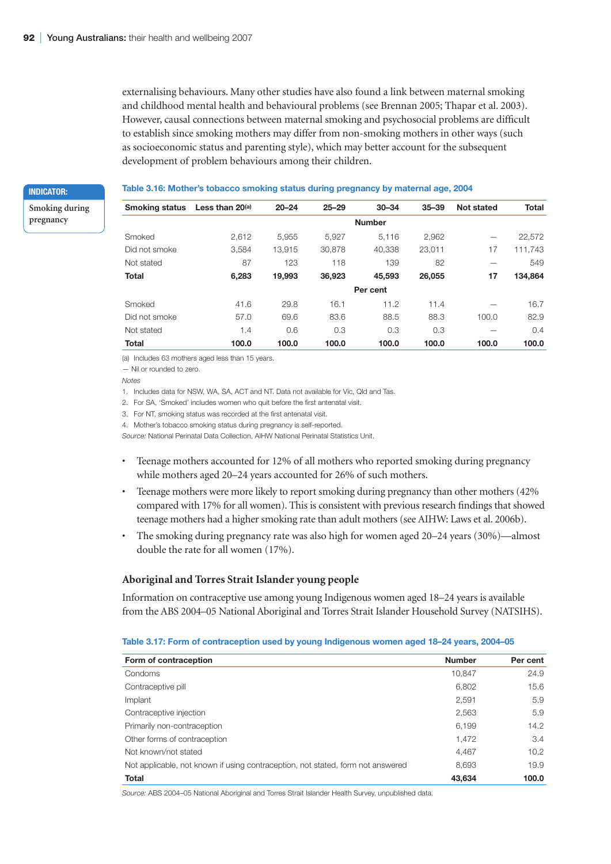externalising behaviours. Many other studies have also found a link between maternal smoking and childhood mental health and behavioural problems (see Brennan 2005; Thapar et al. 2003). However, causal connections between maternal smoking and psychosocial problems are difficult to establish since smoking mothers may differ from non-smoking mothers in other ways (such as socioeconomic status and parenting style), which may better account for the subsequent development of problem behaviours among their children.

#### **Indicator:**

**Smoking during pregnancy**

#### **Table 3.16: Mother's tobacco smoking status during pregnancy by maternal age, 2004**

| <b>Smoking status</b> | Less than $20(a)$ | $20 - 24$ | $25 - 29$ | $30 - 34$     | $35 - 39$ | Not stated | <b>Total</b> |
|-----------------------|-------------------|-----------|-----------|---------------|-----------|------------|--------------|
|                       |                   |           |           | <b>Number</b> |           |            |              |
| Smoked                | 2,612             | 5.955     | 5.927     | 5.116         | 2,962     | -          | 22,572       |
| Did not smoke         | 3.584             | 13.915    | 30,878    | 40.338        | 23,011    | 17         | 111.743      |
| Not stated            | 87                | 123       | 118       | 139           | 82        |            | 549          |
| <b>Total</b>          | 6,283             | 19.993    | 36,923    | 45.593        | 26,055    | 17         | 134,864      |
|                       |                   |           |           | Per cent      |           |            |              |
| Smoked                | 41.6              | 29.8      | 16.1      | 11.2          | 11.4      |            | 16.7         |
| Did not smoke         | 57.0              | 69.6      | 83.6      | 88.5          | 88.3      | 100.0      | 82.9         |
| Not stated            | 1.4               | 0.6       | 0.3       | 0.3           | 0.3       |            | 0.4          |
| <b>Total</b>          | 100.0             | 100.0     | 100.0     | 100.0         | 100.0     | 100.0      | 100.0        |

(a) Includes 63 mothers aged less than 15 years.

— Nil or rounded to zero.

*Notes*

1. Includes data for NSW, WA, SA, ACT and NT. Data not available for Vic, Qld and Tas.

2. For SA, 'Smoked' includes women who quit before the first antenatal visit.

3. For NT, smoking status was recorded at the first antenatal visit.

4. Mother's tobacco smoking status during pregnancy is self-reported.

*Source:* National Perinatal Data Collection, AIHW National Perinatal Statistics Unit.

- Teenage mothers accounted for 12% of all mothers who reported smoking during pregnancy while mothers aged 20–24 years accounted for 26% of such mothers.
- Teenage mothers were more likely to report smoking during pregnancy than other mothers (42% compared with 17% for all women). This is consistent with previous research findings that showed teenage mothers had a higher smoking rate than adult mothers (see AIHW: Laws et al. 2006b).
- The smoking during pregnancy rate was also high for women aged 20–24 years (30%)—almost double the rate for all women (17%).

#### **Aboriginal and Torres Strait Islander young people**

Information on contraceptive use among young Indigenous women aged 18–24 years is available from the ABS 2004–05 National Aboriginal and Torres Strait Islander Household Survey (NATSIHS).

|  | Table 3.17: Form of contraception used by young Indigenous women aged 18-24 years, 2004-05 |  |
|--|--------------------------------------------------------------------------------------------|--|
|  |                                                                                            |  |

| Form of contraception                                                           | <b>Number</b> | Per cent |
|---------------------------------------------------------------------------------|---------------|----------|
| Condoms                                                                         | 10,847        | 24.9     |
| Contraceptive pill                                                              | 6,802         | 15.6     |
| Implant                                                                         | 2,591         | 5.9      |
| Contraceptive injection                                                         | 2,563         | 5.9      |
| Primarily non-contraception                                                     | 6,199         | 14.2     |
| Other forms of contraception                                                    | 1,472         | 3.4      |
| Not known/not stated                                                            | 4,467         | 10.2     |
| Not applicable, not known if using contraception, not stated, form not answered | 8.693         | 19.9     |
| <b>Total</b>                                                                    | 43,634        | 100.0    |

*Source:* ABS 2004–05 National Aboriginal and Torres Strait Islander Health Survey, unpublished data.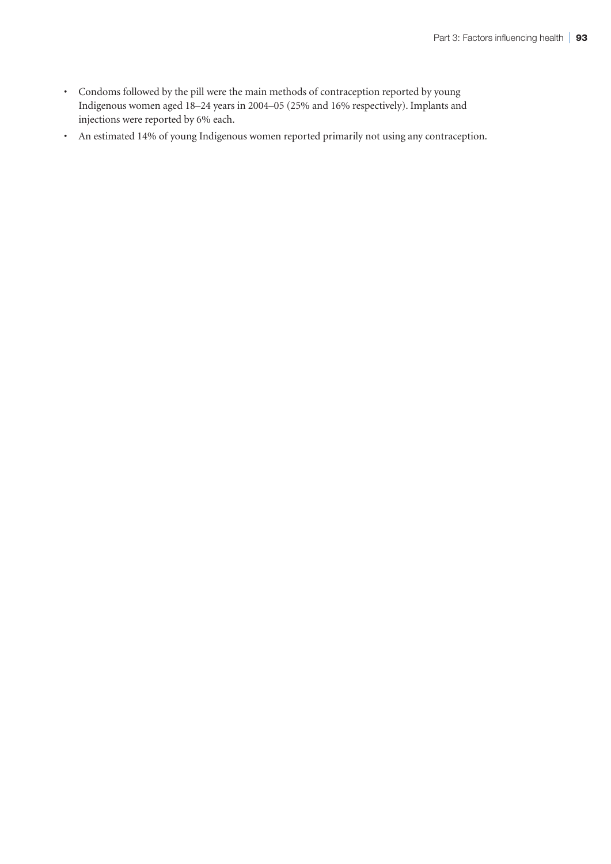- Condoms followed by the pill were the main methods of contraception reported by young Indigenous women aged 18–24 years in 2004–05 (25% and 16% respectively). Implants and injections were reported by 6% each.
- An estimated 14% of young Indigenous women reported primarily not using any contraception.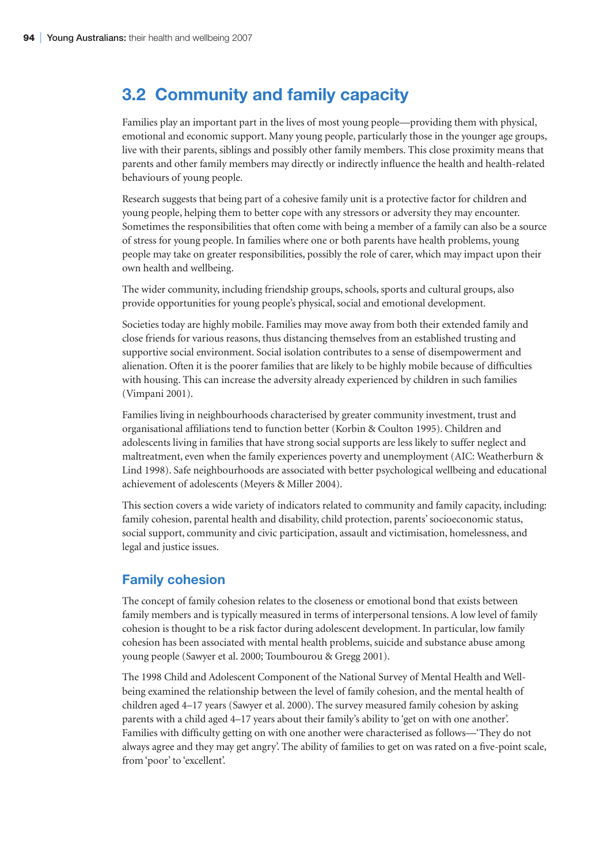## **3.2 Community and family capacity**

Families play an important part in the lives of most young people—providing them with physical, emotional and economic support. Many young people, particularly those in the younger age groups, live with their parents, siblings and possibly other family members. This close proximity means that parents and other family members may directly or indirectly influence the health and health-related behaviours of young people.

Research suggests that being part of a cohesive family unit is a protective factor for children and young people, helping them to better cope with any stressors or adversity they may encounter. Sometimes the responsibilities that often come with being a member of a family can also be a source of stress for young people. In families where one or both parents have health problems, young people may take on greater responsibilities, possibly the role of carer, which may impact upon their own health and wellbeing.

The wider community, including friendship groups, schools, sports and cultural groups, also provide opportunities for young people's physical, social and emotional development.

Societies today are highly mobile. Families may move away from both their extended family and close friends for various reasons, thus distancing themselves from an established trusting and supportive social environment. Social isolation contributes to a sense of disempowerment and alienation. Often it is the poorer families that are likely to be highly mobile because of difficulties with housing. This can increase the adversity already experienced by children in such families (Vimpani 2001).

Families living in neighbourhoods characterised by greater community investment, trust and organisational affiliations tend to function better (Korbin & Coulton 1995). Children and adolescents living in families that have strong social supports are less likely to suffer neglect and maltreatment, even when the family experiences poverty and unemployment (AIC: Weatherburn & Lind 1998). Safe neighbourhoods are associated with better psychological wellbeing and educational achievement of adolescents (Meyers & Miller 2004).

This section covers a wide variety of indicators related to community and family capacity, including: family cohesion, parental health and disability, child protection, parents' socioeconomic status, social support, community and civic participation, assault and victimisation, homelessness, and legal and justice issues.

## **Family cohesion**

The concept of family cohesion relates to the closeness or emotional bond that exists between family members and is typically measured in terms of interpersonal tensions. A low level of family cohesion is thought to be a risk factor during adolescent development. In particular, low family cohesion has been associated with mental health problems, suicide and substance abuse among young people (Sawyer et al. 2000; Toumbourou & Gregg 2001).

The 1998 Child and Adolescent Component of the National Survey of Mental Health and Wellbeing examined the relationship between the level of family cohesion, and the mental health of children aged 4–17 years (Sawyer et al. 2000). The survey measured family cohesion by asking parents with a child aged 4–17 years about their family's ability to 'get on with one another'. Families with difficulty getting on with one another were characterised as follows—'They do not always agree and they may get angry'. The ability of families to get on was rated on a five-point scale, from 'poor' to 'excellent'.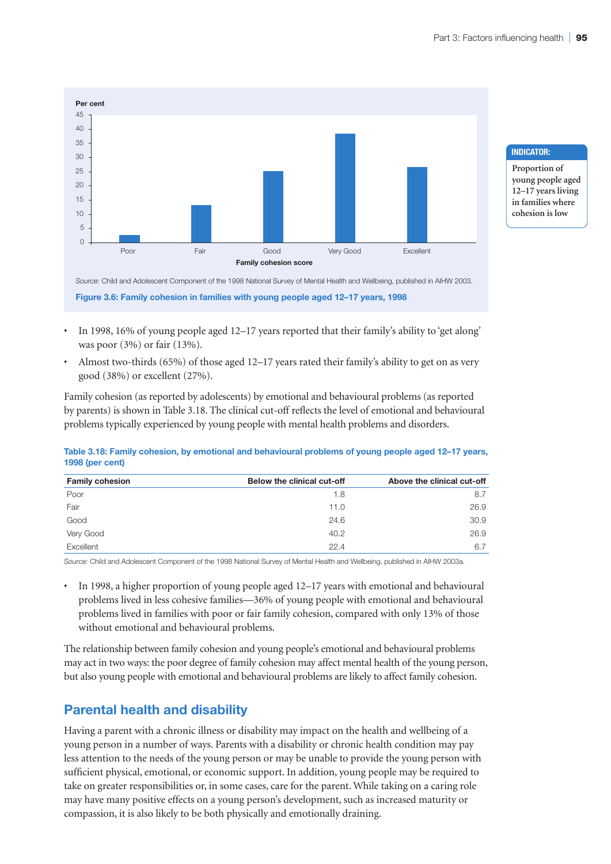

#### **Indicator:**

**Proportion of young people aged 12–17 years living in families where cohesion is low**

*Source:* Child and Adolescent Component of the 1998 National Survey of Mental Health and Wellbeing, published in AIHW 2003. **Figure 3.6: Family cohesion in families with young people aged 12–17 years, 1998**

- In 1998, 16% of young people aged 12–17 years reported that their family's ability to 'get along' was poor (3%) or fair (13%).
- Almost two-thirds (65%) of those aged 12–17 years rated their family's ability to get on as very good (38%) or excellent (27%).

Family cohesion (as reported by adolescents) by emotional and behavioural problems (as reported by parents) is shown in Table 3.18. The clinical cut-off reflects the level of emotional and behavioural problems typically experienced by young people with mental health problems and disorders.

**Table 3.18: Family cohesion, by emotional and behavioural problems of young people aged 12–17 years, 1998 (per cent)**

| <b>Family cohesion</b> | <b>Below the clinical cut-off</b> | Above the clinical cut-off |
|------------------------|-----------------------------------|----------------------------|
| Poor                   | 1.8                               | 8.7                        |
| Fair                   | 11.0                              | 26.9                       |
| Good                   | 24.6                              | 30.9                       |
| Very Good              | 40.2                              | 26.9                       |
| Excellent              | 22.4                              | 6.7                        |

*Source:* Child and Adolescent Component of the 1998 National Survey of Mental Health and Wellbeing, published in AIHW 2003a.

• In 1998, a higher proportion of young people aged 12–17 years with emotional and behavioural problems lived in less cohesive families—36% of young people with emotional and behavioural problems lived in families with poor or fair family cohesion, compared with only 13% of those without emotional and behavioural problems.

The relationship between family cohesion and young people's emotional and behavioural problems may act in two ways: the poor degree of family cohesion may affect mental health of the young person, but also young people with emotional and behavioural problems are likely to affect family cohesion.

## **Parental health and disability**

Having a parent with a chronic illness or disability may impact on the health and wellbeing of a young person in a number of ways. Parents with a disability or chronic health condition may pay less attention to the needs of the young person or may be unable to provide the young person with sufficient physical, emotional, or economic support. In addition, young people may be required to take on greater responsibilities or, in some cases, care for the parent. While taking on a caring role may have many positive effects on a young person's development, such as increased maturity or compassion, it is also likely to be both physically and emotionally draining.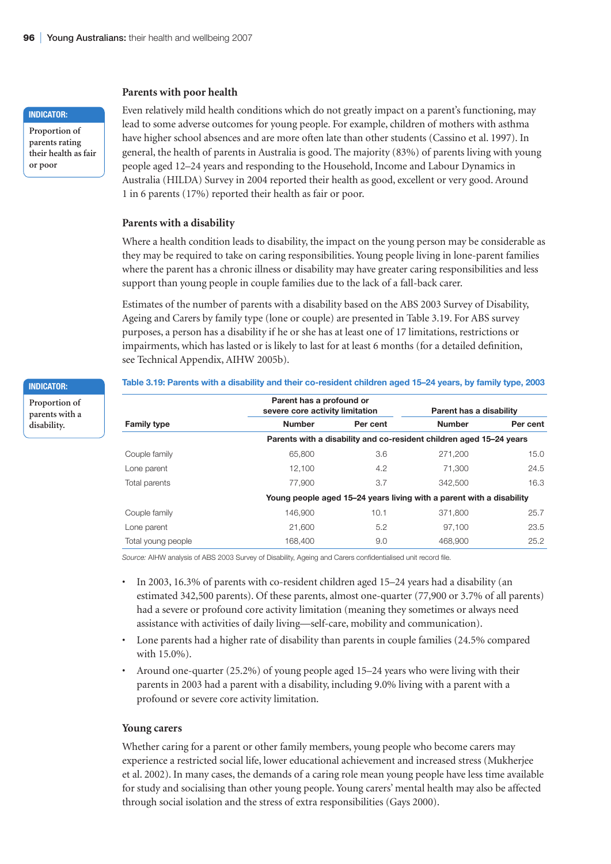#### **Parents with poor health**

#### **Indicator:**

**Proportion of parents rating their health as fair or poor**

Even relatively mild health conditions which do not greatly impact on a parent's functioning, may lead to some adverse outcomes for young people. For example, children of mothers with asthma have higher school absences and are more often late than other students (Cassino et al. 1997). In general, the health of parents in Australia is good. The majority (83%) of parents living with young people aged 12–24 years and responding to the Household, Income and Labour Dynamics in Australia (HILDA) Survey in 2004 reported their health as good, excellent or very good. Around 1 in 6 parents (17%) reported their health as fair or poor.

#### **Parents with a disability**

Where a health condition leads to disability, the impact on the young person may be considerable as they may be required to take on caring responsibilities. Young people living in lone-parent families where the parent has a chronic illness or disability may have greater caring responsibilities and less support than young people in couple families due to the lack of a fall-back carer.

Estimates of the number of parents with a disability based on the ABS 2003 Survey of Disability, Ageing and Carers by family type (lone or couple) are presented in Table 3.19. For ABS survey purposes, a person has a disability if he or she has at least one of 17 limitations, restrictions or impairments, which has lasted or is likely to last for at least 6 months (for a detailed definition, see Technical Appendix, AIHW 2005b).

#### **Table 3.19: Parents with a disability and their co-resident children aged 15–24 years, by family type, 2003**

|                    | Parent has a profound or<br>severe core activity limitation |                                                                     | Parent has a disability                                              |          |  |  |  |  |
|--------------------|-------------------------------------------------------------|---------------------------------------------------------------------|----------------------------------------------------------------------|----------|--|--|--|--|
| <b>Family type</b> | <b>Number</b>                                               | Per cent                                                            | <b>Number</b>                                                        | Per cent |  |  |  |  |
|                    |                                                             | Parents with a disability and co-resident children aged 15–24 years |                                                                      |          |  |  |  |  |
| Couple family      | 65,800                                                      | 3.6                                                                 | 271.200                                                              | 15.0     |  |  |  |  |
| Lone parent        | 12.100                                                      | 4.2                                                                 | 71,300                                                               | 24.5     |  |  |  |  |
| Total parents      | 77,900                                                      | 3.7                                                                 | 342,500                                                              | 16.3     |  |  |  |  |
|                    |                                                             |                                                                     | Young people aged 15–24 years living with a parent with a disability |          |  |  |  |  |
| Couple family      | 146.900                                                     | 10.1                                                                | 371,800                                                              | 25.7     |  |  |  |  |
| Lone parent        | 21,600                                                      | 5.2                                                                 | 97.100                                                               | 23.5     |  |  |  |  |
| Total young people | 168.400                                                     | 9.0                                                                 | 468,900                                                              | 25.2     |  |  |  |  |

*Source:* AIHW analysis of ABS 2003 Survey of Disability, Ageing and Carers confidentialised unit record file.

- In 2003, 16.3% of parents with co-resident children aged 15–24 years had a disability (an estimated 342,500 parents). Of these parents, almost one-quarter (77,900 or 3.7% of all parents) had a severe or profound core activity limitation (meaning they sometimes or always need assistance with activities of daily living—self-care, mobility and communication).
- Lone parents had a higher rate of disability than parents in couple families (24.5% compared with 15.0%).
- Around one-quarter (25.2%) of young people aged 15–24 years who were living with their parents in 2003 had a parent with a disability, including 9.0% living with a parent with a profound or severe core activity limitation.

#### **Young carers**

Whether caring for a parent or other family members, young people who become carers may experience a restricted social life, lower educational achievement and increased stress (Mukherjee et al. 2002). In many cases, the demands of a caring role mean young people have less time available for study and socialising than other young people. Young carers' mental health may also be affected through social isolation and the stress of extra responsibilities (Gays 2000).

#### **Indicator:**

**Proportion of parents with a disability.**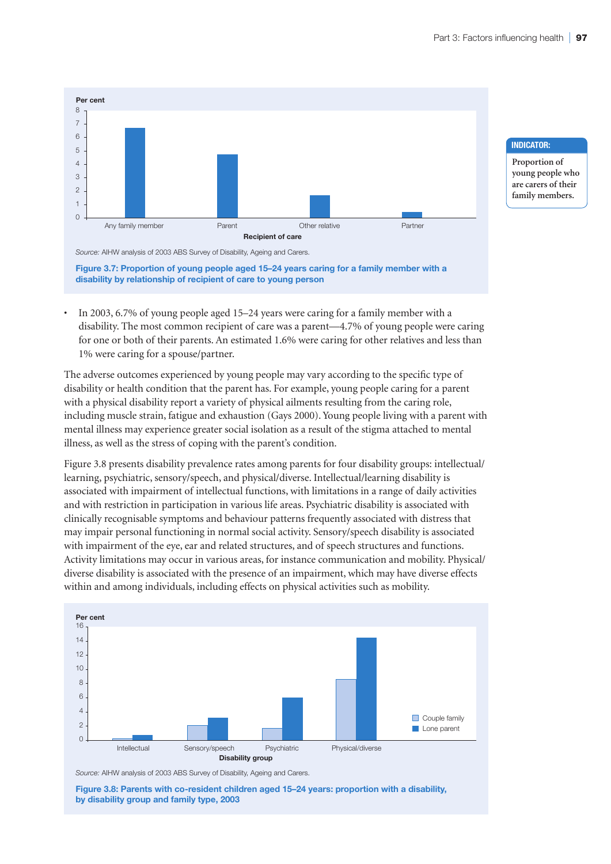

**Figure 3.7: Proportion of young people aged 15–24 years caring for a family member with a disability by relationship of recipient of care to young person**

• In 2003, 6.7% of young people aged 15–24 years were caring for a family member with a disability. The most common recipient of care was a parent—4.7% of young people were caring for one or both of their parents. An estimated 1.6% were caring for other relatives and less than 1% were caring for a spouse/partner.

The adverse outcomes experienced by young people may vary according to the specific type of disability or health condition that the parent has. For example, young people caring for a parent with a physical disability report a variety of physical ailments resulting from the caring role, including muscle strain, fatigue and exhaustion (Gays 2000). Young people living with a parent with mental illness may experience greater social isolation as a result of the stigma attached to mental illness, as well as the stress of coping with the parent's condition.

Figure 3.8 presents disability prevalence rates among parents for four disability groups: intellectual/ learning, psychiatric, sensory/speech, and physical/diverse. Intellectual/learning disability is associated with impairment of intellectual functions, with limitations in a range of daily activities and with restriction in participation in various life areas. Psychiatric disability is associated with clinically recognisable symptoms and behaviour patterns frequently associated with distress that may impair personal functioning in normal social activity. Sensory/speech disability is associated with impairment of the eye, ear and related structures, and of speech structures and functions. Activity limitations may occur in various areas, for instance communication and mobility. Physical/ diverse disability is associated with the presence of an impairment, which may have diverse effects within and among individuals, including effects on physical activities such as mobility.



*Source:* AIHW analysis of 2003 ABS Survey of Disability, Ageing and Carers.

**Figure 3.8: Parents with co-resident children aged 15–24 years: proportion with a disability, by disability group and family type, 2003**

#### **Indicator:**

**Proportion of young people who are carers of their family members.**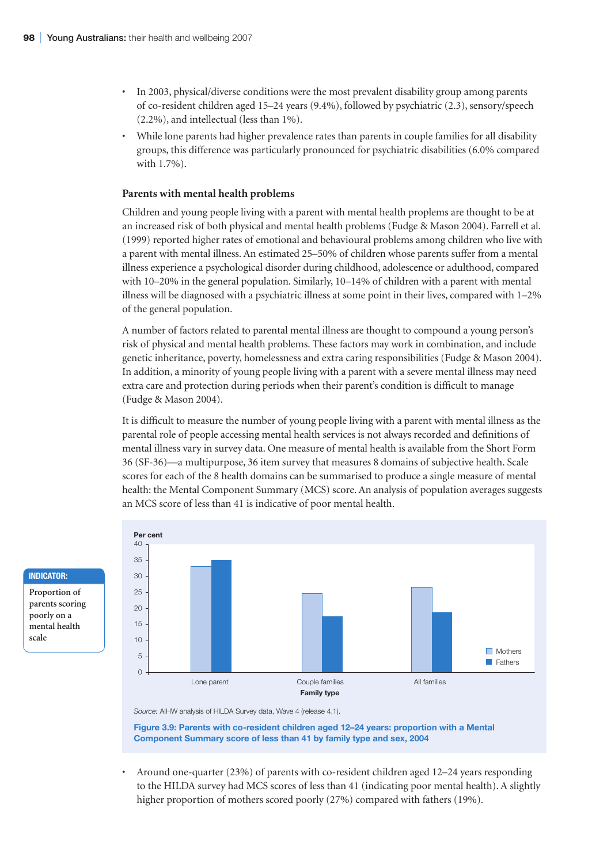- In 2003, physical/diverse conditions were the most prevalent disability group among parents of co-resident children aged 15–24 years (9.4%), followed by psychiatric (2.3), sensory/speech (2.2%), and intellectual (less than 1%).
- While lone parents had higher prevalence rates than parents in couple families for all disability groups, this difference was particularly pronounced for psychiatric disabilities (6.0% compared with 1.7%).

#### **Parents with mental health problems**

Children and young people living with a parent with mental health proplems are thought to be at an increased risk of both physical and mental health problems (Fudge & Mason 2004). Farrell et al. (1999) reported higher rates of emotional and behavioural problems among children who live with a parent with mental illness. An estimated 25–50% of children whose parents suffer from a mental illness experience a psychological disorder during childhood, adolescence or adulthood, compared with 10–20% in the general population. Similarly, 10–14% of children with a parent with mental illness will be diagnosed with a psychiatric illness at some point in their lives, compared with 1–2% of the general population.

A number of factors related to parental mental illness are thought to compound a young person's risk of physical and mental health problems. These factors may work in combination, and include genetic inheritance, poverty, homelessness and extra caring responsibilities (Fudge & Mason 2004). In addition, a minority of young people living with a parent with a severe mental illness may need extra care and protection during periods when their parent's condition is difficult to manage (Fudge & Mason 2004).

It is difficult to measure the number of young people living with a parent with mental illness as the parental role of people accessing mental health services is not always recorded and definitions of mental illness vary in survey data. One measure of mental health is available from the Short Form 36 (SF-36)—a multipurpose, 36 item survey that measures 8 domains of subjective health. Scale scores for each of the 8 health domains can be summarised to produce a single measure of mental health: the Mental Component Summary (MCS) score. An analysis of population averages suggests an MCS score of less than 41 is indicative of poor mental health.



**Indicator:**

**Proportion of parents scoring poorly on a mental health scale**

**Figure 3.9: Parents with co-resident children aged 12–24 years: proportion with a Mental Component Summary score of less than 41 by family type and sex, 2004**

• Around one-quarter (23%) of parents with co-resident children aged 12–24 years responding to the HILDA survey had MCS scores of less than 41 (indicating poor mental health). A slightly higher proportion of mothers scored poorly (27%) compared with fathers (19%).

*Source:* AIHW analysis of HILDA Survey data, Wave 4 (release 4.1).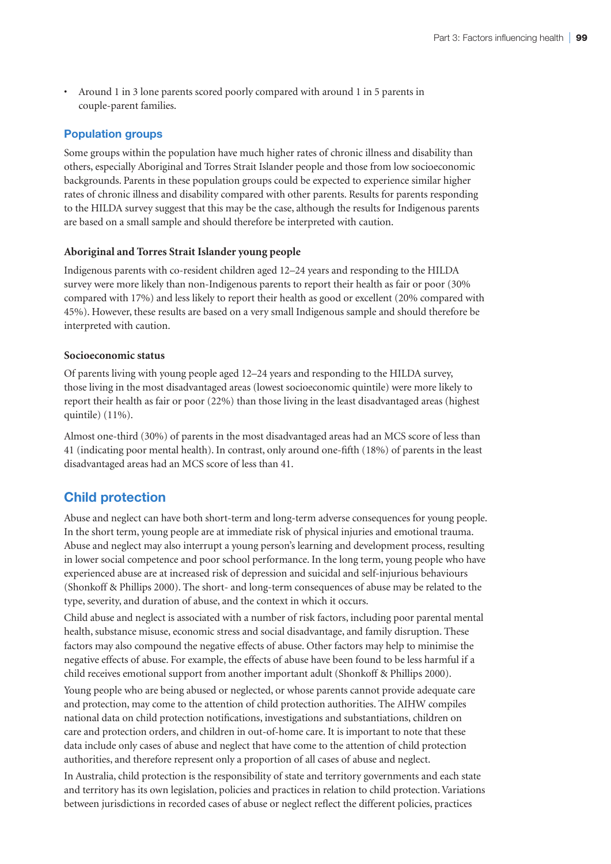• Around 1 in 3 lone parents scored poorly compared with around 1 in 5 parents in couple-parent families.

#### **Population groups**

Some groups within the population have much higher rates of chronic illness and disability than others, especially Aboriginal and Torres Strait Islander people and those from low socioeconomic backgrounds. Parents in these population groups could be expected to experience similar higher rates of chronic illness and disability compared with other parents. Results for parents responding to the HILDA survey suggest that this may be the case, although the results for Indigenous parents are based on a small sample and should therefore be interpreted with caution.

#### **Aboriginal and Torres Strait Islander young people**

Indigenous parents with co-resident children aged 12–24 years and responding to the HILDA survey were more likely than non-Indigenous parents to report their health as fair or poor (30% compared with 17%) and less likely to report their health as good or excellent (20% compared with 45%). However, these results are based on a very small Indigenous sample and should therefore be interpreted with caution.

#### **Socioeconomic status**

Of parents living with young people aged 12–24 years and responding to the HILDA survey, those living in the most disadvantaged areas (lowest socioeconomic quintile) were more likely to report their health as fair or poor (22%) than those living in the least disadvantaged areas (highest quintile) (11%).

Almost one-third (30%) of parents in the most disadvantaged areas had an MCS score of less than 41 (indicating poor mental health). In contrast, only around one-fifth (18%) of parents in the least disadvantaged areas had an MCS score of less than 41.

## **Child protection**

Abuse and neglect can have both short-term and long-term adverse consequences for young people. In the short term, young people are at immediate risk of physical injuries and emotional trauma. Abuse and neglect may also interrupt a young person's learning and development process, resulting in lower social competence and poor school performance. In the long term, young people who have experienced abuse are at increased risk of depression and suicidal and self-injurious behaviours (Shonkoff & Phillips 2000). The short- and long-term consequences of abuse may be related to the type, severity, and duration of abuse, and the context in which it occurs.

Child abuse and neglect is associated with a number of risk factors, including poor parental mental health, substance misuse, economic stress and social disadvantage, and family disruption. These factors may also compound the negative effects of abuse. Other factors may help to minimise the negative effects of abuse. For example, the effects of abuse have been found to be less harmful if a child receives emotional support from another important adult (Shonkoff & Phillips 2000).

Young people who are being abused or neglected, or whose parents cannot provide adequate care and protection, may come to the attention of child protection authorities. The AIHW compiles national data on child protection notifications, investigations and substantiations, children on care and protection orders, and children in out-of-home care. It is important to note that these data include only cases of abuse and neglect that have come to the attention of child protection authorities, and therefore represent only a proportion of all cases of abuse and neglect.

In Australia, child protection is the responsibility of state and territory governments and each state and territory has its own legislation, policies and practices in relation to child protection. Variations between jurisdictions in recorded cases of abuse or neglect reflect the different policies, practices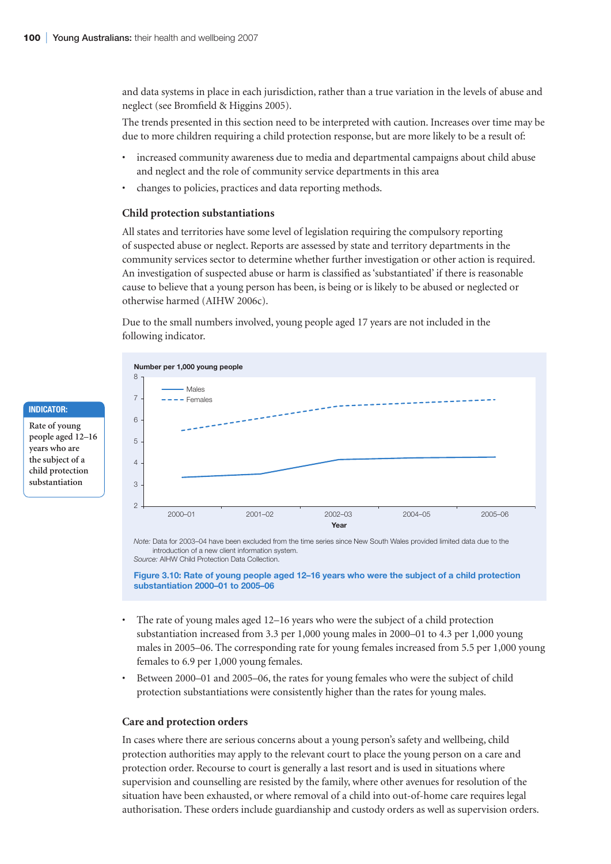and data systems in place in each jurisdiction, rather than a true variation in the levels of abuse and neglect (see Bromfield & Higgins 2005).

The trends presented in this section need to be interpreted with caution. Increases over time may be due to more children requiring a child protection response, but are more likely to be a result of:

- increased community awareness due to media and departmental campaigns about child abuse and neglect and the role of community service departments in this area
- changes to policies, practices and data reporting methods.

#### **Child protection substantiations**

All states and territories have some level of legislation requiring the compulsory reporting of suspected abuse or neglect. Reports are assessed by state and territory departments in the community services sector to determine whether further investigation or other action is required. An investigation of suspected abuse or harm is classified as 'substantiated' if there is reasonable cause to believe that a young person has been, is being or is likely to be abused or neglected or otherwise harmed (AIHW 2006c).

Due to the small numbers involved, young people aged 17 years are not included in the following indicator.



*Note:* Data for 2003–04 have been excluded from the time series since New South Wales provided limited data due to the introduction of a new client information system. *Source:* AIHW Child Protection Data Collection.

**Figure 3.10: Rate of young people aged 12–16 years who were the subject of a child protection substantiation 2000–01 to 2005–06**

- The rate of young males aged 12–16 years who were the subject of a child protection substantiation increased from 3.3 per 1,000 young males in 2000–01 to 4.3 per 1,000 young males in 2005–06. The corresponding rate for young females increased from 5.5 per 1,000 young females to 6.9 per 1,000 young females.
- Between 2000–01 and 2005–06, the rates for young females who were the subject of child protection substantiations were consistently higher than the rates for young males.

#### **Care and protection orders**

In cases where there are serious concerns about a young person's safety and wellbeing, child protection authorities may apply to the relevant court to place the young person on a care and protection order. Recourse to court is generally a last resort and is used in situations where supervision and counselling are resisted by the family, where other avenues for resolution of the situation have been exhausted, or where removal of a child into out-of-home care requires legal authorisation. These orders include guardianship and custody orders as well as supervision orders.

**people aged 12–16 years who are the subject of a child protection substantiation**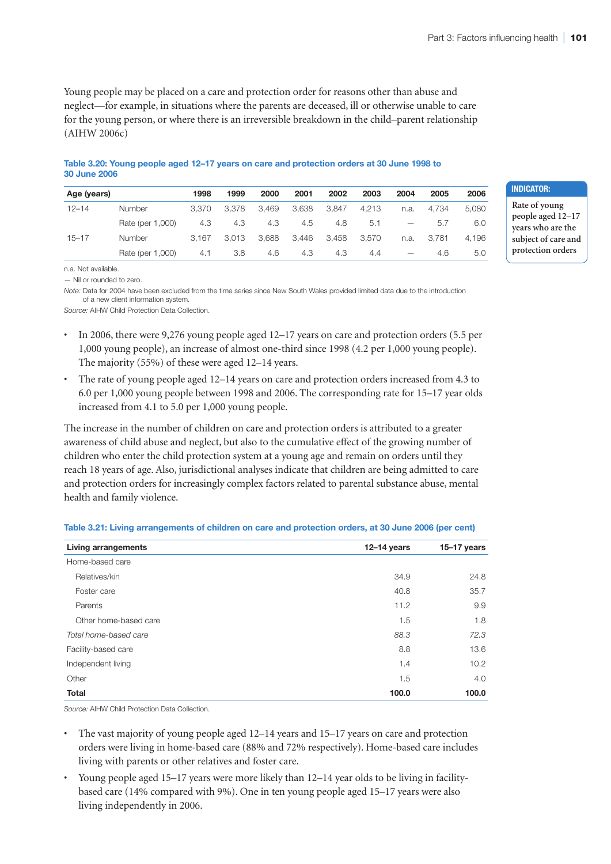Young people may be placed on a care and protection order for reasons other than abuse and neglect—for example, in situations where the parents are deceased, ill or otherwise unable to care for the young person, or where there is an irreversible breakdown in the child–parent relationship (AIHW 2006c)

**Table 3.20: Young people aged 12–17 years on care and protection orders at 30 June 1998 to 30 June 2006**

| Age (years) |                  | 1998  | 1999  | 2000  | 2001  | 2002  | 2003  | 2004 | 2005  | 2006  |
|-------------|------------------|-------|-------|-------|-------|-------|-------|------|-------|-------|
| $12 - 14$   | <b>Number</b>    | 3.370 | 3.378 | 3.469 | 3.638 | 3.847 | 4.213 | n.a. | 4.734 | 5.080 |
|             | Rate (per 1,000) | 4.3   | 4.3   | 4.3   | 4.5   | 4.8   | 5.1   |      | 5.7   | 6.0   |
| $15 - 17$   | Number           | 3.167 | 3.013 | 3.688 | 3.446 | 3.458 | 3.570 | n.a. | 3.781 | 4,196 |
|             | Rate (per 1,000) | 4.1   | 3.8   | 4.6   | 4.3   | 4.3   | 4.4   |      | 4.6   | 5.0   |

n.a. Not available.

— Nil or rounded to zero.

*Note:* Data for 2004 have been excluded from the time series since New South Wales provided limited data due to the introduction of a new client information system.

*Source:* AIHW Child Protection Data Collection.

- In 2006, there were 9,276 young people aged 12–17 years on care and protection orders (5.5 per 1,000 young people), an increase of almost one-third since 1998 (4.2 per 1,000 young people). The majority (55%) of these were aged 12–14 years.
- The rate of young people aged 12–14 years on care and protection orders increased from 4.3 to 6.0 per 1,000 young people between 1998 and 2006. The corresponding rate for 15–17 year olds increased from 4.1 to 5.0 per 1,000 young people.

The increase in the number of children on care and protection orders is attributed to a greater awareness of child abuse and neglect, but also to the cumulative effect of the growing number of children who enter the child protection system at a young age and remain on orders until they reach 18 years of age. Also, jurisdictional analyses indicate that children are being admitted to care and protection orders for increasingly complex factors related to parental substance abuse, mental health and family violence.

| <b>Living arrangements</b> | $12 - 14$ years | $15-17$ years |
|----------------------------|-----------------|---------------|
| Home-based care            |                 |               |
| Relatives/kin              | 34.9            | 24.8          |
| Foster care                | 40.8            | 35.7          |
| Parents                    | 11.2            | 9.9           |
| Other home-based care      | 1.5             | 1.8           |
| Total home-based care      | 88.3            | 72.3          |
| Facility-based care        | 8.8             | 13.6          |
| Independent living         | 1.4             | 10.2          |
| Other                      | 1.5             | 4.0           |
| <b>Total</b>               | 100.0           | 100.0         |

**Table 3.21: Living arrangements of children on care and protection orders, at 30 June 2006 (per cent)**

*Source:* AIHW Child Protection Data Collection.

• The vast majority of young people aged 12–14 years and 15–17 years on care and protection orders were living in home-based care (88% and 72% respectively). Home-based care includes living with parents or other relatives and foster care.

• Young people aged 15–17 years were more likely than 12–14 year olds to be living in facilitybased care (14% compared with 9%). One in ten young people aged 15–17 years were also living independently in 2006.

## **Indicator:**

**Rate of young people aged 12–17 years who are the subject of care and protection orders**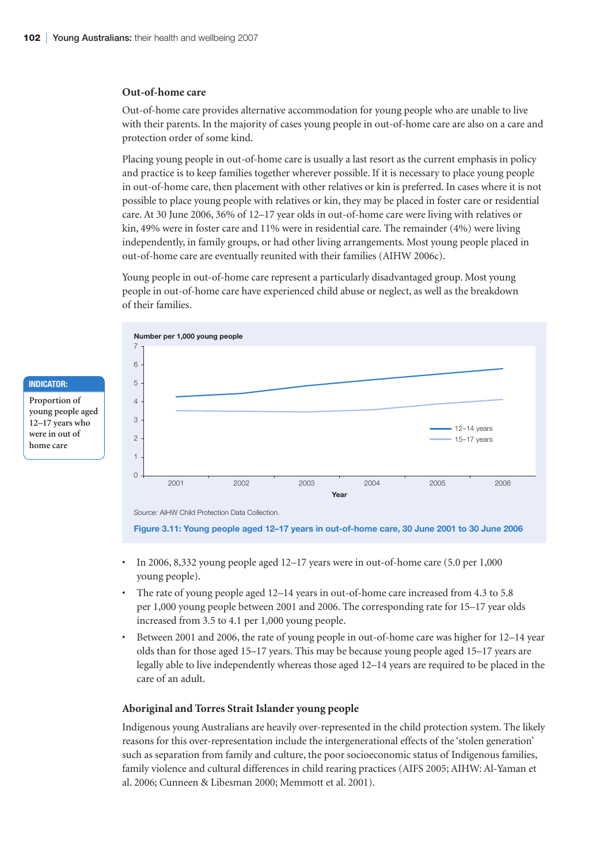#### **Out-of-home care**

Out-of-home care provides alternative accommodation for young people who are unable to live with their parents. In the majority of cases young people in out-of-home care are also on a care and protection order of some kind.

Placing young people in out-of-home care is usually a last resort as the current emphasis in policy and practice is to keep families together wherever possible. If it is necessary to place young people in out-of-home care, then placement with other relatives or kin is preferred. In cases where it is not possible to place young people with relatives or kin, they may be placed in foster care or residential care. At 30 June 2006, 36% of 12–17 year olds in out-of-home care were living with relatives or kin, 49% were in foster care and 11% were in residential care. The remainder (4%) were living independently, in family groups, or had other living arrangements. Most young people placed in out-of-home care are eventually reunited with their families (AIHW 2006c).

Young people in out-of-home care represent a particularly disadvantaged group. Most young people in out-of-home care have experienced child abuse or neglect, as well as the breakdown of their families.





*Source:* AIHW Child Protection Data Collection.

**Figure 3.11: Young people aged 12–17 years in out-of-home care, 30 June 2001 to 30 June 2006**

- In 2006, 8,332 young people aged 12–17 years were in out-of-home care (5.0 per 1,000 young people).
- The rate of young people aged 12–14 years in out-of-home care increased from 4.3 to 5.8 per 1,000 young people between 2001 and 2006. The corresponding rate for 15–17 year olds increased from 3.5 to 4.1 per 1,000 young people.
- Between 2001 and 2006, the rate of young people in out-of-home care was higher for 12–14 year olds than for those aged 15–17 years. This may be because young people aged 15–17 years are legally able to live independently whereas those aged 12–14 years are required to be placed in the care of an adult.

#### **Aboriginal and Torres Strait Islander young people**

Indigenous young Australians are heavily over-represented in the child protection system. The likely reasons for this over-representation include the intergenerational effects of the 'stolen generation' such as separation from family and culture, the poor socioeconomic status of Indigenous families, family violence and cultural differences in child rearing practices (AIFS 2005; AIHW: Al-Yaman et al. 2006; Cunneen & Libesman 2000; Memmott et al. 2001).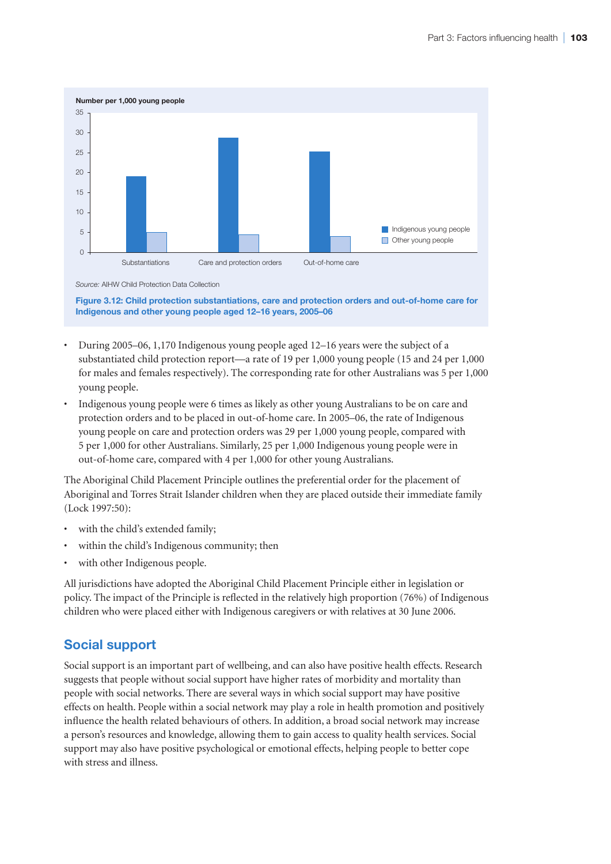

*Source:* AIHW Child Protection Data Collection

**Figure 3.12: Child protection substantiations, care and protection orders and out-of-home care for Indigenous and other young people aged 12–16 years, 2005–06**

- During 2005–06, 1,170 Indigenous young people aged 12–16 years were the subject of a substantiated child protection report—a rate of 19 per 1,000 young people (15 and 24 per 1,000 for males and females respectively). The corresponding rate for other Australians was 5 per 1,000 young people.
- Indigenous young people were 6 times as likely as other young Australians to be on care and protection orders and to be placed in out-of-home care. In 2005–06, the rate of Indigenous young people on care and protection orders was 29 per 1,000 young people, compared with 5 per 1,000 for other Australians. Similarly, 25 per 1,000 Indigenous young people were in out-of-home care, compared with 4 per 1,000 for other young Australians.

The Aboriginal Child Placement Principle outlines the preferential order for the placement of Aboriginal and Torres Strait Islander children when they are placed outside their immediate family (Lock 1997:50):

- with the child's extended family;
- within the child's Indigenous community; then
- with other Indigenous people.

All jurisdictions have adopted the Aboriginal Child Placement Principle either in legislation or policy. The impact of the Principle is reflected in the relatively high proportion (76%) of Indigenous children who were placed either with Indigenous caregivers or with relatives at 30 June 2006.

## **Social support**

Social support is an important part of wellbeing, and can also have positive health effects. Research suggests that people without social support have higher rates of morbidity and mortality than people with social networks. There are several ways in which social support may have positive effects on health. People within a social network may play a role in health promotion and positively influence the health related behaviours of others. In addition, a broad social network may increase a person's resources and knowledge, allowing them to gain access to quality health services. Social support may also have positive psychological or emotional effects, helping people to better cope with stress and illness.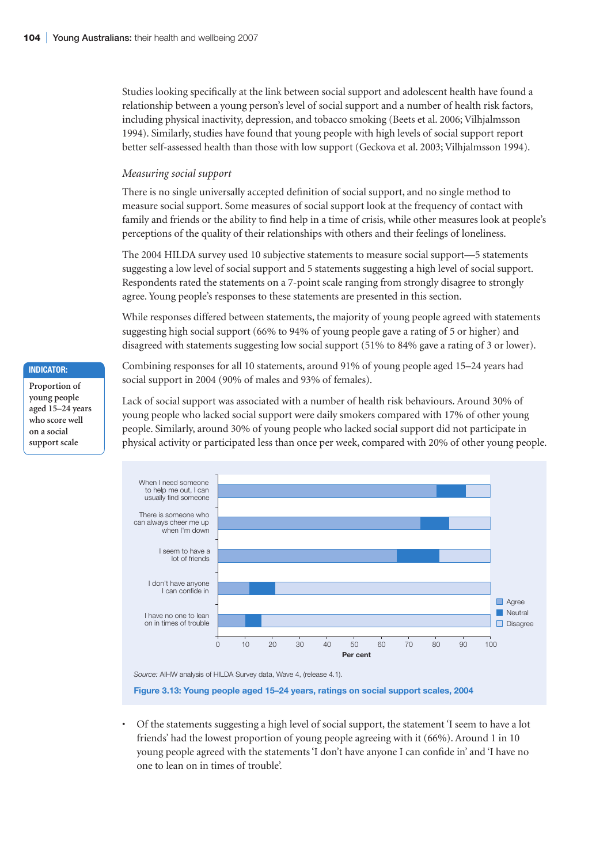Studies looking specifically at the link between social support and adolescent health have found a relationship between a young person's level of social support and a number of health risk factors, including physical inactivity, depression, and tobacco smoking (Beets et al. 2006; Vilhjalmsson 1994). Similarly, studies have found that young people with high levels of social support report better self-assessed health than those with low support (Geckova et al. 2003; Vilhjalmsson 1994).

#### *Measuring social support*

There is no single universally accepted definition of social support, and no single method to measure social support. Some measures of social support look at the frequency of contact with family and friends or the ability to find help in a time of crisis, while other measures look at people's perceptions of the quality of their relationships with others and their feelings of loneliness.

The 2004 HILDA survey used 10 subjective statements to measure social support—5 statements suggesting a low level of social support and 5 statements suggesting a high level of social support. Respondents rated the statements on a 7-point scale ranging from strongly disagree to strongly agree. Young people's responses to these statements are presented in this section.

While responses differed between statements, the majority of young people agreed with statements suggesting high social support (66% to 94% of young people gave a rating of 5 or higher) and disagreed with statements suggesting low social support (51% to 84% gave a rating of 3 or lower).

Combining responses for all 10 statements, around 91% of young people aged 15–24 years had social support in 2004 (90% of males and 93% of females).

Lack of social support was associated with a number of health risk behaviours. Around 30% of young people who lacked social support were daily smokers compared with 17% of other young people. Similarly, around 30% of young people who lacked social support did not participate in physical activity or participated less than once per week, compared with 20% of other young people.



*Source:* AIHW analysis of HILDA Survey data, Wave 4, (release 4.1).

**Figure 3.13: Young people aged 15–24 years, ratings on social support scales, 2004**

• Of the statements suggesting a high level of social support, the statement 'I seem to have a lot friends' had the lowest proportion of young people agreeing with it (66%). Around 1 in 10 young people agreed with the statements 'I don't have anyone I can confide in' and 'I have no one to lean on in times of trouble'.

#### **Indicator:**

**Proportion of young people aged 15–24 years who score well on a social support scale**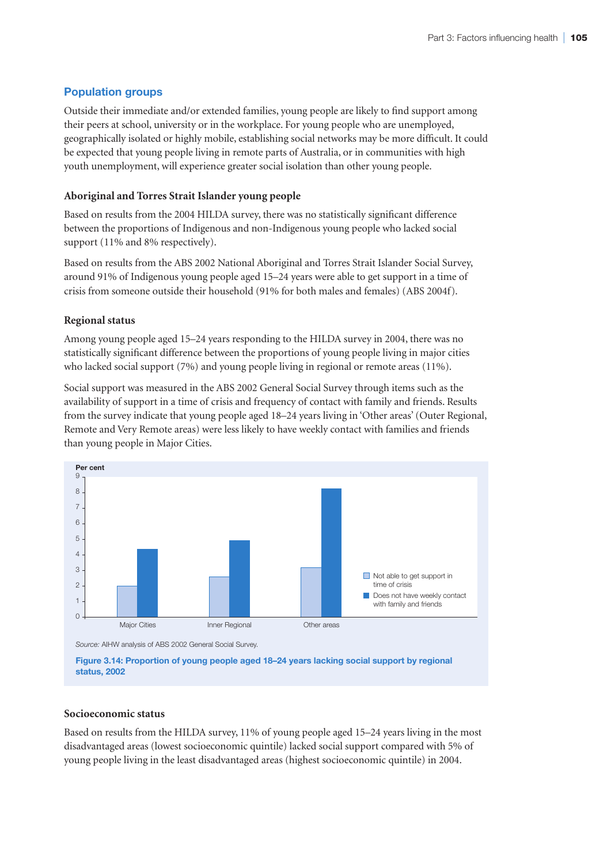## **Population groups**

Outside their immediate and/or extended families, young people are likely to find support among their peers at school, university or in the workplace. For young people who are unemployed, geographically isolated or highly mobile, establishing social networks may be more difficult. It could be expected that young people living in remote parts of Australia, or in communities with high youth unemployment, will experience greater social isolation than other young people.

### **Aboriginal and Torres Strait Islander young people**

Based on results from the 2004 HILDA survey, there was no statistically significant difference between the proportions of Indigenous and non-Indigenous young people who lacked social support (11% and 8% respectively).

Based on results from the ABS 2002 National Aboriginal and Torres Strait Islander Social Survey, around 91% of Indigenous young people aged 15–24 years were able to get support in a time of crisis from someone outside their household (91% for both males and females) (ABS 2004f).

### **Regional status**

Among young people aged 15–24 years responding to the HILDA survey in 2004, there was no statistically significant difference between the proportions of young people living in major cities who lacked social support (7%) and young people living in regional or remote areas (11%).

Social support was measured in the ABS 2002 General Social Survey through items such as the availability of support in a time of crisis and frequency of contact with family and friends. Results from the survey indicate that young people aged 18–24 years living in 'Other areas' (Outer Regional, Remote and Very Remote areas) were less likely to have weekly contact with families and friends than young people in Major Cities.



*Source:* AIHW analysis of ABS 2002 General Social Survey.

**Figure 3.14: Proportion of young people aged 18–24 years lacking social support by regional status, 2002**

#### **Socioeconomic status**

Based on results from the HILDA survey, 11% of young people aged 15–24 years living in the most disadvantaged areas (lowest socioeconomic quintile) lacked social support compared with 5% of young people living in the least disadvantaged areas (highest socioeconomic quintile) in 2004.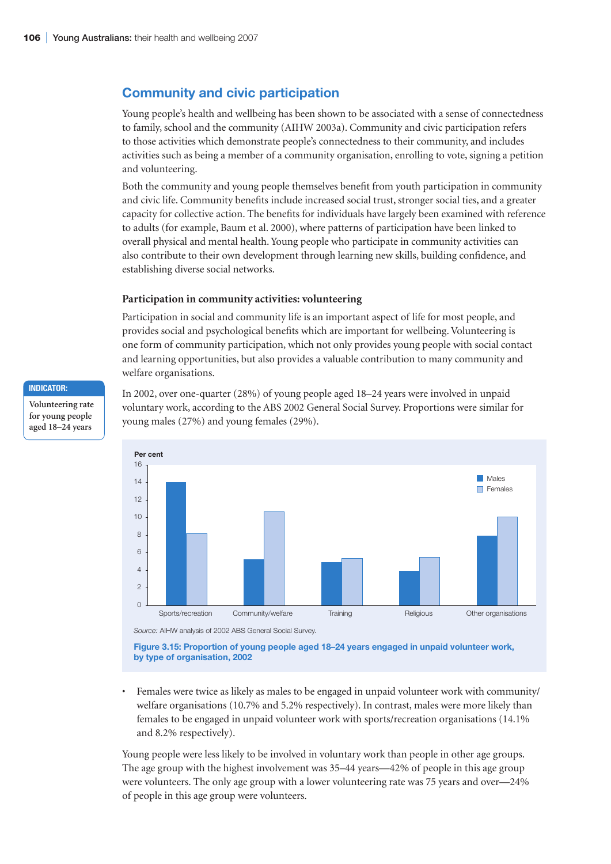## **Community and civic participation**

Young people's health and wellbeing has been shown to be associated with a sense of connectedness to family, school and the community (AIHW 2003a). Community and civic participation refers to those activities which demonstrate people's connectedness to their community, and includes activities such as being a member of a community organisation, enrolling to vote, signing a petition and volunteering.

Both the community and young people themselves benefit from youth participation in community and civic life. Community benefits include increased social trust, stronger social ties, and a greater capacity for collective action. The benefits for individuals have largely been examined with reference to adults (for example, Baum et al. 2000), where patterns of participation have been linked to overall physical and mental health. Young people who participate in community activities can also contribute to their own development through learning new skills, building confidence, and establishing diverse social networks.

### **Participation in community activities: volunteering**

Participation in social and community life is an important aspect of life for most people, and provides social and psychological benefits which are important for wellbeing. Volunteering is one form of community participation, which not only provides young people with social contact and learning opportunities, but also provides a valuable contribution to many community and welfare organisations.

In 2002, over one-quarter (28%) of young people aged 18–24 years were involved in unpaid voluntary work, according to the ABS 2002 General Social Survey. Proportions were similar for young males (27%) and young females (29%).



*Source:* AIHW analysis of 2002 ABS General Social Survey.

**Figure 3.15: Proportion of young people aged 18–24 years engaged in unpaid volunteer work, by type of organisation, 2002**

• Females were twice as likely as males to be engaged in unpaid volunteer work with community/ welfare organisations (10.7% and 5.2% respectively). In contrast, males were more likely than females to be engaged in unpaid volunteer work with sports/recreation organisations (14.1% and 8.2% respectively).

Young people were less likely to be involved in voluntary work than people in other age groups. The age group with the highest involvement was 35–44 years—42% of people in this age group were volunteers. The only age group with a lower volunteering rate was 75 years and over—24% of people in this age group were volunteers.

#### **Indicator:**

**Volunteering rate for young people aged 18–24 years**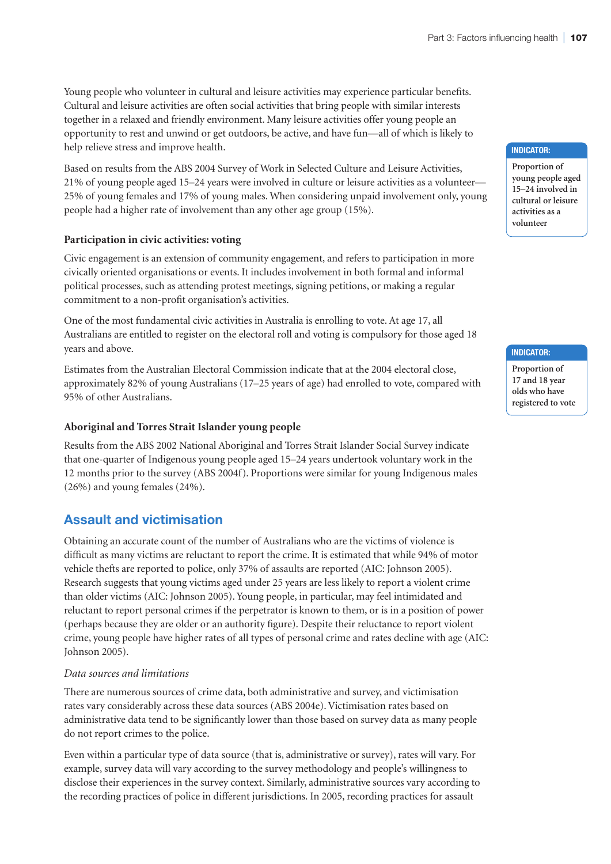Young people who volunteer in cultural and leisure activities may experience particular benefits. Cultural and leisure activities are often social activities that bring people with similar interests together in a relaxed and friendly environment. Many leisure activities offer young people an opportunity to rest and unwind or get outdoors, be active, and have fun—all of which is likely to help relieve stress and improve health.

Based on results from the ABS 2004 Survey of Work in Selected Culture and Leisure Activities, 21% of young people aged 15–24 years were involved in culture or leisure activities as a volunteer— 25% of young females and 17% of young males. When considering unpaid involvement only, young people had a higher rate of involvement than any other age group (15%).

## **Participation in civic activities: voting**

Civic engagement is an extension of community engagement, and refers to participation in more civically oriented organisations or events. It includes involvement in both formal and informal political processes, such as attending protest meetings, signing petitions, or making a regular commitment to a non-profit organisation's activities.

One of the most fundamental civic activities in Australia is enrolling to vote. At age 17, all Australians are entitled to register on the electoral roll and voting is compulsory for those aged 18 years and above.

Estimates from the Australian Electoral Commission indicate that at the 2004 electoral close, approximately 82% of young Australians (17–25 years of age) had enrolled to vote, compared with 95% of other Australians.

## **Aboriginal and Torres Strait Islander young people**

Results from the ABS 2002 National Aboriginal and Torres Strait Islander Social Survey indicate that one-quarter of Indigenous young people aged 15–24 years undertook voluntary work in the 12 months prior to the survey (ABS 2004f). Proportions were similar for young Indigenous males (26%) and young females (24%).

## **Assault and victimisation**

Obtaining an accurate count of the number of Australians who are the victims of violence is difficult as many victims are reluctant to report the crime. It is estimated that while 94% of motor vehicle thefts are reported to police, only 37% of assaults are reported (AIC: Johnson 2005). Research suggests that young victims aged under 25 years are less likely to report a violent crime than older victims (AIC: Johnson 2005). Young people, in particular, may feel intimidated and reluctant to report personal crimes if the perpetrator is known to them, or is in a position of power (perhaps because they are older or an authority figure). Despite their reluctance to report violent crime, young people have higher rates of all types of personal crime and rates decline with age (AIC: Johnson 2005).

## *Data sources and limitations*

There are numerous sources of crime data, both administrative and survey, and victimisation rates vary considerably across these data sources (ABS 2004e). Victimisation rates based on administrative data tend to be significantly lower than those based on survey data as many people do not report crimes to the police.

Even within a particular type of data source (that is, administrative or survey), rates will vary. For example, survey data will vary according to the survey methodology and people's willingness to disclose their experiences in the survey context. Similarly, administrative sources vary according to the recording practices of police in different jurisdictions. In 2005, recording practices for assault

### **Indicator:**

**Proportion of young people aged 15–24 involved in cultural or leisure activities as a volunteer**

## **Indicator:**

**Proportion of 17 and 18 year olds who have registered to vote**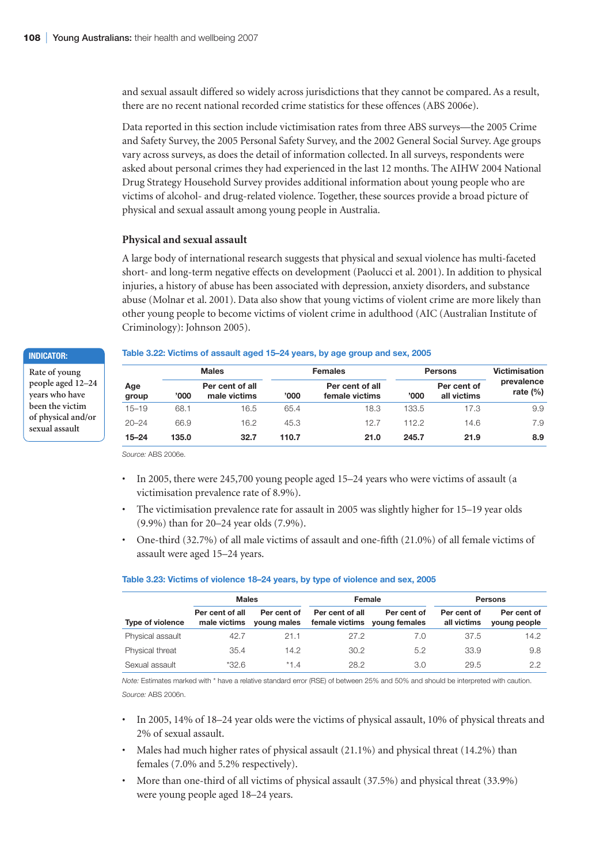and sexual assault differed so widely across jurisdictions that they cannot be compared. As a result, there are no recent national recorded crime statistics for these offences (ABS 2006e).

Data reported in this section include victimisation rates from three ABS surveys—the 2005 Crime and Safety Survey, the 2005 Personal Safety Survey, and the 2002 General Social Survey. Age groups vary across surveys, as does the detail of information collected. In all surveys, respondents were asked about personal crimes they had experienced in the last 12 months. The AIHW 2004 National Drug Strategy Household Survey provides additional information about young people who are victims of alcohol- and drug-related violence. Together, these sources provide a broad picture of physical and sexual assault among young people in Australia.

#### **Physical and sexual assault**

A large body of international research suggests that physical and sexual violence has multi-faceted short- and long-term negative effects on development (Paolucci et al. 2001). In addition to physical injuries, a history of abuse has been associated with depression, anxiety disorders, and substance abuse (Molnar et al. 2001). Data also show that young victims of violent crime are more likely than other young people to become victims of violent crime in adulthood (AIC (Australian Institute of Criminology): Johnson 2005).

#### **Indicator:**

**Rate of young people aged 12–24 years who have been the victim of physical and/or sexual assault**

#### **Table 3.22: Victims of assault aged 15–24 years, by age group and sex, 2005**

|              |       | <b>Males</b>                    |       | <b>Females</b>                    |       | <b>Persons</b>             | <b>Victimisation</b>      |
|--------------|-------|---------------------------------|-------|-----------------------------------|-------|----------------------------|---------------------------|
| Age<br>group | '000  | Per cent of all<br>male victims | '000' | Per cent of all<br>female victims | '000  | Per cent of<br>all victims | prevalence<br>rate $(\%)$ |
| $15 - 19$    | 68.1  | 16.5                            | 65.4  | 18.3                              | 133.5 | 17.3                       | 9.9                       |
| $20 - 24$    | 66.9  | 16.2                            | 45.3  | 12.7                              | 112.2 | 14.6                       | 7.9                       |
| $15 - 24$    | 135.0 | 32.7                            | 110.7 | 21.0                              | 245.7 | 21.9                       | 8.9                       |

*Source:* ABS 2006e.

- In 2005, there were 245,700 young people aged 15–24 years who were victims of assault (a victimisation prevalence rate of 8.9%).
- The victimisation prevalence rate for assault in 2005 was slightly higher for 15–19 year olds (9.9%) than for 20–24 year olds (7.9%).
- One-third (32.7%) of all male victims of assault and one-fifth (21.0%) of all female victims of assault were aged 15–24 years.

#### **Table 3.23: Victims of violence 18–24 years, by type of violence and sex, 2005**

|                         |                                 | <b>Males</b>               |                                   | Female                       | <b>Persons</b>             |                             |  |
|-------------------------|---------------------------------|----------------------------|-----------------------------------|------------------------------|----------------------------|-----------------------------|--|
| <b>Type of violence</b> | Per cent of all<br>male victims | Per cent of<br>young males | Per cent of all<br>female victims | Per cent of<br>young females | Per cent of<br>all victims | Per cent of<br>young people |  |
| Physical assault        | 42.7                            | 21.1                       | 27.2                              | 7.0                          | 37.5                       | 14.2                        |  |
| Physical threat         | 35.4                            | 14.2                       | 30.2                              | 5.2                          | 33.9                       | 9.8                         |  |
| Sexual assault          | $*32.6$                         | $*1.4$                     | 28.2                              | 3.0                          | 29.5                       | 2.2                         |  |

*Note:* Estimates marked with \* have a relative standard error (RSE) of between 25% and 50% and should be interpreted with caution. *Source:* ABS 2006n.

- In 2005, 14% of 18–24 year olds were the victims of physical assault, 10% of physical threats and 2% of sexual assault.
- Males had much higher rates of physical assault (21.1%) and physical threat (14.2%) than females (7.0% and 5.2% respectively).
- More than one-third of all victims of physical assault (37.5%) and physical threat (33.9%) were young people aged 18–24 years.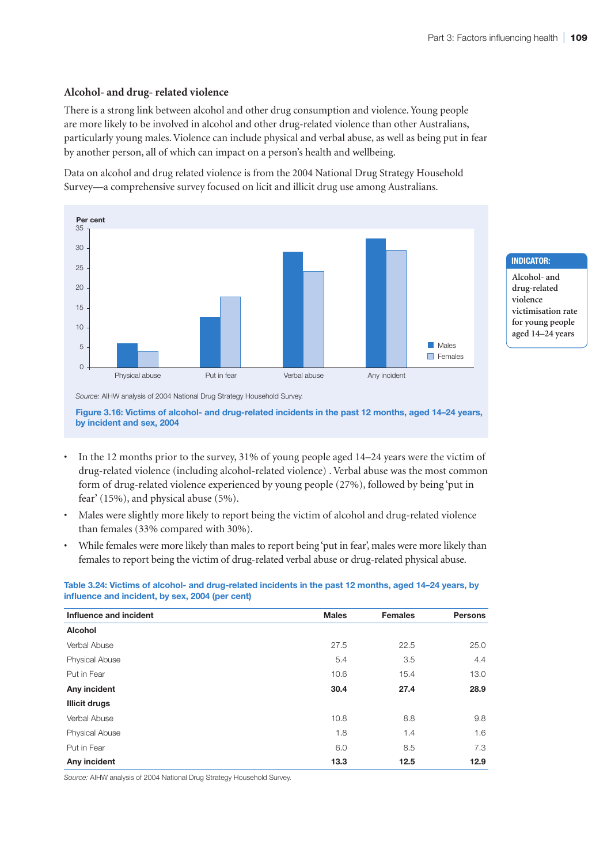### **Alcohol- and drug- related violence**

There is a strong link between alcohol and other drug consumption and violence. Young people are more likely to be involved in alcohol and other drug-related violence than other Australians, particularly young males. Violence can include physical and verbal abuse, as well as being put in fear by another person, all of which can impact on a person's health and wellbeing.

Data on alcohol and drug related violence is from the 2004 National Drug Strategy Household Survey—a comprehensive survey focused on licit and illicit drug use among Australians.



**Indicator: Alcohol- and drug-related violence victimisation rate for young people aged 14–24 years**

**Figure 3.16: Victims of alcohol- and drug-related incidents in the past 12 months, aged 14–24 years, by incident and sex, 2004**

- In the 12 months prior to the survey, 31% of young people aged 14–24 years were the victim of drug-related violence (including alcohol-related violence) . Verbal abuse was the most common form of drug-related violence experienced by young people (27%), followed by being 'put in fear' (15%), and physical abuse (5%).
- Males were slightly more likely to report being the victim of alcohol and drug-related violence than females (33% compared with 30%).
- While females were more likely than males to report being 'put in fear', males were more likely than females to report being the victim of drug-related verbal abuse or drug-related physical abuse.

#### **Table 3.24: Victims of alcohol- and drug-related incidents in the past 12 months, aged 14–24 years, by influence and incident, by sex, 2004 (per cent)**

| Influence and incident | <b>Males</b> | <b>Females</b> | <b>Persons</b> |
|------------------------|--------------|----------------|----------------|
| <b>Alcohol</b>         |              |                |                |
| Verbal Abuse           | 27.5         | 22.5           | 25.0           |
| <b>Physical Abuse</b>  | 5.4          | 3.5            | 4.4            |
| Put in Fear            | 10.6         | 15.4           | 13.0           |
| Any incident           | 30.4         | 27.4           | 28.9           |
| <b>Illicit drugs</b>   |              |                |                |
| Verbal Abuse           | 10.8         | 8.8            | 9.8            |
| <b>Physical Abuse</b>  | 1.8          | 1.4            | 1.6            |
| Put in Fear            | 6.0          | 8.5            | 7.3            |
| Any incident           | 13.3         | 12.5           | 12.9           |

*Source:* AIHW analysis of 2004 National Drug Strategy Household Survey.

*Source:* AIHW analysis of 2004 National Drug Strategy Household Survey.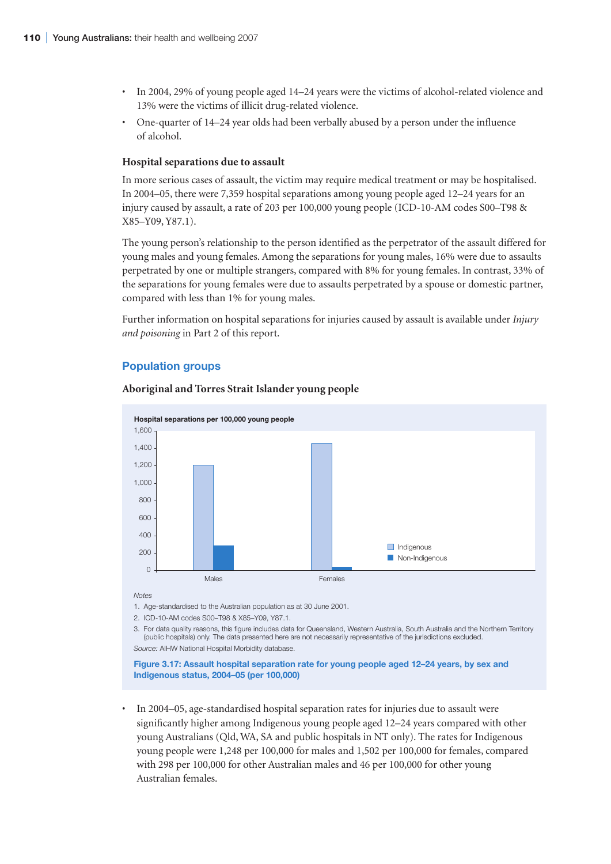- In 2004, 29% of young people aged 14–24 years were the victims of alcohol-related violence and 13% were the victims of illicit drug-related violence.
- One-quarter of 14–24 year olds had been verbally abused by a person under the influence of alcohol.

#### **Hospital separations due to assault**

In more serious cases of assault, the victim may require medical treatment or may be hospitalised. In 2004–05, there were 7,359 hospital separations among young people aged 12–24 years for an injury caused by assault, a rate of 203 per 100,000 young people (ICD-10-AM codes S00–T98 & X85–Y09, Y87.1).

The young person's relationship to the person identified as the perpetrator of the assault differed for young males and young females. Among the separations for young males, 16% were due to assaults perpetrated by one or multiple strangers, compared with 8% for young females. In contrast, 33% of the separations for young females were due to assaults perpetrated by a spouse or domestic partner, compared with less than 1% for young males.

Further information on hospital separations for injuries caused by assault is available under *Injury and poisoning* in Part 2 of this report.

## **Population groups**



#### **Aboriginal and Torres Strait Islander young people**

*Notes*

1. Age-standardised to the Australian population as at 30 June 2001.

2. ICD-10-AM codes S00–T98 & X85–Y09, Y87.1.

3. For data quality reasons, this figure includes data for Queensland, Western Australia, South Australia and the Northern Territory (public hospitals) only. The data presented here are not necessarily representative of the jurisdictions excluded. *Source:* AIHW National Hospital Morbidity database.

**Figure 3.17: Assault hospital separation rate for young people aged 12–24 years, by sex and Indigenous status, 2004–05 (per 100,000)**

• In 2004–05, age-standardised hospital separation rates for injuries due to assault were significantly higher among Indigenous young people aged 12–24 years compared with other young Australians (Qld, WA, SA and public hospitals in NT only). The rates for Indigenous young people were 1,248 per 100,000 for males and 1,502 per 100,000 for females, compared with 298 per 100,000 for other Australian males and 46 per 100,000 for other young Australian females.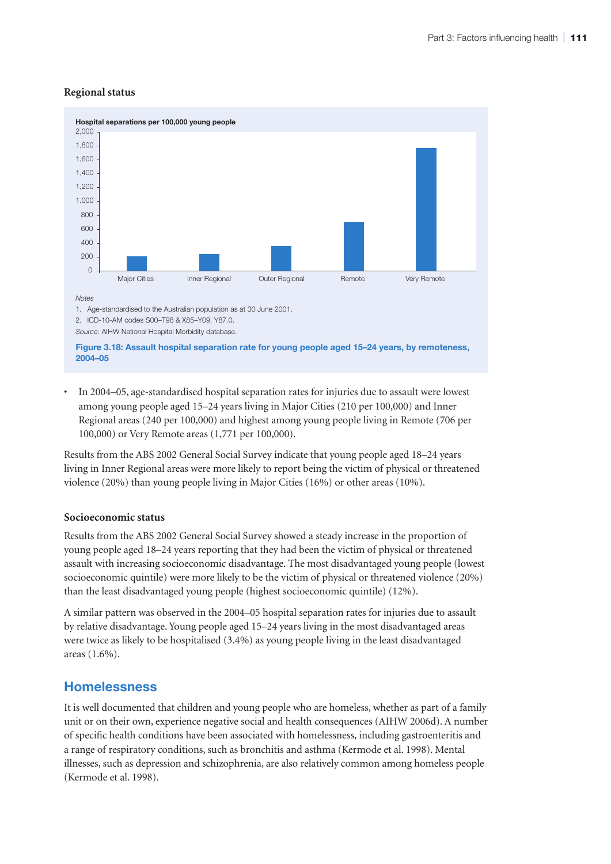### **Regional status**





• In 2004–05, age-standardised hospital separation rates for injuries due to assault were lowest among young people aged 15–24 years living in Major Cities (210 per 100,000) and Inner Regional areas (240 per 100,000) and highest among young people living in Remote (706 per 100,000) or Very Remote areas (1,771 per 100,000).

Results from the ABS 2002 General Social Survey indicate that young people aged 18–24 years living in Inner Regional areas were more likely to report being the victim of physical or threatened violence (20%) than young people living in Major Cities (16%) or other areas (10%).

#### **Socioeconomic status**

Results from the ABS 2002 General Social Survey showed a steady increase in the proportion of young people aged 18–24 years reporting that they had been the victim of physical or threatened assault with increasing socioeconomic disadvantage. The most disadvantaged young people (lowest socioeconomic quintile) were more likely to be the victim of physical or threatened violence (20%) than the least disadvantaged young people (highest socioeconomic quintile) (12%).

A similar pattern was observed in the 2004–05 hospital separation rates for injuries due to assault by relative disadvantage. Young people aged 15–24 years living in the most disadvantaged areas were twice as likely to be hospitalised (3.4%) as young people living in the least disadvantaged areas (1.6%).

## **Homelessness**

It is well documented that children and young people who are homeless, whether as part of a family unit or on their own, experience negative social and health consequences (AIHW 2006d). A number of specific health conditions have been associated with homelessness, including gastroenteritis and a range of respiratory conditions, such as bronchitis and asthma (Kermode et al. 1998). Mental illnesses, such as depression and schizophrenia, are also relatively common among homeless people (Kermode et al. 1998).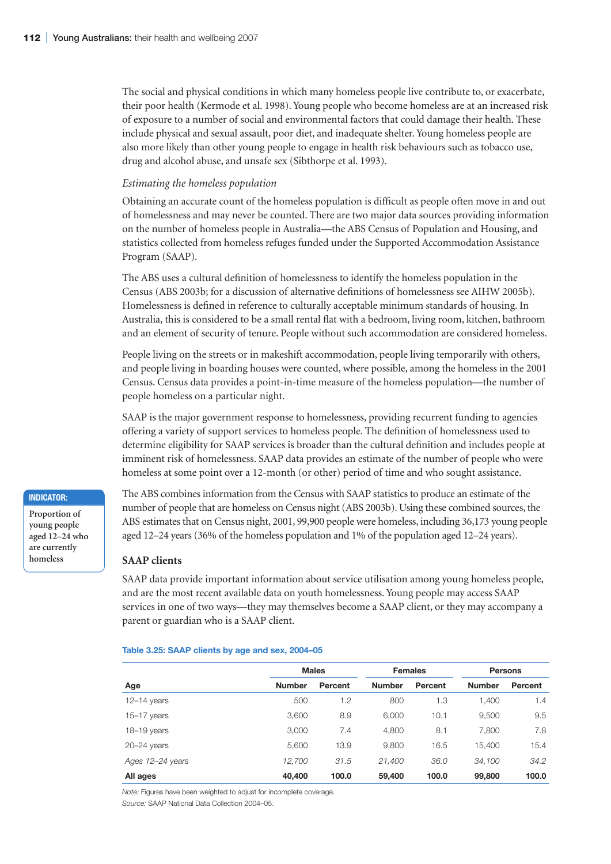The social and physical conditions in which many homeless people live contribute to, or exacerbate, their poor health (Kermode et al. 1998). Young people who become homeless are at an increased risk of exposure to a number of social and environmental factors that could damage their health. These include physical and sexual assault, poor diet, and inadequate shelter. Young homeless people are also more likely than other young people to engage in health risk behaviours such as tobacco use, drug and alcohol abuse, and unsafe sex (Sibthorpe et al. 1993).

#### *Estimating the homeless population*

Obtaining an accurate count of the homeless population is difficult as people often move in and out of homelessness and may never be counted. There are two major data sources providing information on the number of homeless people in Australia—the ABS Census of Population and Housing, and statistics collected from homeless refuges funded under the Supported Accommodation Assistance Program (SAAP).

The ABS uses a cultural definition of homelessness to identify the homeless population in the Census (ABS 2003b; for a discussion of alternative definitions of homelessness see AIHW 2005b). Homelessness is defined in reference to culturally acceptable minimum standards of housing. In Australia, this is considered to be a small rental flat with a bedroom, living room, kitchen, bathroom and an element of security of tenure. People without such accommodation are considered homeless.

People living on the streets or in makeshift accommodation, people living temporarily with others, and people living in boarding houses were counted, where possible, among the homeless in the 2001 Census. Census data provides a point-in-time measure of the homeless population—the number of people homeless on a particular night.

SAAP is the major government response to homelessness, providing recurrent funding to agencies offering a variety of support services to homeless people. The definition of homelessness used to determine eligibility for SAAP services is broader than the cultural definition and includes people at imminent risk of homelessness. SAAP data provides an estimate of the number of people who were homeless at some point over a 12-month (or other) period of time and who sought assistance.

**Indicator:**

**Proportion of young people aged 12–24 who are currently homeless**

The ABS combines information from the Census with SAAP statistics to produce an estimate of the number of people that are homeless on Census night (ABS 2003b). Using these combined sources, the ABS estimates that on Census night, 2001, 99,900 people were homeless, including 36,173 young people aged 12–24 years (36% of the homeless population and 1% of the population aged 12–24 years).

## **SAAP clients**

SAAP data provide important information about service utilisation among young homeless people, and are the most recent available data on youth homelessness. Young people may access SAAP services in one of two ways—they may themselves become a SAAP client, or they may accompany a parent or guardian who is a SAAP client.

#### **Table 3.25: SAAP clients by age and sex, 2004–05**

|                  |               | <b>Males</b> |               | <b>Females</b> | <b>Persons</b> |         |
|------------------|---------------|--------------|---------------|----------------|----------------|---------|
| Age              | <b>Number</b> | Percent      | <b>Number</b> | Percent        | <b>Number</b>  | Percent |
| $12 - 14$ years  | 500           | 1.2          | 800           | 1.3            | 1,400          | 1.4     |
| 15-17 years      | 3.600         | 8.9          | 6,000         | 10.1           | 9,500          | 9.5     |
| 18-19 years      | 3.000         | 7.4          | 4,800         | 8.1            | 7,800          | 7.8     |
| $20 - 24$ years  | 5,600         | 13.9         | 9,800         | 16.5           | 15.400         | 15.4    |
| Ages 12-24 years | 12,700        | 31.5         | 21.400        | 36.0           | 34,100         | 34.2    |
| All ages         | 40,400        | 100.0        | 59,400        | 100.0          | 99,800         | 100.0   |

*Note:* Figures have been weighted to adjust for incomplete coverage.

*Source:* SAAP National Data Collection 2004–05.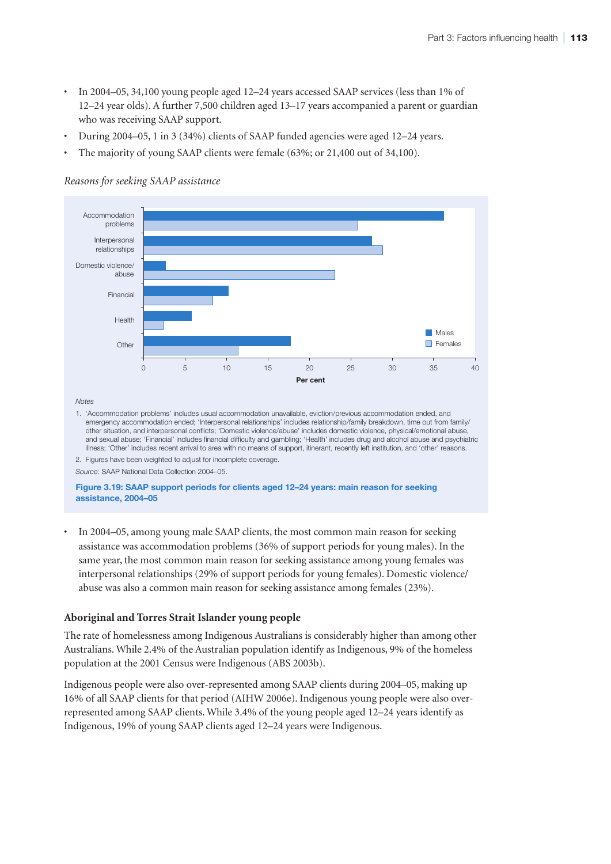- In 2004–05, 34,100 young people aged 12–24 years accessed SAAP services (less than 1% of 12–24 year olds). A further 7,500 children aged 13–17 years accompanied a parent or guardian who was receiving SAAP support.
- During 2004–05, 1 in 3 (34%) clients of SAAP funded agencies were aged 12–24 years.
- The majority of young SAAP clients were female (63%; or 21,400 out of 34,100).



### *Reasons for seeking SAAP assistance*

*Notes*

1. 'Accommodation problems' includes usual accommodation unavailable, eviction/previous accommodation ended, and emergency accommodation ended; 'Interpersonal relationships' includes relationship/family breakdown, time out from family/ other situation, and interpersonal conflicts; 'Domestic violence/abuse' includes domestic violence, physical/emotional abuse, and sexual abuse; 'Financial' includes financial difficulty and gambling; 'Health' includes drug and alcohol abuse and psychiatric illness; 'Other' includes recent arrival to area with no means of support, itinerant, recently left institution, and 'other' reasons

2. Figures have been weighted to adjust for incomplete coverage. *Source:* SAAP National Data Collection 2004–05.

**Figure 3.19: SAAP support periods for clients aged 12–24 years: main reason for seeking assistance, 2004–05**

In 2004–05, among young male SAAP clients, the most common main reason for seeking assistance was accommodation problems (36% of support periods for young males). In the same year, the most common main reason for seeking assistance among young females was interpersonal relationships (29% of support periods for young females). Domestic violence/ abuse was also a common main reason for seeking assistance among females (23%).

## **Aboriginal and Torres Strait Islander young people**

The rate of homelessness among Indigenous Australians is considerably higher than among other Australians. While 2.4% of the Australian population identify as Indigenous, 9% of the homeless population at the 2001 Census were Indigenous (ABS 2003b).

Indigenous people were also over-represented among SAAP clients during 2004–05, making up 16% of all SAAP clients for that period (AIHW 2006e). Indigenous young people were also overrepresented among SAAP clients. While 3.4% of the young people aged 12–24 years identify as Indigenous, 19% of young SAAP clients aged 12–24 years were Indigenous.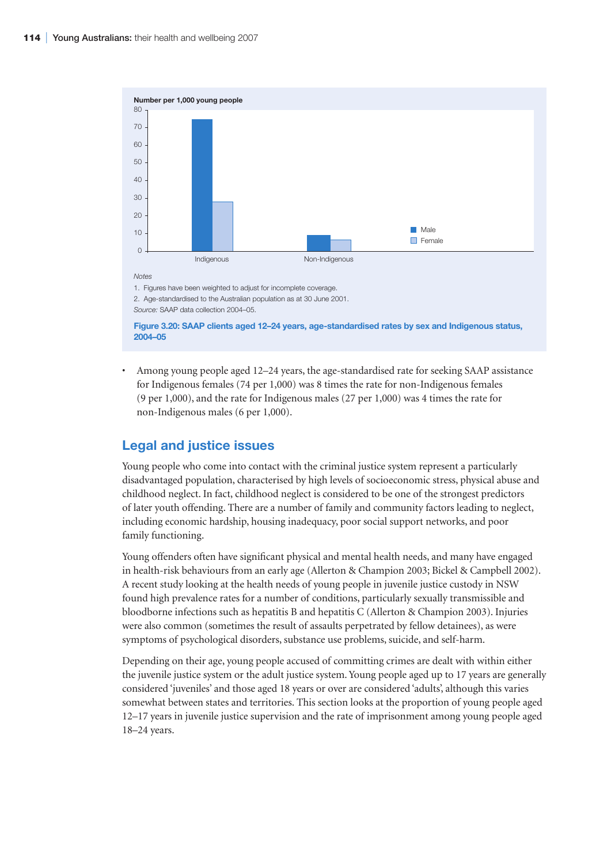

• Among young people aged 12–24 years, the age-standardised rate for seeking SAAP assistance for Indigenous females (74 per 1,000) was 8 times the rate for non-Indigenous females (9 per 1,000), and the rate for Indigenous males (27 per 1,000) was 4 times the rate for non-Indigenous males (6 per 1,000).

## **Legal and justice issues**

Young people who come into contact with the criminal justice system represent a particularly disadvantaged population, characterised by high levels of socioeconomic stress, physical abuse and childhood neglect. In fact, childhood neglect is considered to be one of the strongest predictors of later youth offending. There are a number of family and community factors leading to neglect, including economic hardship, housing inadequacy, poor social support networks, and poor family functioning.

Young offenders often have significant physical and mental health needs, and many have engaged in health-risk behaviours from an early age (Allerton & Champion 2003; Bickel & Campbell 2002). A recent study looking at the health needs of young people in juvenile justice custody in NSW found high prevalence rates for a number of conditions, particularly sexually transmissible and bloodborne infections such as hepatitis B and hepatitis C (Allerton & Champion 2003). Injuries were also common (sometimes the result of assaults perpetrated by fellow detainees), as were symptoms of psychological disorders, substance use problems, suicide, and self-harm.

Depending on their age, young people accused of committing crimes are dealt with within either the juvenile justice system or the adult justice system. Young people aged up to 17 years are generally considered 'juveniles' and those aged 18 years or over are considered 'adults', although this varies somewhat between states and territories. This section looks at the proportion of young people aged 12–17 years in juvenile justice supervision and the rate of imprisonment among young people aged 18–24 years.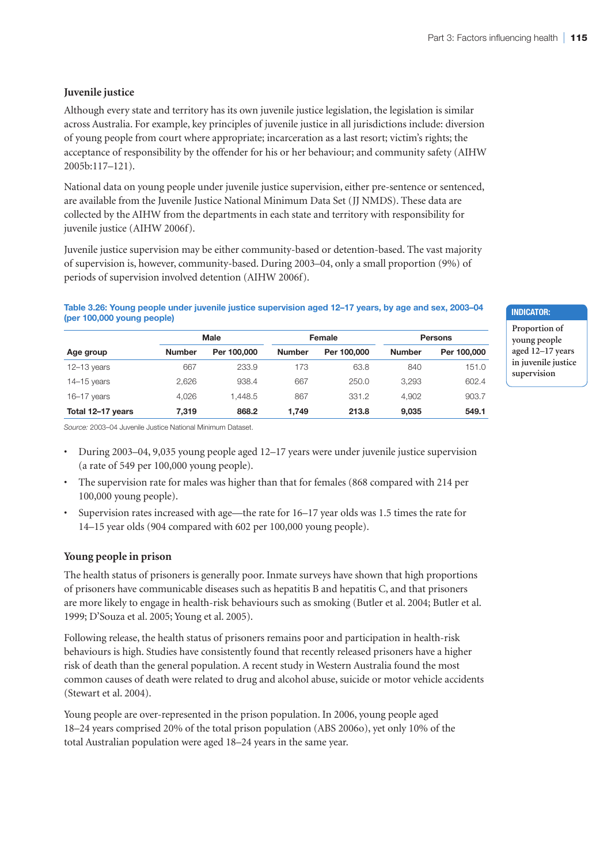## **Juvenile justice**

Although every state and territory has its own juvenile justice legislation, the legislation is similar across Australia. For example, key principles of juvenile justice in all jurisdictions include: diversion of young people from court where appropriate; incarceration as a last resort; victim's rights; the acceptance of responsibility by the offender for his or her behaviour; and community safety (AIHW 2005b:117–121).

National data on young people under juvenile justice supervision, either pre-sentence or sentenced, are available from the Juvenile Justice National Minimum Data Set (JJ NMDS). These data are collected by the AIHW from the departments in each state and territory with responsibility for juvenile justice (AIHW 2006f).

Juvenile justice supervision may be either community-based or detention-based. The vast majority of supervision is, however, community-based. During 2003–04, only a small proportion (9%) of periods of supervision involved detention (AIHW 2006f).

### **Table 3.26: Young people under juvenile justice supervision aged 12–17 years, by age and sex, 2003–04 (per 100,000 young people)**

|                   | <b>Male</b>   |             |               | Female      | <b>Persons</b> |             |  |
|-------------------|---------------|-------------|---------------|-------------|----------------|-------------|--|
| Age group         | <b>Number</b> | Per 100,000 | <b>Number</b> | Per 100,000 | <b>Number</b>  | Per 100,000 |  |
| $12 - 13$ years   | 667           | 233.9       | 173           | 63.8        | 840            | 151.0       |  |
| $14-15$ years     | 2.626         | 938.4       | 667           | 250.0       | 3.293          | 602.4       |  |
| $16 - 17$ years   | 4.026         | 1.448.5     | 867           | 331.2       | 4.902          | 903.7       |  |
| Total 12-17 years | 7.319         | 868.2       | 1.749         | 213.8       | 9.035          | 549.1       |  |

**Indicator:**

**Proportion of young people aged 12–17 years in juvenile justice supervision**

*Source:* 2003–04 Juvenile Justice National Minimum Dataset.

- During 2003–04, 9,035 young people aged 12–17 years were under juvenile justice supervision (a rate of 549 per 100,000 young people).
- The supervision rate for males was higher than that for females (868 compared with 214 per 100,000 young people).
- Supervision rates increased with age—the rate for 16–17 year olds was 1.5 times the rate for 14–15 year olds (904 compared with 602 per 100,000 young people).

## **Young people in prison**

The health status of prisoners is generally poor. Inmate surveys have shown that high proportions of prisoners have communicable diseases such as hepatitis B and hepatitis C, and that prisoners are more likely to engage in health-risk behaviours such as smoking (Butler et al. 2004; Butler et al. 1999; D'Souza et al. 2005; Young et al. 2005).

Following release, the health status of prisoners remains poor and participation in health-risk behaviours is high. Studies have consistently found that recently released prisoners have a higher risk of death than the general population. A recent study in Western Australia found the most common causes of death were related to drug and alcohol abuse, suicide or motor vehicle accidents (Stewart et al. 2004).

Young people are over-represented in the prison population. In 2006, young people aged 18–24 years comprised 20% of the total prison population (ABS 2006o), yet only 10% of the total Australian population were aged 18–24 years in the same year.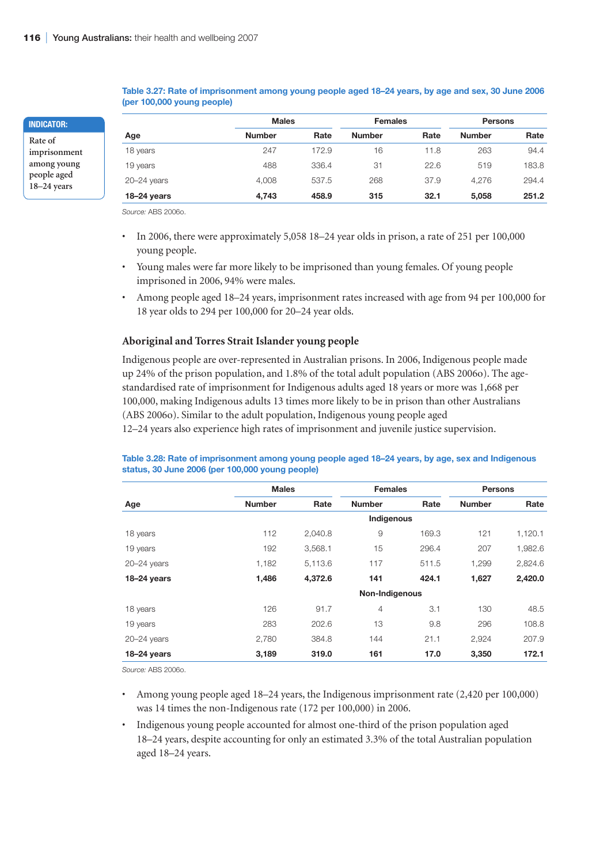**Indicator: Rate of imprisonment among young people aged 18–24 years**

|                 |               | <b>Males</b> |               | <b>Females</b> | <b>Persons</b> |       |  |
|-----------------|---------------|--------------|---------------|----------------|----------------|-------|--|
| Age             | <b>Number</b> | Rate         | <b>Number</b> | Rate           | <b>Number</b>  | Rate  |  |
| 18 years        | 247           | 172.9        | 16            | 11.8           | 263            | 94.4  |  |
| 19 years        | 488           | 336.4        | 31            | 22.6           | 519            | 183.8 |  |
| $20 - 24$ years | 4.008         | 537.5        | 268           | 37.9           | 4.276          | 294.4 |  |
| 18-24 years     | 4,743         | 458.9        | 315           | 32.1           | 5.058          | 251.2 |  |

**Table 3.27: Rate of imprisonment among young people aged 18–24 years, by age and sex, 30 June 2006 (per 100,000 young people)**

*Source:* ABS 2006o.

- In 2006, there were approximately 5,058 18–24 year olds in prison, a rate of 251 per 100,000 young people.
- Young males were far more likely to be imprisoned than young females. Of young people imprisoned in 2006, 94% were males.
- Among people aged 18–24 years, imprisonment rates increased with age from 94 per 100,000 for 18 year olds to 294 per 100,000 for 20–24 year olds.

### **Aboriginal and Torres Strait Islander young people**

Indigenous people are over-represented in Australian prisons. In 2006, Indigenous people made up 24% of the prison population, and 1.8% of the total adult population (ABS 2006o). The agestandardised rate of imprisonment for Indigenous adults aged 18 years or more was 1,668 per 100,000, making Indigenous adults 13 times more likely to be in prison than other Australians (ABS 2006o). Similar to the adult population, Indigenous young people aged 12–24 years also experience high rates of imprisonment and juvenile justice supervision.

|                 | <b>Males</b>  |         | <b>Females</b> |       | <b>Persons</b> |         |
|-----------------|---------------|---------|----------------|-------|----------------|---------|
| Age             | <b>Number</b> | Rate    | <b>Number</b>  | Rate  | <b>Number</b>  | Rate    |
|                 |               |         | Indigenous     |       |                |         |
| 18 years        | 112           | 2,040.8 | 9              | 169.3 | 121            | 1,120.1 |
| 19 years        | 192           | 3,568.1 | 15             | 296.4 | 207            | 1,982.6 |
| $20 - 24$ years | 1,182         | 5,113.6 | 117            | 511.5 | 1,299          | 2,824.6 |
| 18-24 years     | 1,486         | 4,372.6 | 141            | 424.1 | 1,627          | 2,420.0 |
|                 |               |         | Non-Indigenous |       |                |         |
| 18 years        | 126           | 91.7    | $\overline{4}$ | 3.1   | 130            | 48.5    |
| 19 years        | 283           | 202.6   | 13             | 9.8   | 296            | 108.8   |

**Table 3.28: Rate of imprisonment among young people aged 18–24 years, by age, sex and Indigenous status, 30 June 2006 (per 100,000 young people)**

*Source:* ABS 2006o.

• Among young people aged 18–24 years, the Indigenous imprisonment rate (2,420 per 100,000) was 14 times the non-Indigenous rate (172 per 100,000) in 2006.

20–24 years 2,780 384.8 144 21.1 2,924 207.9 **18–24 years 3,189 319.0 161 17.0 3,350 172.1**

• Indigenous young people accounted for almost one-third of the prison population aged 18–24 years, despite accounting for only an estimated 3.3% of the total Australian population aged 18–24 years.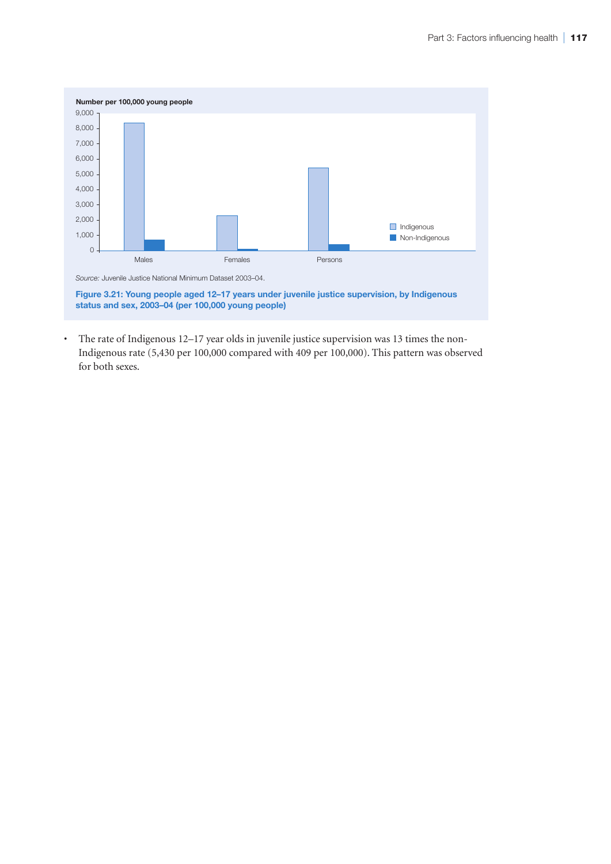

• The rate of Indigenous 12–17 year olds in juvenile justice supervision was 13 times the non-Indigenous rate (5,430 per 100,000 compared with 409 per 100,000). This pattern was observed for both sexes.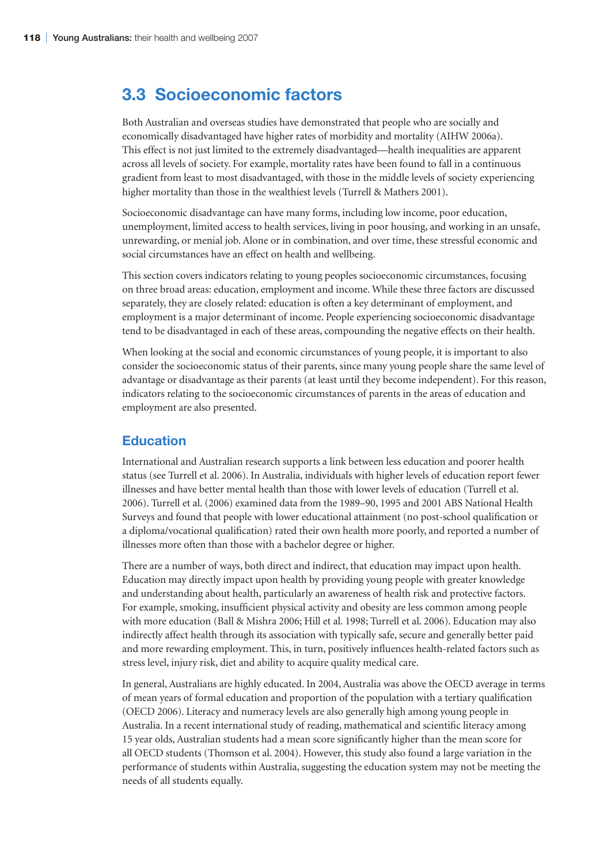# **3.3 Socioeconomic factors**

Both Australian and overseas studies have demonstrated that people who are socially and economically disadvantaged have higher rates of morbidity and mortality (AIHW 2006a). This effect is not just limited to the extremely disadvantaged—health inequalities are apparent across all levels of society. For example, mortality rates have been found to fall in a continuous gradient from least to most disadvantaged, with those in the middle levels of society experiencing higher mortality than those in the wealthiest levels (Turrell & Mathers 2001).

Socioeconomic disadvantage can have many forms, including low income, poor education, unemployment, limited access to health services, living in poor housing, and working in an unsafe, unrewarding, or menial job. Alone or in combination, and over time, these stressful economic and social circumstances have an effect on health and wellbeing.

This section covers indicators relating to young peoples socioeconomic circumstances, focusing on three broad areas: education, employment and income. While these three factors are discussed separately, they are closely related: education is often a key determinant of employment, and employment is a major determinant of income. People experiencing socioeconomic disadvantage tend to be disadvantaged in each of these areas, compounding the negative effects on their health.

When looking at the social and economic circumstances of young people, it is important to also consider the socioeconomic status of their parents, since many young people share the same level of advantage or disadvantage as their parents (at least until they become independent). For this reason, indicators relating to the socioeconomic circumstances of parents in the areas of education and employment are also presented.

## **Education**

International and Australian research supports a link between less education and poorer health status (see Turrell et al. 2006). In Australia, individuals with higher levels of education report fewer illnesses and have better mental health than those with lower levels of education (Turrell et al. 2006). Turrell et al. (2006) examined data from the 1989–90, 1995 and 2001 ABS National Health Surveys and found that people with lower educational attainment (no post-school qualification or a diploma/vocational qualification) rated their own health more poorly, and reported a number of illnesses more often than those with a bachelor degree or higher.

There are a number of ways, both direct and indirect, that education may impact upon health. Education may directly impact upon health by providing young people with greater knowledge and understanding about health, particularly an awareness of health risk and protective factors. For example, smoking, insufficient physical activity and obesity are less common among people with more education (Ball & Mishra 2006; Hill et al. 1998; Turrell et al. 2006). Education may also indirectly affect health through its association with typically safe, secure and generally better paid and more rewarding employment. This, in turn, positively influences health-related factors such as stress level, injury risk, diet and ability to acquire quality medical care.

In general, Australians are highly educated. In 2004, Australia was above the OECD average in terms of mean years of formal education and proportion of the population with a tertiary qualification (OECD 2006). Literacy and numeracy levels are also generally high among young people in Australia. In a recent international study of reading, mathematical and scientific literacy among 15 year olds, Australian students had a mean score significantly higher than the mean score for all OECD students (Thomson et al. 2004). However, this study also found a large variation in the performance of students within Australia, suggesting the education system may not be meeting the needs of all students equally.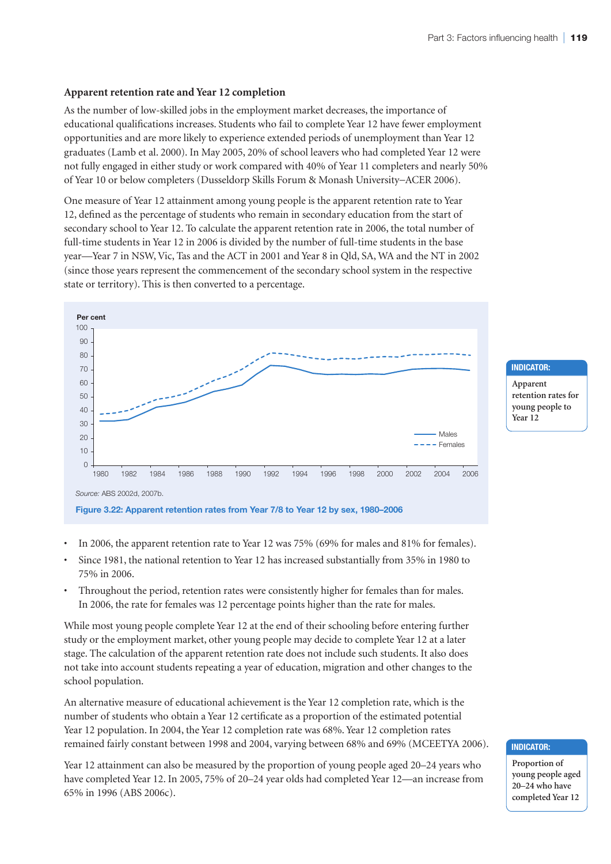### **Apparent retention rate and Year 12 completion**

As the number of low-skilled jobs in the employment market decreases, the importance of educational qualifications increases. Students who fail to complete Year 12 have fewer employment opportunities and are more likely to experience extended periods of unemployment than Year 12 graduates (Lamb et al. 2000). In May 2005, 20% of school leavers who had completed Year 12 were not fully engaged in either study or work compared with 40% of Year 11 completers and nearly 50% of Year 10 or below completers (Dusseldorp Skills Forum & Monash University−ACER 2006).

One measure of Year 12 attainment among young people is the apparent retention rate to Year 12, defined as the percentage of students who remain in secondary education from the start of secondary school to Year 12. To calculate the apparent retention rate in 2006, the total number of full-time students in Year 12 in 2006 is divided by the number of full-time students in the base year—Year 7 in NSW, Vic, Tas and the ACT in 2001 and Year 8 in Qld, SA, WA and the NT in 2002 (since those years represent the commencement of the secondary school system in the respective state or territory). This is then converted to a percentage.



## **Indicator:**

**Apparent retention rates for young people to Year 12**

- In 2006, the apparent retention rate to Year 12 was 75% (69% for males and 81% for females).
- Since 1981, the national retention to Year 12 has increased substantially from 35% in 1980 to 75% in 2006.
- Throughout the period, retention rates were consistently higher for females than for males. In 2006, the rate for females was 12 percentage points higher than the rate for males.

While most young people complete Year 12 at the end of their schooling before entering further study or the employment market, other young people may decide to complete Year 12 at a later stage. The calculation of the apparent retention rate does not include such students. It also does not take into account students repeating a year of education, migration and other changes to the school population.

An alternative measure of educational achievement is the Year 12 completion rate, which is the number of students who obtain a Year 12 certificate as a proportion of the estimated potential Year 12 population. In 2004, the Year 12 completion rate was 68%. Year 12 completion rates remained fairly constant between 1998 and 2004, varying between 68% and 69% (MCEETYA 2006).

Year 12 attainment can also be measured by the proportion of young people aged 20–24 years who have completed Year 12. In 2005, 75% of 20–24 year olds had completed Year 12—an increase from 65% in 1996 (ABS 2006c).

## **Indicator:**

**Proportion of young people aged 20–24 who have completed Year 12**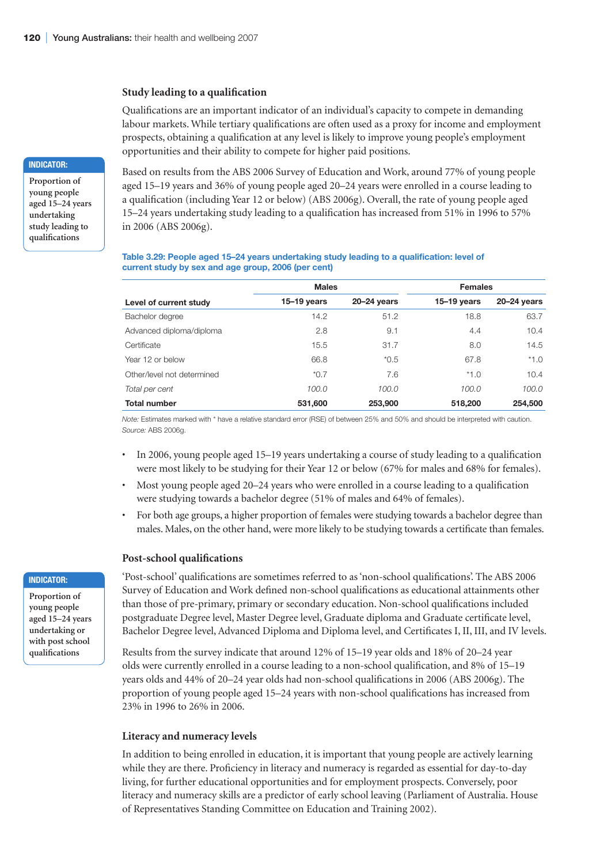#### **Study leading to a qualification**

Qualifications are an important indicator of an individual's capacity to compete in demanding labour markets. While tertiary qualifications are often used as a proxy for income and employment prospects, obtaining a qualification at any level is likely to improve young people's employment opportunities and their ability to compete for higher paid positions.

Based on results from the ABS 2006 Survey of Education and Work, around 77% of young people aged 15–19 years and 36% of young people aged 20–24 years were enrolled in a course leading to a qualification (including Year 12 or below) (ABS 2006g). Overall, the rate of young people aged 15–24 years undertaking study leading to a qualification has increased from 51% in 1996 to 57% in 2006 (ABS 2006g).

#### **Table 3.29: People aged 15–24 years undertaking study leading to a qualification: level of current study by sex and age group, 2006 (per cent)**

|                            | <b>Males</b>    |                 | <b>Females</b> |                 |
|----------------------------|-----------------|-----------------|----------------|-----------------|
| Level of current study     | $15 - 19$ years | $20 - 24$ years | $15-19$ years  | $20 - 24$ years |
| Bachelor degree            | 14.2            | 51.2            | 18.8           | 63.7            |
| Advanced diploma/diploma   | 2.8             | 9.1             | 4.4            | 10.4            |
| Certificate                | 15.5            | 31.7            | 8.0            | 14.5            |
| Year 12 or below           | 66.8            | $*0.5$          | 67.8           | $*1.0$          |
| Other/level not determined | $*0.7$          | 7.6             | $*1.0$         | 10.4            |
| Total per cent             | 100.0           | 100.0           | 100.0          | 100.0           |
| <b>Total number</b>        | 531,600         | 253,900         | 518,200        | 254,500         |

*Note:* Estimates marked with \* have a relative standard error (RSE) of between 25% and 50% and should be interpreted with caution. *Source:* ABS 2006g.

- In 2006, young people aged 15–19 years undertaking a course of study leading to a qualification were most likely to be studying for their Year 12 or below (67% for males and 68% for females).
- Most young people aged 20–24 years who were enrolled in a course leading to a qualification were studying towards a bachelor degree (51% of males and 64% of females).
- For both age groups, a higher proportion of females were studying towards a bachelor degree than males. Males, on the other hand, were more likely to be studying towards a certificate than females.

## **Post-school qualifications**

'Post-school' qualifications are sometimes referred to as 'non-school qualifications'. The ABS 2006 Survey of Education and Work defined non-school qualifications as educational attainments other than those of pre-primary, primary or secondary education. Non-school qualifications included postgraduate Degree level, Master Degree level, Graduate diploma and Graduate certificate level, Bachelor Degree level, Advanced Diploma and Diploma level, and Certificates I, II, III, and IV levels.

Results from the survey indicate that around 12% of 15–19 year olds and 18% of 20–24 year olds were currently enrolled in a course leading to a non-school qualification, and 8% of 15–19 years olds and 44% of 20–24 year olds had non-school qualifications in 2006 (ABS 2006g). The proportion of young people aged 15–24 years with non-school qualifications has increased from 23% in 1996 to 26% in 2006.

#### **Literacy and numeracy levels**

In addition to being enrolled in education, it is important that young people are actively learning while they are there. Proficiency in literacy and numeracy is regarded as essential for day-to-day living, for further educational opportunities and for employment prospects. Conversely, poor literacy and numeracy skills are a predictor of early school leaving (Parliament of Australia. House of Representatives Standing Committee on Education and Training 2002).

## **Indicator:**

**Proportion of young people aged 15–24 years undertaking study leading to qualifications**

## **Indicator:**

**Proportion of young people aged 15–24 years undertaking or with post school qualifications**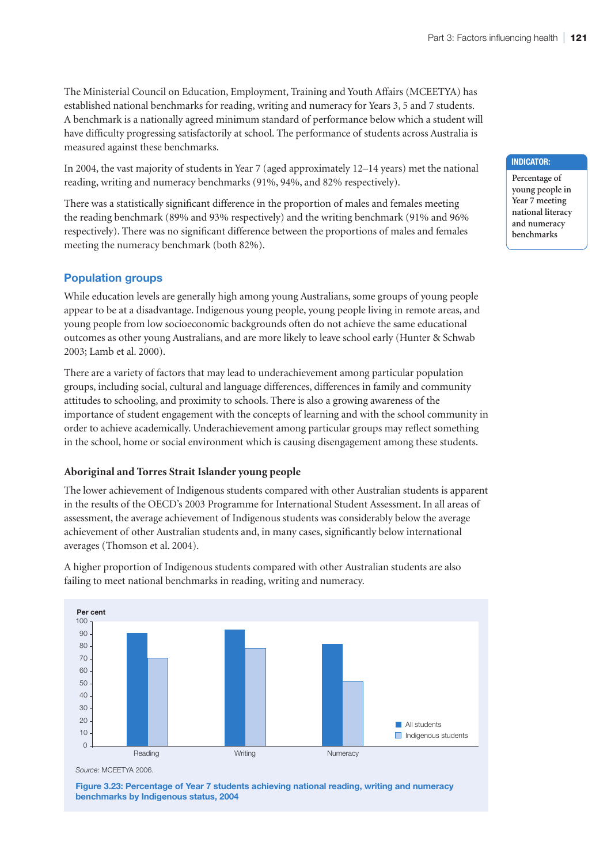The Ministerial Council on Education, Employment, Training and Youth Affairs (MCEETYA) has established national benchmarks for reading, writing and numeracy for Years 3, 5 and 7 students. A benchmark is a nationally agreed minimum standard of performance below which a student will have difficulty progressing satisfactorily at school. The performance of students across Australia is measured against these benchmarks.

In 2004, the vast majority of students in Year 7 (aged approximately 12–14 years) met the national reading, writing and numeracy benchmarks (91%, 94%, and 82% respectively).

There was a statistically significant difference in the proportion of males and females meeting the reading benchmark (89% and 93% respectively) and the writing benchmark (91% and 96% respectively). There was no significant difference between the proportions of males and females meeting the numeracy benchmark (both 82%).

## **Population groups**

While education levels are generally high among young Australians, some groups of young people appear to be at a disadvantage. Indigenous young people, young people living in remote areas, and young people from low socioeconomic backgrounds often do not achieve the same educational outcomes as other young Australians, and are more likely to leave school early (Hunter & Schwab 2003; Lamb et al. 2000).

There are a variety of factors that may lead to underachievement among particular population groups, including social, cultural and language differences, differences in family and community attitudes to schooling, and proximity to schools. There is also a growing awareness of the importance of student engagement with the concepts of learning and with the school community in order to achieve academically. Underachievement among particular groups may reflect something in the school, home or social environment which is causing disengagement among these students.

## **Aboriginal and Torres Strait Islander young people**

The lower achievement of Indigenous students compared with other Australian students is apparent in the results of the OECD's 2003 Programme for International Student Assessment. In all areas of assessment, the average achievement of Indigenous students was considerably below the average achievement of other Australian students and, in many cases, significantly below international averages (Thomson et al. 2004).

0 10  $20$ 30  $40$  $50$ 60 70 80 90 100 Reading Numeracy Numeracy Numeracy **Per cent** All students  $\Box$  Indigenous students

A higher proportion of Indigenous students compared with other Australian students are also failing to meet national benchmarks in reading, writing and numeracy.

**Figure 3.23: Percentage of Year 7 students achieving national reading, writing and numeracy benchmarks by Indigenous status, 2004**

### **Indicator:**

**Percentage of young people in Year 7 meeting national literacy and numeracy benchmarks**

*Source:* MCEETYA 2006.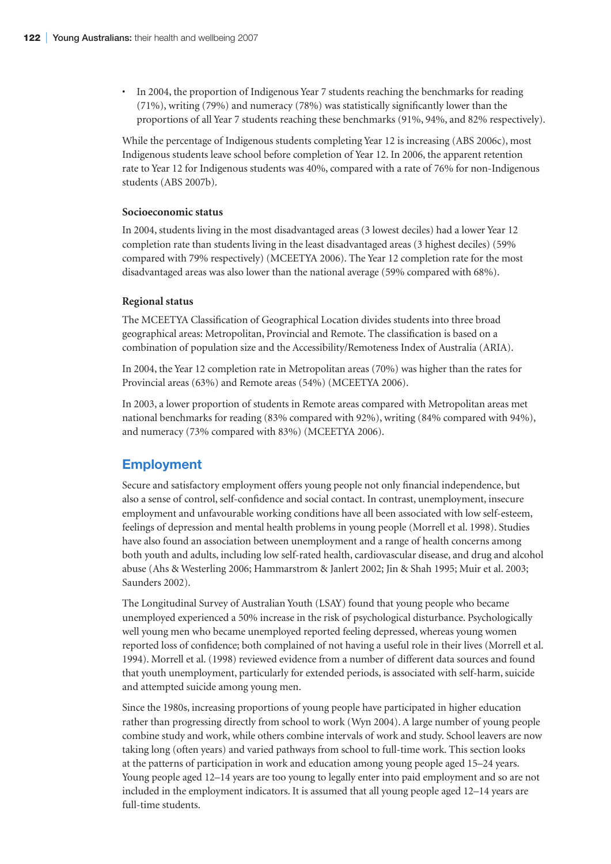• In 2004, the proportion of Indigenous Year 7 students reaching the benchmarks for reading (71%), writing (79%) and numeracy (78%) was statistically significantly lower than the proportions of all Year 7 students reaching these benchmarks (91%, 94%, and 82% respectively).

While the percentage of Indigenous students completing Year 12 is increasing (ABS 2006c), most Indigenous students leave school before completion of Year 12. In 2006, the apparent retention rate to Year 12 for Indigenous students was 40%, compared with a rate of 76% for non-Indigenous students (ABS 2007b).

### **Socioeconomic status**

In 2004, students living in the most disadvantaged areas (3 lowest deciles) had a lower Year 12 completion rate than students living in the least disadvantaged areas (3 highest deciles) (59% compared with 79% respectively) (MCEETYA 2006). The Year 12 completion rate for the most disadvantaged areas was also lower than the national average (59% compared with 68%).

### **Regional status**

The MCEETYA Classification of Geographical Location divides students into three broad geographical areas: Metropolitan, Provincial and Remote. The classification is based on a combination of population size and the Accessibility/Remoteness Index of Australia (ARIA).

In 2004, the Year 12 completion rate in Metropolitan areas (70%) was higher than the rates for Provincial areas (63%) and Remote areas (54%) (MCEETYA 2006).

In 2003, a lower proportion of students in Remote areas compared with Metropolitan areas met national benchmarks for reading (83% compared with 92%), writing (84% compared with 94%), and numeracy (73% compared with 83%) (MCEETYA 2006).

## **Employment**

Secure and satisfactory employment offers young people not only financial independence, but also a sense of control, self-confidence and social contact. In contrast, unemployment, insecure employment and unfavourable working conditions have all been associated with low self-esteem, feelings of depression and mental health problems in young people (Morrell et al. 1998). Studies have also found an association between unemployment and a range of health concerns among both youth and adults, including low self-rated health, cardiovascular disease, and drug and alcohol abuse (Ahs & Westerling 2006; Hammarstrom & Janlert 2002; Jin & Shah 1995; Muir et al. 2003; Saunders 2002).

The Longitudinal Survey of Australian Youth (LSAY) found that young people who became unemployed experienced a 50% increase in the risk of psychological disturbance. Psychologically well young men who became unemployed reported feeling depressed, whereas young women reported loss of confidence; both complained of not having a useful role in their lives (Morrell et al. 1994). Morrell et al. (1998) reviewed evidence from a number of different data sources and found that youth unemployment, particularly for extended periods, is associated with self-harm, suicide and attempted suicide among young men.

Since the 1980s, increasing proportions of young people have participated in higher education rather than progressing directly from school to work (Wyn 2004). A large number of young people combine study and work, while others combine intervals of work and study. School leavers are now taking long (often years) and varied pathways from school to full-time work. This section looks at the patterns of participation in work and education among young people aged 15–24 years. Young people aged 12–14 years are too young to legally enter into paid employment and so are not included in the employment indicators. It is assumed that all young people aged 12–14 years are full-time students.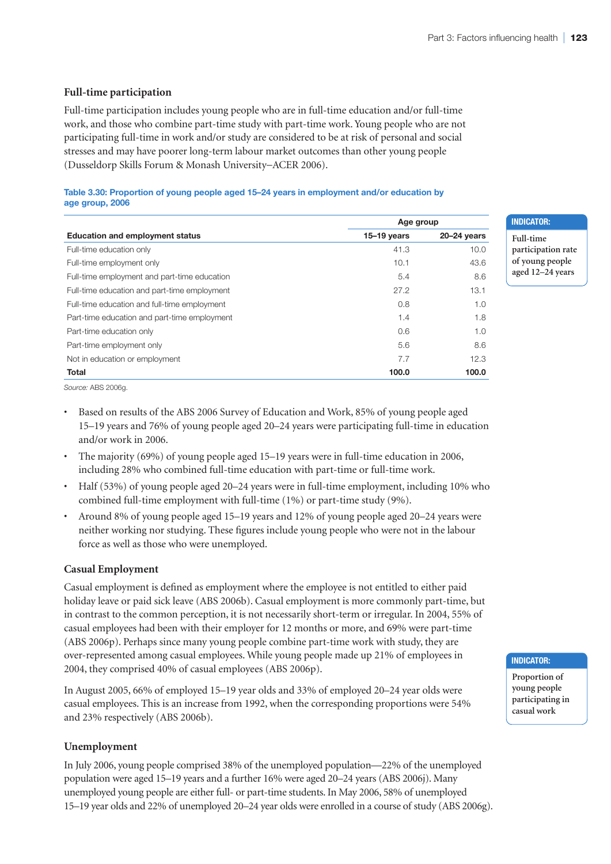### **Full-time participation**

Full-time participation includes young people who are in full-time education and/or full-time work, and those who combine part-time study with part-time work. Young people who are not participating full-time in work and/or study are considered to be at risk of personal and social stresses and may have poorer long-term labour market outcomes than other young people (Dusseldorp Skills Forum & Monash University−ACER 2006).

### **Table 3.30: Proportion of young people aged 15–24 years in employment and/or education by age group, 2006**

|                                              | Age group       |                 |
|----------------------------------------------|-----------------|-----------------|
| <b>Education and employment status</b>       | $15 - 19$ years | $20 - 24$ years |
| Full-time education only                     | 41.3            | 10.0            |
| Full-time employment only                    | 10.1            | 43.6            |
| Full-time employment and part-time education | 5.4             | 8.6             |
| Full-time education and part-time employment | 27.2            | 13.1            |
| Full-time education and full-time employment | 0.8             | 1.0             |
| Part-time education and part-time employment | 1.4             | 1.8             |
| Part-time education only                     | 0.6             | 1.0             |
| Part-time employment only                    | 5.6             | 8.6             |
| Not in education or employment               | 7.7             | 12.3            |
| <b>Total</b>                                 | 100.0           | 100.0           |

*Source:* ABS 2006g.

- Based on results of the ABS 2006 Survey of Education and Work, 85% of young people aged 15–19 years and 76% of young people aged 20–24 years were participating full-time in education and/or work in 2006.
- The majority (69%) of young people aged 15–19 years were in full-time education in 2006, including 28% who combined full-time education with part-time or full-time work.
- Half (53%) of young people aged 20–24 years were in full-time employment, including 10% who combined full-time employment with full-time (1%) or part-time study (9%).
- Around 8% of young people aged 15–19 years and 12% of young people aged 20–24 years were neither working nor studying. These figures include young people who were not in the labour force as well as those who were unemployed.

### **Casual Employment**

Casual employment is defined as employment where the employee is not entitled to either paid holiday leave or paid sick leave (ABS 2006b). Casual employment is more commonly part-time, but in contrast to the common perception, it is not necessarily short-term or irregular. In 2004, 55% of casual employees had been with their employer for 12 months or more, and 69% were part-time (ABS 2006p). Perhaps since many young people combine part-time work with study, they are over-represented among casual employees. While young people made up 21% of employees in 2004, they comprised 40% of casual employees (ABS 2006p).

In August 2005, 66% of employed 15–19 year olds and 33% of employed 20–24 year olds were casual employees. This is an increase from 1992, when the corresponding proportions were 54% and 23% respectively (ABS 2006b).

### **Unemployment**

In July 2006, young people comprised 38% of the unemployed population—22% of the unemployed population were aged 15–19 years and a further 16% were aged 20–24 years (ABS 2006j). Many unemployed young people are either full- or part-time students. In May 2006, 58% of unemployed 15–19 year olds and 22% of unemployed 20–24 year olds were enrolled in a course of study (ABS 2006g). **Indicator:**

**Full-time participation rate of young people aged 12–24 years**

#### **Indicator:**

**Proportion of young people participating in casual work**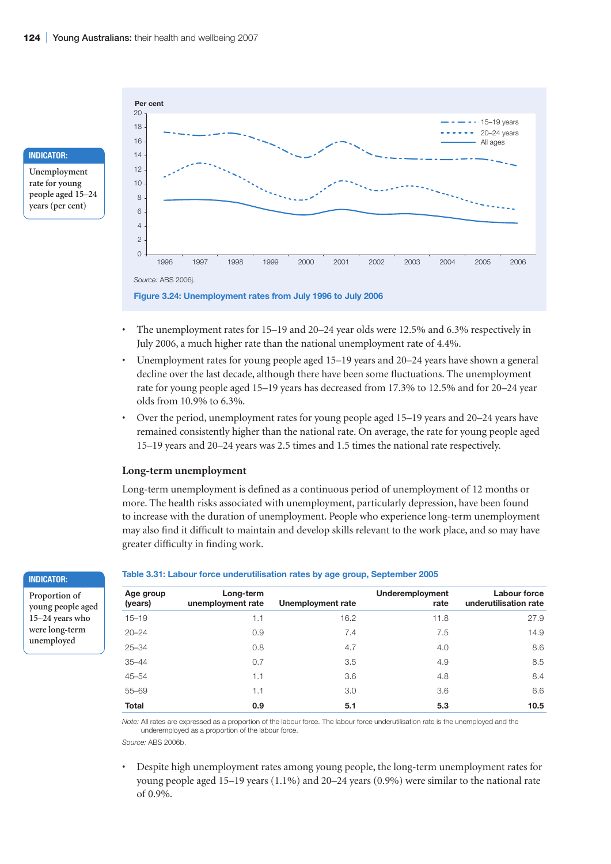#### **Indicator:**

**Unemployment rate for young people aged 15–24 years (per cent)**



- The unemployment rates for 15–19 and 20–24 year olds were 12.5% and 6.3% respectively in July 2006, a much higher rate than the national unemployment rate of 4.4%.
- Unemployment rates for young people aged 15–19 years and 20–24 years have shown a general decline over the last decade, although there have been some fluctuations. The unemployment rate for young people aged 15–19 years has decreased from 17.3% to 12.5% and for 20–24 year olds from 10.9% to 6.3%.
- Over the period, unemployment rates for young people aged 15–19 years and 20–24 years have remained consistently higher than the national rate. On average, the rate for young people aged 15–19 years and 20–24 years was 2.5 times and 1.5 times the national rate respectively.

#### **Long-term unemployment**

Long-term unemployment is defined as a continuous period of unemployment of 12 months or more. The health risks associated with unemployment, particularly depression, have been found to increase with the duration of unemployment. People who experience long-term unemployment may also find it difficult to maintain and develop skills relevant to the work place, and so may have greater difficulty in finding work.

| Underemployment<br>Long-term<br>Age group<br>(years)<br>unemployment rate<br>Unemployment rate<br>rate<br>$15 - 19$<br>16.2<br>1.1<br>11.8<br>$20 - 24$<br>7.4<br>7.5<br>0.9<br>$25 - 34$<br>0.8<br>4.7<br>4.0<br>$35 - 44$<br>0.7<br>3.5<br>4.9<br>$45 - 54$<br>3.6<br>1.1<br>4.8<br>$55 - 69$<br>1.1<br>3.0<br>3.6<br><b>Total</b><br>5.1<br>5.3<br>0.9 |  |  |                                       |
|-----------------------------------------------------------------------------------------------------------------------------------------------------------------------------------------------------------------------------------------------------------------------------------------------------------------------------------------------------------|--|--|---------------------------------------|
|                                                                                                                                                                                                                                                                                                                                                           |  |  | Labour force<br>underutilisation rate |
|                                                                                                                                                                                                                                                                                                                                                           |  |  | 27.9                                  |
|                                                                                                                                                                                                                                                                                                                                                           |  |  | 14.9                                  |
|                                                                                                                                                                                                                                                                                                                                                           |  |  | 8.6                                   |
|                                                                                                                                                                                                                                                                                                                                                           |  |  | 8.5                                   |
|                                                                                                                                                                                                                                                                                                                                                           |  |  | 8.4                                   |
|                                                                                                                                                                                                                                                                                                                                                           |  |  | 6.6                                   |
|                                                                                                                                                                                                                                                                                                                                                           |  |  | 10.5                                  |

#### **Table 3.31: Labour force underutilisation rates by age group, September 2005**

*Note:* All rates are expressed as a proportion of the labour force. The labour force underutilisation rate is the unemployed and the underemployed as a proportion of the labour force.

*Source:* ABS 2006b.

• Despite high unemployment rates among young people, the long-term unemployment rates for young people aged 15–19 years  $(1.1\%)$  and 20–24 years  $(0.9\%)$  were similar to the national rate of 0.9%.

#### **Indicator:**

**Proportion of young people aged 15–24 years who were long-term unemployed**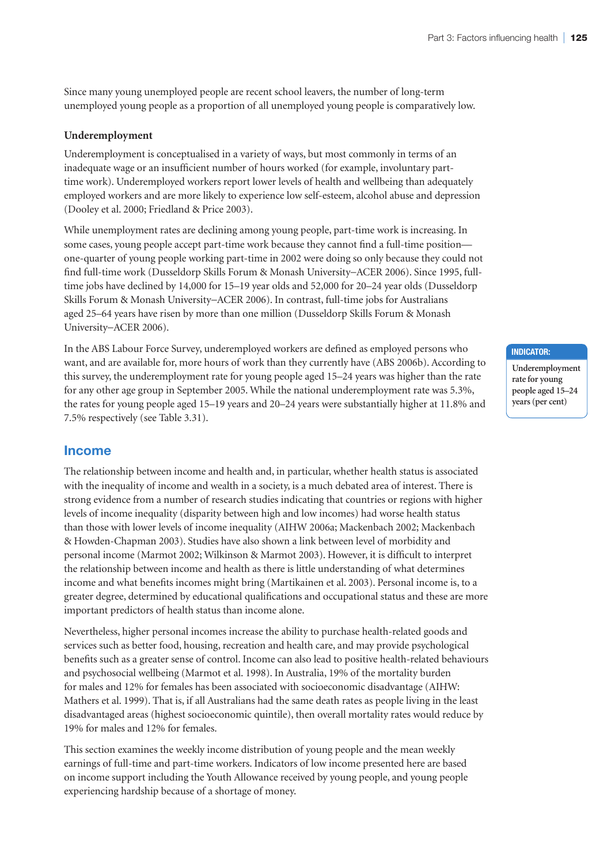Since many young unemployed people are recent school leavers, the number of long-term unemployed young people as a proportion of all unemployed young people is comparatively low.

### **Underemployment**

Underemployment is conceptualised in a variety of ways, but most commonly in terms of an inadequate wage or an insufficient number of hours worked (for example, involuntary parttime work). Underemployed workers report lower levels of health and wellbeing than adequately employed workers and are more likely to experience low self-esteem, alcohol abuse and depression (Dooley et al. 2000; Friedland & Price 2003).

While unemployment rates are declining among young people, part-time work is increasing. In some cases, young people accept part-time work because they cannot find a full-time position one-quarter of young people working part-time in 2002 were doing so only because they could not find full-time work (Dusseldorp Skills Forum & Monash University−ACER 2006). Since 1995, fulltime jobs have declined by 14,000 for 15–19 year olds and 52,000 for 20–24 year olds (Dusseldorp Skills Forum & Monash University−ACER 2006). In contrast, full-time jobs for Australians aged 25–64 years have risen by more than one million (Dusseldorp Skills Forum & Monash University−ACER 2006).

In the ABS Labour Force Survey, underemployed workers are defined as employed persons who want, and are available for, more hours of work than they currently have (ABS 2006b). According to this survey, the underemployment rate for young people aged 15–24 years was higher than the rate for any other age group in September 2005. While the national underemployment rate was 5.3%, the rates for young people aged 15–19 years and 20–24 years were substantially higher at 11.8% and 7.5% respectively (see Table 3.31).

## **Income**

The relationship between income and health and, in particular, whether health status is associated with the inequality of income and wealth in a society, is a much debated area of interest. There is strong evidence from a number of research studies indicating that countries or regions with higher levels of income inequality (disparity between high and low incomes) had worse health status than those with lower levels of income inequality (AIHW 2006a; Mackenbach 2002; Mackenbach & Howden-Chapman 2003). Studies have also shown a link between level of morbidity and personal income (Marmot 2002; Wilkinson & Marmot 2003). However, it is difficult to interpret the relationship between income and health as there is little understanding of what determines income and what benefits incomes might bring (Martikainen et al. 2003). Personal income is, to a greater degree, determined by educational qualifications and occupational status and these are more important predictors of health status than income alone.

Nevertheless, higher personal incomes increase the ability to purchase health-related goods and services such as better food, housing, recreation and health care, and may provide psychological benefits such as a greater sense of control. Income can also lead to positive health-related behaviours and psychosocial wellbeing (Marmot et al. 1998). In Australia, 19% of the mortality burden for males and 12% for females has been associated with socioeconomic disadvantage (AIHW: Mathers et al. 1999). That is, if all Australians had the same death rates as people living in the least disadvantaged areas (highest socioeconomic quintile), then overall mortality rates would reduce by 19% for males and 12% for females.

This section examines the weekly income distribution of young people and the mean weekly earnings of full-time and part-time workers. Indicators of low income presented here are based on income support including the Youth Allowance received by young people, and young people experiencing hardship because of a shortage of money.

#### **Indicator:**

**Underemployment rate for young people aged 15–24 years (per cent)**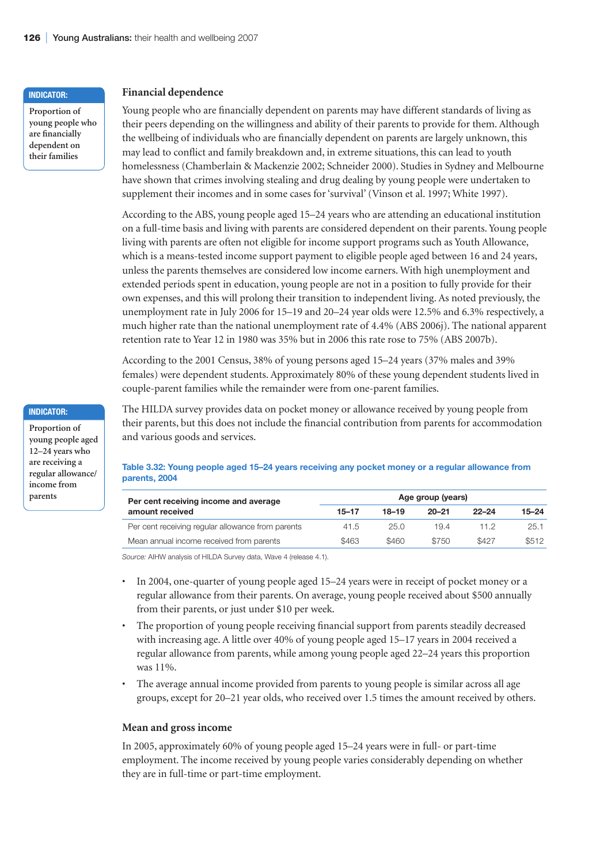#### **Indicator:**

**Indicator: Proportion of young people aged 12–24 years who are receiving a regular allowance/ income from parents**

**Proportion of young people who are financially dependent on their families**

#### **Financial dependence**

Young people who are financially dependent on parents may have different standards of living as their peers depending on the willingness and ability of their parents to provide for them. Although the wellbeing of individuals who are financially dependent on parents are largely unknown, this may lead to conflict and family breakdown and, in extreme situations, this can lead to youth homelessness (Chamberlain & Mackenzie 2002; Schneider 2000). Studies in Sydney and Melbourne have shown that crimes involving stealing and drug dealing by young people were undertaken to supplement their incomes and in some cases for 'survival' (Vinson et al. 1997; White 1997).

According to the ABS, young people aged 15–24 years who are attending an educational institution on a full-time basis and living with parents are considered dependent on their parents. Young people living with parents are often not eligible for income support programs such as Youth Allowance, which is a means-tested income support payment to eligible people aged between 16 and 24 years, unless the parents themselves are considered low income earners. With high unemployment and extended periods spent in education, young people are not in a position to fully provide for their own expenses, and this will prolong their transition to independent living. As noted previously, the unemployment rate in July 2006 for 15–19 and 20–24 year olds were 12.5% and 6.3% respectively, a much higher rate than the national unemployment rate of 4.4% (ABS 2006j). The national apparent retention rate to Year 12 in 1980 was 35% but in 2006 this rate rose to 75% (ABS 2007b).

According to the 2001 Census, 38% of young persons aged 15–24 years (37% males and 39% females) were dependent students. Approximately 80% of these young dependent students lived in couple-parent families while the remainder were from one-parent families.

The HILDA survey provides data on pocket money or allowance received by young people from their parents, but this does not include the financial contribution from parents for accommodation and various goods and services.

**Table 3.32: Young people aged 15–24 years receiving any pocket money or a regular allowance from parents, 2004**

| Per cent receiving income and average             | Age group (years) |           |           |           |       |  |  |
|---------------------------------------------------|-------------------|-----------|-----------|-----------|-------|--|--|
| amount received                                   | $15 - 17$         | $18 - 19$ | $20 - 21$ | $22 - 24$ | 15–24 |  |  |
| Per cent receiving regular allowance from parents | 41.5              | 25.0      | 19.4      | 11.2      | 25.1  |  |  |
| Mean annual income received from parents          | \$463             | \$460     | \$750     | \$427     | \$512 |  |  |

*Source:* AIHW analysis of HILDA Survey data, Wave 4 (release 4.1).

- In 2004, one-quarter of young people aged 15–24 years were in receipt of pocket money or a regular allowance from their parents. On average, young people received about \$500 annually from their parents, or just under \$10 per week.
- The proportion of young people receiving financial support from parents steadily decreased with increasing age. A little over 40% of young people aged 15–17 years in 2004 received a regular allowance from parents, while among young people aged 22–24 years this proportion was 11%.
- The average annual income provided from parents to young people is similar across all age groups, except for 20–21 year olds, who received over 1.5 times the amount received by others.

#### **Mean and gross income**

In 2005, approximately 60% of young people aged 15–24 years were in full- or part-time employment. The income received by young people varies considerably depending on whether they are in full-time or part-time employment.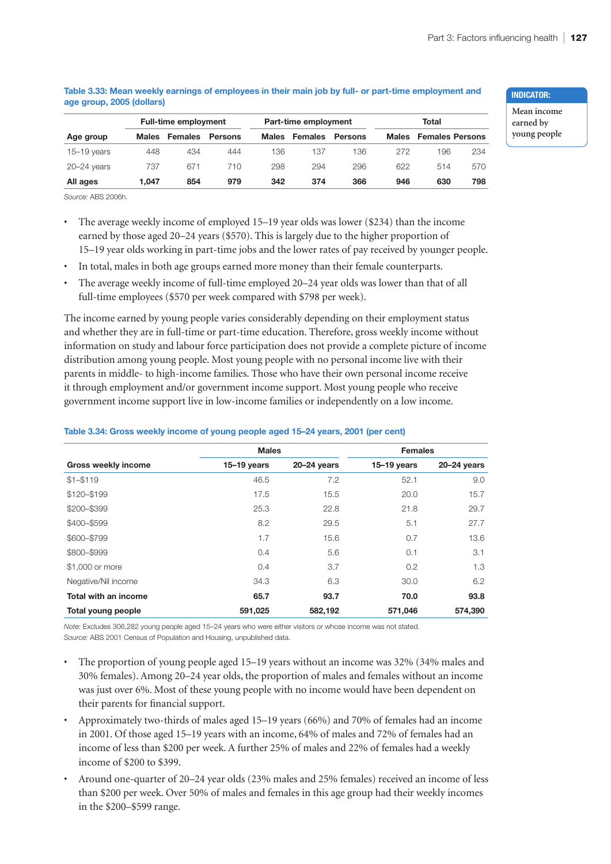| <b>Full-time employment</b> |              | Part-time employment |         |              | Total          |                |              |                        |     |
|-----------------------------|--------------|----------------------|---------|--------------|----------------|----------------|--------------|------------------------|-----|
| Age group                   | <b>Males</b> | <b>Females</b>       | Persons | <b>Males</b> | <b>Females</b> | <b>Persons</b> | <b>Males</b> | <b>Females Persons</b> |     |
| $15 - 19$ years             | 448          | 434                  | 444     | 136          | 137            | 136            | 272          | 196                    | 234 |
| $20 - 24$ years             | 737          | 671                  | 710     | 298          | 294            | 296            | 622          | 514                    | 570 |
| All ages                    | 1.047        | 854                  | 979     | 342          | 374            | 366            | 946          | 630                    | 798 |

### **Table 3.33: Mean weekly earnings of employees in their main job by full- or part-time employment and age group, 2005 (dollars)**

*Source:* ABS 2006h.

- The average weekly income of employed 15–19 year olds was lower (\$234) than the income earned by those aged 20–24 years (\$570). This is largely due to the higher proportion of 15–19 year olds working in part-time jobs and the lower rates of pay received by younger people.
- In total, males in both age groups earned more money than their female counterparts.
- The average weekly income of full-time employed 20–24 year olds was lower than that of all full-time employees (\$570 per week compared with \$798 per week).

The income earned by young people varies considerably depending on their employment status and whether they are in full-time or part-time education. Therefore, gross weekly income without information on study and labour force participation does not provide a complete picture of income distribution among young people. Most young people with no personal income live with their parents in middle- to high-income families. Those who have their own personal income receive it through employment and/or government income support. Most young people who receive government income support live in low-income families or independently on a low income.

|                            | <b>Males</b>  |                 | <b>Females</b> |                 |  |
|----------------------------|---------------|-----------------|----------------|-----------------|--|
| <b>Gross weekly income</b> | $15-19$ years | $20 - 24$ years | $15-19$ years  | $20 - 24$ years |  |
| $$1 - $119$                | 46.5          | 7.2             | 52.1           | 9.0             |  |
| \$120-\$199                | 17.5          | 15.5            | 20.0           | 15.7            |  |
| \$200-\$399                | 25.3          | 22.8            | 21.8           | 29.7            |  |
| \$400-\$599                | 8.2           | 29.5            | 5.1            | 27.7            |  |
| \$600-\$799                | 1.7           | 15.6            | 0.7            | 13.6            |  |
| \$800-\$999                | 0.4           | 5.6             | 0.1            | 3.1             |  |
| \$1,000 or more            | 0.4           | 3.7             | 0.2            | 1.3             |  |
| Negative/Nil income        | 34.3          | 6.3             | 30.0           | 6.2             |  |
| Total with an income       | 65.7          | 93.7            | 70.0           | 93.8            |  |
| Total young people         | 591,025       | 582,192         | 571,046        | 574,390         |  |

### **Table 3.34: Gross weekly income of young people aged 15–24 years, 2001 (per cent)**

*Note:* Excludes 306,282 young people aged 15–24 years who were either visitors or whose income was not stated. *Source:* ABS 2001 Census of Population and Housing, unpublished data.

- The proportion of young people aged 15–19 years without an income was 32% (34% males and 30% females). Among 20–24 year olds, the proportion of males and females without an income was just over 6%. Most of these young people with no income would have been dependent on their parents for financial support.
- Approximately two-thirds of males aged 15–19 years (66%) and 70% of females had an income in 2001. Of those aged 15–19 years with an income, 64% of males and 72% of females had an income of less than \$200 per week. A further 25% of males and 22% of females had a weekly income of \$200 to \$399.
- Around one-quarter of 20–24 year olds (23% males and 25% females) received an income of less than \$200 per week. Over 50% of males and females in this age group had their weekly incomes in the \$200–\$599 range.

#### **Indicator:**

**Mean income earned by young people**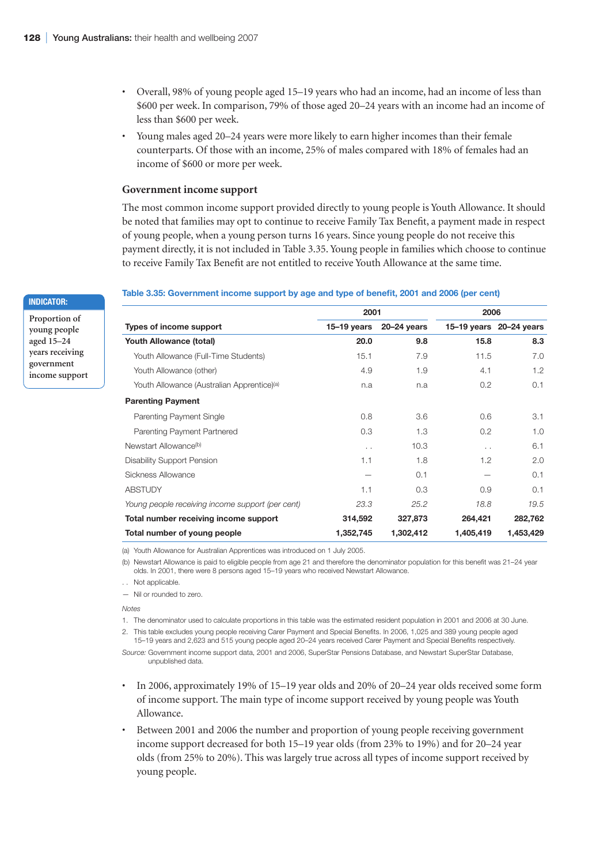- Overall, 98% of young people aged 15–19 years who had an income, had an income of less than \$600 per week. In comparison, 79% of those aged 20–24 years with an income had an income of less than \$600 per week.
- Young males aged 20–24 years were more likely to earn higher incomes than their female counterparts. Of those with an income, 25% of males compared with 18% of females had an income of \$600 or more per week.

### **Government income support**

The most common income support provided directly to young people is Youth Allowance. It should be noted that families may opt to continue to receive Family Tax Benefit, a payment made in respect of young people, when a young person turns 16 years. Since young people do not receive this payment directly, it is not included in Table 3.35. Young people in families which choose to continue to receive Family Tax Benefit are not entitled to receive Youth Allowance at the same time.

#### **Indicator:**

**Proportion of young people aged 15–24 years receiving government income support**

#### **Table 3.35: Government income support by age and type of benefit, 2001 and 2006 (per cent)**

|                                                        | 2001            |                 | 2006            |                         |  |
|--------------------------------------------------------|-----------------|-----------------|-----------------|-------------------------|--|
| Types of income support                                | $15-19$ years   | $20 - 24$ years |                 | 15-19 years 20-24 years |  |
| <b>Youth Allowance (total)</b>                         | 20.0            | 9.8             | 15.8            | 8.3                     |  |
| Youth Allowance (Full-Time Students)                   | 15.1            | 7.9             | 11.5            | 7.0                     |  |
| Youth Allowance (other)                                | 4.9             | 1.9             | 4.1             | 1.2                     |  |
| Youth Allowance (Australian Apprentice) <sup>(a)</sup> | n.a             | n.a             | 0.2             | 0.1                     |  |
| <b>Parenting Payment</b>                               |                 |                 |                 |                         |  |
| Parenting Payment Single                               | 0.8             | 3.6             | 0.6             | 3.1                     |  |
| Parenting Payment Partnered                            | 0.3             | 1.3             | 0.2             | 1.0                     |  |
| Newstart Allowance <sup>(b)</sup>                      | $\cdot$ $\cdot$ | 10.3            | $\cdot$ $\cdot$ | 6.1                     |  |
| Disability Support Pension                             | 1.1             | 1.8             | 1.2             | 2.0                     |  |
| Sickness Allowance                                     |                 | 0.1             |                 | 0.1                     |  |
| <b>ABSTUDY</b>                                         | 1.1             | 0.3             | 0.9             | 0.1                     |  |
| Young people receiving income support (per cent)       | 23.3            | 25.2            | 18.8            | 19.5                    |  |
| Total number receiving income support                  | 314,592         | 327,873         | 264,421         | 282,762                 |  |
| Total number of young people                           | 1,352,745       | 1,302,412       | 1,405,419       | 1,453,429               |  |

(a) Youth Allowance for Australian Apprentices was introduced on 1 July 2005.

(b) Newstart Allowance is paid to eligible people from age 21 and therefore the denominator population for this benefit was 21–24 year olds. In 2001, there were 8 persons aged 15–19 years who received Newstart Allowance.

. . Not applicable.

— Nil or rounded to zero.

*Notes*

1. The denominator used to calculate proportions in this table was the estimated resident population in 2001 and 2006 at 30 June. 2. This table excludes young people receiving Carer Payment and Special Benefits. In 2006, 1,025 and 389 young people aged

15–19 years and 2,623 and 515 young people aged 20–24 years received Carer Payment and Special Benefits respectively.

*Source:* Government income support data, 2001 and 2006, SuperStar Pensions Database, and Newstart SuperStar Database, unpublished data.

- In 2006, approximately 19% of 15–19 year olds and 20% of 20–24 year olds received some form of income support. The main type of income support received by young people was Youth Allowance.
- Between 2001 and 2006 the number and proportion of young people receiving government income support decreased for both 15–19 year olds (from 23% to 19%) and for 20–24 year olds (from 25% to 20%). This was largely true across all types of income support received by young people.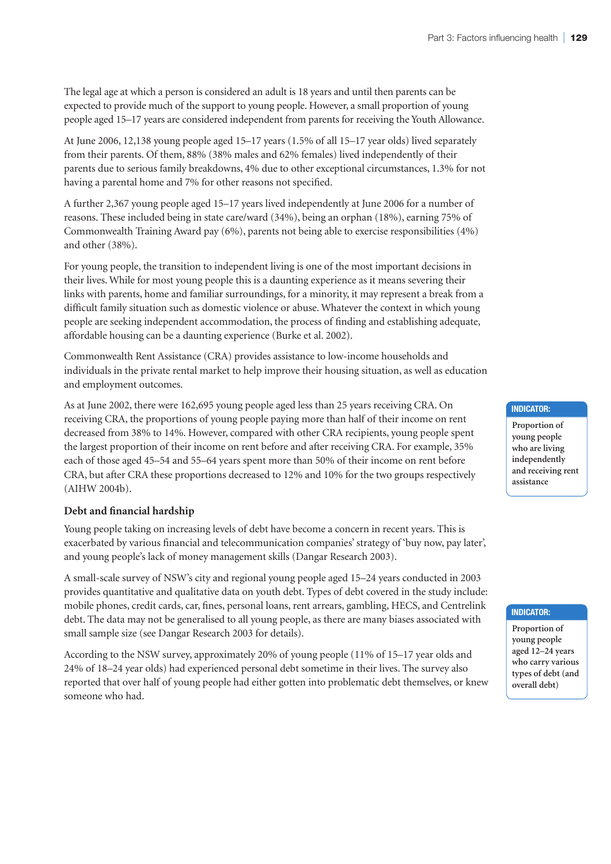The legal age at which a person is considered an adult is 18 years and until then parents can be expected to provide much of the support to young people. However, a small proportion of young people aged 15–17 years are considered independent from parents for receiving the Youth Allowance.

At June 2006, 12,138 young people aged 15–17 years (1.5% of all 15–17 year olds) lived separately from their parents. Of them, 88% (38% males and 62% females) lived independently of their parents due to serious family breakdowns, 4% due to other exceptional circumstances, 1.3% for not having a parental home and 7% for other reasons not specified.

A further 2,367 young people aged 15–17 years lived independently at June 2006 for a number of reasons. These included being in state care/ward (34%), being an orphan (18%), earning 75% of Commonwealth Training Award pay (6%), parents not being able to exercise responsibilities (4%) and other (38%).

For young people, the transition to independent living is one of the most important decisions in their lives. While for most young people this is a daunting experience as it means severing their links with parents, home and familiar surroundings, for a minority, it may represent a break from a difficult family situation such as domestic violence or abuse. Whatever the context in which young people are seeking independent accommodation, the process of finding and establishing adequate, affordable housing can be a daunting experience (Burke et al. 2002).

Commonwealth Rent Assistance (CRA) provides assistance to low-income households and individuals in the private rental market to help improve their housing situation, as well as education and employment outcomes.

As at June 2002, there were 162,695 young people aged less than 25 years receiving CRA. On receiving CRA, the proportions of young people paying more than half of their income on rent decreased from 38% to 14%. However, compared with other CRA recipients, young people spent the largest proportion of their income on rent before and after receiving CRA. For example, 35% each of those aged 45–54 and 55–64 years spent more than 50% of their income on rent before CRA, but after CRA these proportions decreased to 12% and 10% for the two groups respectively (AIHW 2004b).

### **Debt and financial hardship**

Young people taking on increasing levels of debt have become a concern in recent years. This is exacerbated by various financial and telecommunication companies' strategy of 'buy now, pay later', and young people's lack of money management skills (Dangar Research 2003).

A small-scale survey of NSW's city and regional young people aged 15–24 years conducted in 2003 provides quantitative and qualitative data on youth debt. Types of debt covered in the study include: mobile phones, credit cards, car, fines, personal loans, rent arrears, gambling, HECS, and Centrelink debt. The data may not be generalised to all young people, as there are many biases associated with small sample size (see Dangar Research 2003 for details).

According to the NSW survey, approximately 20% of young people (11% of 15–17 year olds and 24% of 18–24 year olds) had experienced personal debt sometime in their lives. The survey also reported that over half of young people had either gotten into problematic debt themselves, or knew someone who had.

#### **Indicator:**

**Proportion of young people who are living independently and receiving rent assistance**

#### **Indicator:**

**Proportion of young people aged 12–24 years who carry various types of debt (and overall debt)**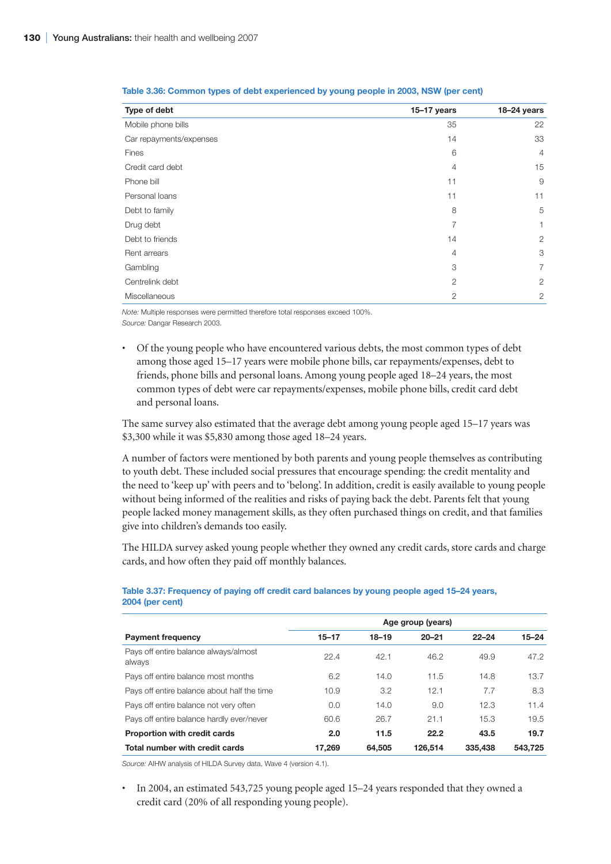| Type of debt            | $15-17$ years  | 18-24 years    |
|-------------------------|----------------|----------------|
| Mobile phone bills      | 35             | 22             |
| Car repayments/expenses | 14             | 33             |
| Fines                   | 6              | $\overline{4}$ |
| Credit card debt        | $\overline{4}$ | 15             |
| Phone bill              | 11             | 9              |
| Personal loans          | 11             | 11             |
| Debt to family          | 8              | 5              |
| Drug debt               | 7              | 1              |
| Debt to friends         | 14             | $\overline{2}$ |
| Rent arrears            | $\overline{4}$ | 3              |
| Gambling                | 3              | $\overline{7}$ |
| Centrelink debt         | $\overline{2}$ | $\overline{2}$ |
| Miscellaneous           | $\mathbf{2}$   | $\overline{2}$ |

| Table 3.36: Common types of debt experienced by young people in 2003, NSW (per cent) |  |  |  |  |  |  |  |
|--------------------------------------------------------------------------------------|--|--|--|--|--|--|--|
|--------------------------------------------------------------------------------------|--|--|--|--|--|--|--|

*Note:* Multiple responses were permitted therefore total responses exceed 100%. *Source:* Dangar Research 2003.

• Of the young people who have encountered various debts, the most common types of debt among those aged 15–17 years were mobile phone bills, car repayments/expenses, debt to friends, phone bills and personal loans. Among young people aged 18–24 years, the most common types of debt were car repayments/expenses, mobile phone bills, credit card debt and personal loans.

The same survey also estimated that the average debt among young people aged 15–17 years was \$3,300 while it was \$5,830 among those aged 18–24 years.

A number of factors were mentioned by both parents and young people themselves as contributing to youth debt. These included social pressures that encourage spending: the credit mentality and the need to 'keep up' with peers and to 'belong'. In addition, credit is easily available to young people without being informed of the realities and risks of paying back the debt. Parents felt that young people lacked money management skills, as they often purchased things on credit, and that families give into children's demands too easily.

The HILDA survey asked young people whether they owned any credit cards, store cards and charge cards, and how often they paid off monthly balances.

|                                                 | Age group (years) |           |           |           |           |  |
|-------------------------------------------------|-------------------|-----------|-----------|-----------|-----------|--|
| <b>Payment frequency</b>                        | $15 - 17$         | $18 - 19$ | $20 - 21$ | $22 - 24$ | $15 - 24$ |  |
| Pays off entire balance always/almost<br>always | 22.4              | 42.1      | 46.2      | 49.9      | 47.2      |  |
| Pays off entire balance most months             | 6.2               | 14.0      | 11.5      | 14.8      | 13.7      |  |
| Pays off entire balance about half the time     | 10.9              | 3.2       | 12.1      | 7.7       | 8.3       |  |
| Pays off entire balance not very often          | 0.0               | 14.0      | 9.0       | 12.3      | 11.4      |  |
| Pays off entire balance hardly ever/never       | 60.6              | 26.7      | 21.1      | 15.3      | 19.5      |  |
| <b>Proportion with credit cards</b>             | 2.0               | 11.5      | 22.2      | 43.5      | 19.7      |  |
| Total number with credit cards                  | 17.269            | 64.505    | 126.514   | 335,438   | 543.725   |  |

#### **Table 3.37: Frequency of paying off credit card balances by young people aged 15–24 years, 2004 (per cent)**

*Source:* AIHW analysis of HILDA Survey data, Wave 4 (version 4.1).

• In 2004, an estimated 543,725 young people aged 15–24 years responded that they owned a credit card (20% of all responding young people).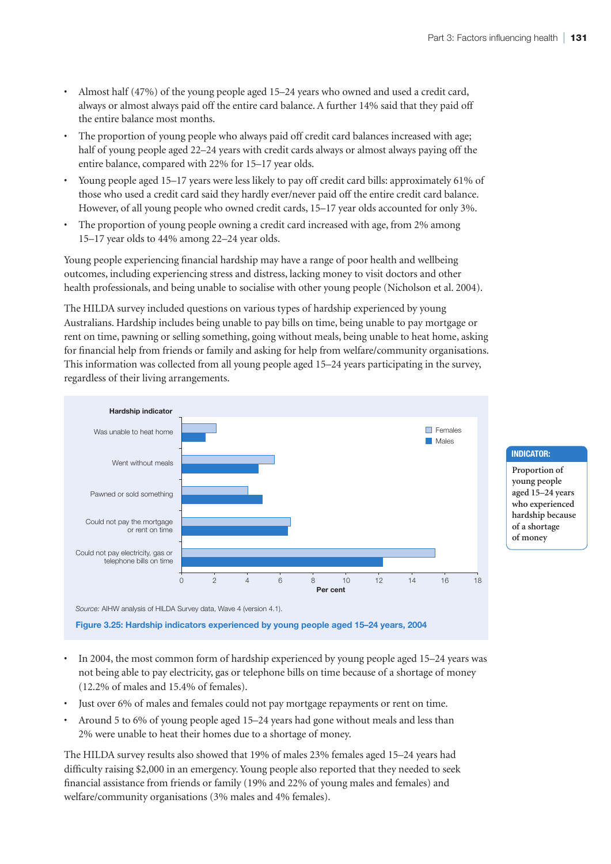- Almost half (47%) of the young people aged 15–24 years who owned and used a credit card, always or almost always paid off the entire card balance. A further 14% said that they paid off the entire balance most months.
- The proportion of young people who always paid off credit card balances increased with age; half of young people aged 22–24 years with credit cards always or almost always paying off the entire balance, compared with 22% for 15–17 year olds.
- Young people aged 15–17 years were less likely to pay off credit card bills: approximately 61% of those who used a credit card said they hardly ever/never paid off the entire credit card balance. However, of all young people who owned credit cards, 15–17 year olds accounted for only 3%.
- The proportion of young people owning a credit card increased with age, from 2% among 15–17 year olds to 44% among 22–24 year olds.

Young people experiencing financial hardship may have a range of poor health and wellbeing outcomes, including experiencing stress and distress, lacking money to visit doctors and other health professionals, and being unable to socialise with other young people (Nicholson et al. 2004).

The HILDA survey included questions on various types of hardship experienced by young Australians. Hardship includes being unable to pay bills on time, being unable to pay mortgage or rent on time, pawning or selling something, going without meals, being unable to heat home, asking for financial help from friends or family and asking for help from welfare/community organisations. This information was collected from all young people aged 15–24 years participating in the survey, regardless of their living arrangements.



## **Indicator: Proportion of**

**young people aged 15–24 years who experienced hardship because of a shortage of money**

• In 2004, the most common form of hardship experienced by young people aged 15–24 years was not being able to pay electricity, gas or telephone bills on time because of a shortage of money (12.2% of males and 15.4% of females).

- Just over 6% of males and females could not pay mortgage repayments or rent on time.
- Around 5 to 6% of young people aged 15–24 years had gone without meals and less than 2% were unable to heat their homes due to a shortage of money.

The HILDA survey results also showed that 19% of males 23% females aged 15–24 years had difficulty raising \$2,000 in an emergency. Young people also reported that they needed to seek financial assistance from friends or family (19% and 22% of young males and females) and welfare/community organisations (3% males and 4% females).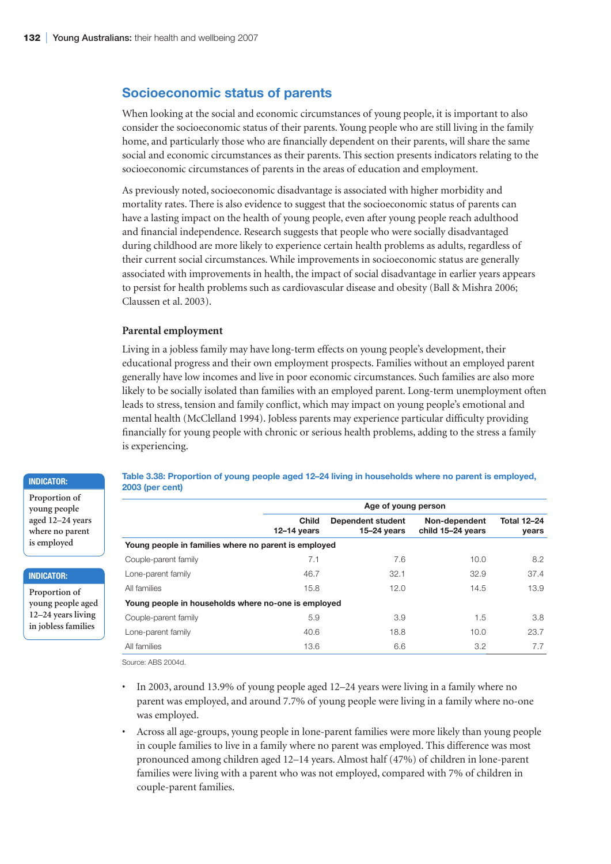## **Socioeconomic status of parents**

When looking at the social and economic circumstances of young people, it is important to also consider the socioeconomic status of their parents. Young people who are still living in the family home, and particularly those who are financially dependent on their parents, will share the same social and economic circumstances as their parents. This section presents indicators relating to the socioeconomic circumstances of parents in the areas of education and employment.

As previously noted, socioeconomic disadvantage is associated with higher morbidity and mortality rates. There is also evidence to suggest that the socioeconomic status of parents can have a lasting impact on the health of young people, even after young people reach adulthood and financial independence. Research suggests that people who were socially disadvantaged during childhood are more likely to experience certain health problems as adults, regardless of their current social circumstances. While improvements in socioeconomic status are generally associated with improvements in health, the impact of social disadvantage in earlier years appears to persist for health problems such as cardiovascular disease and obesity (Ball & Mishra 2006; Claussen et al. 2003).

#### **Parental employment**

Living in a jobless family may have long-term effects on young people's development, their educational progress and their own employment prospects. Families without an employed parent generally have low incomes and live in poor economic circumstances. Such families are also more likely to be socially isolated than families with an employed parent. Long-term unemployment often leads to stress, tension and family conflict, which may impact on young people's emotional and mental health (McClelland 1994). Jobless parents may experience particular difficulty providing financially for young people with chronic or serious health problems, adding to the stress a family is experiencing.

#### **Indicator:**

**Proportion of young people aged 12–24 years where no parent is employed**

#### **Indicator:**

**Proportion of young people aged 12–24 years living in jobless families**

#### **Table 3.38: Proportion of young people aged 12–24 living in households where no parent is employed, 2003 (per cent)**

|                                                      | Age of young person             |                                             |                                    |                             |  |  |  |
|------------------------------------------------------|---------------------------------|---------------------------------------------|------------------------------------|-----------------------------|--|--|--|
|                                                      | <b>Child</b><br>$12 - 14$ years | <b>Dependent student</b><br>$15 - 24$ years | Non-dependent<br>child 15-24 years | <b>Total 12-24</b><br>years |  |  |  |
| Young people in families where no parent is employed |                                 |                                             |                                    |                             |  |  |  |
| Couple-parent family                                 | 7.1                             | 7.6                                         | 10.0                               | 8.2                         |  |  |  |
| Lone-parent family                                   | 46.7                            | 32.1                                        | 32.9                               | 37.4                        |  |  |  |
| All families                                         | 15.8                            | 12.0                                        | 14.5                               | 13.9                        |  |  |  |
| Young people in households where no-one is employed  |                                 |                                             |                                    |                             |  |  |  |
| Couple-parent family                                 | 5.9                             | 3.9                                         | 1.5                                | 3.8                         |  |  |  |
| Lone-parent family                                   | 40.6                            | 18.8                                        | 10.0                               | 23.7                        |  |  |  |
| All families                                         | 13.6                            | 6.6                                         | 3.2                                | 7.7                         |  |  |  |

Source: ABS 2004d.

- In 2003, around 13.9% of young people aged 12–24 years were living in a family where no parent was employed, and around 7.7% of young people were living in a family where no-one was employed.
- Across all age-groups, young people in lone-parent families were more likely than young people in couple families to live in a family where no parent was employed. This difference was most pronounced among children aged 12–14 years. Almost half (47%) of children in lone-parent families were living with a parent who was not employed, compared with 7% of children in couple-parent families.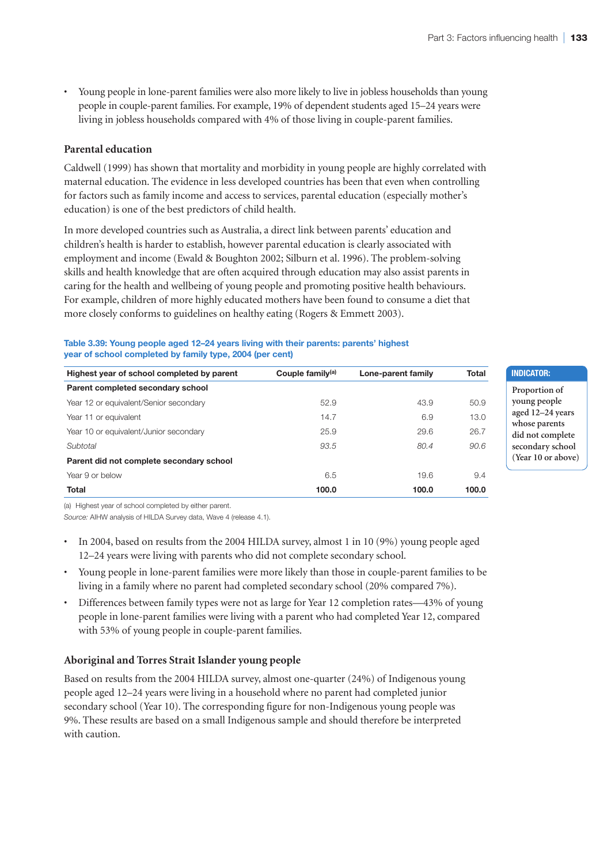• Young people in lone-parent families were also more likely to live in jobless households than young people in couple-parent families. For example, 19% of dependent students aged 15–24 years were living in jobless households compared with 4% of those living in couple-parent families.

### **Parental education**

Caldwell (1999) has shown that mortality and morbidity in young people are highly correlated with maternal education. The evidence in less developed countries has been that even when controlling for factors such as family income and access to services, parental education (especially mother's education) is one of the best predictors of child health.

In more developed countries such as Australia, a direct link between parents' education and children's health is harder to establish, however parental education is clearly associated with employment and income (Ewald & Boughton 2002; Silburn et al. 1996). The problem-solving skills and health knowledge that are often acquired through education may also assist parents in caring for the health and wellbeing of young people and promoting positive health behaviours. For example, children of more highly educated mothers have been found to consume a diet that more closely conforms to guidelines on healthy eating (Rogers & Emmett 2003).

#### **Table 3.39: Young people aged 12–24 years living with their parents: parents' highest year of school completed by family type, 2004 (per cent)**

| Highest year of school completed by parent | Couple family <sup>(a)</sup> | Lone-parent family | <b>Total</b> |
|--------------------------------------------|------------------------------|--------------------|--------------|
| Parent completed secondary school          |                              |                    |              |
| Year 12 or equivalent/Senior secondary     | 52.9                         | 43.9               | 50.9         |
| Year 11 or equivalent                      | 14.7                         | 6.9                | 13.0         |
| Year 10 or equivalent/Junior secondary     | 25.9                         | 29.6               | 26.7         |
| Subtotal                                   | 93.5                         | 80.4               | 90.6         |
| Parent did not complete secondary school   |                              |                    |              |
| Year 9 or below                            | 6.5                          | 19.6               | 9.4          |
| <b>Total</b>                               | 100.0                        | 100.0              | 100.0        |

(a) Highest year of school completed by either parent.

*Source:* AIHW analysis of HILDA Survey data, Wave 4 (release 4.1).

- In 2004, based on results from the 2004 HILDA survey, almost 1 in 10 (9%) young people aged 12–24 years were living with parents who did not complete secondary school.
- Young people in lone-parent families were more likely than those in couple-parent families to be living in a family where no parent had completed secondary school (20% compared 7%).
- Differences between family types were not as large for Year 12 completion rates—43% of young people in lone-parent families were living with a parent who had completed Year 12, compared with 53% of young people in couple-parent families.

### **Aboriginal and Torres Strait Islander young people**

Based on results from the 2004 HILDA survey, almost one-quarter (24%) of Indigenous young people aged 12–24 years were living in a household where no parent had completed junior secondary school (Year 10). The corresponding figure for non-Indigenous young people was 9%. These results are based on a small Indigenous sample and should therefore be interpreted with caution.

#### **Indicator:**

**Proportion of young people aged 12–24 years whose parents did not complete secondary school (Year 10 or above)**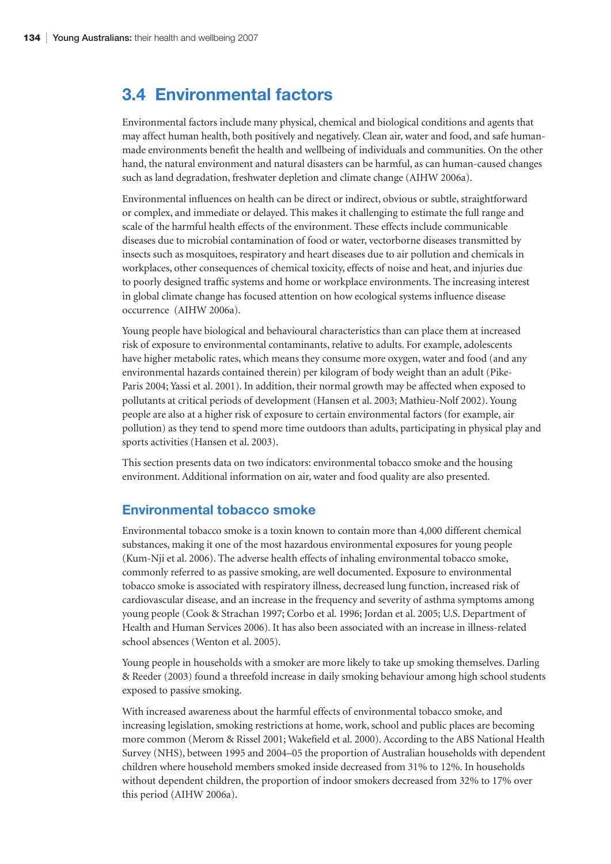# **3.4 Environmental factors**

Environmental factors include many physical, chemical and biological conditions and agents that may affect human health, both positively and negatively. Clean air, water and food, and safe humanmade environments benefit the health and wellbeing of individuals and communities. On the other hand, the natural environment and natural disasters can be harmful, as can human-caused changes such as land degradation, freshwater depletion and climate change (AIHW 2006a).

Environmental influences on health can be direct or indirect, obvious or subtle, straightforward or complex, and immediate or delayed. This makes it challenging to estimate the full range and scale of the harmful health effects of the environment. These effects include communicable diseases due to microbial contamination of food or water, vectorborne diseases transmitted by insects such as mosquitoes, respiratory and heart diseases due to air pollution and chemicals in workplaces, other consequences of chemical toxicity, effects of noise and heat, and injuries due to poorly designed traffic systems and home or workplace environments. The increasing interest in global climate change has focused attention on how ecological systems influence disease occurrence (AIHW 2006a).

Young people have biological and behavioural characteristics than can place them at increased risk of exposure to environmental contaminants, relative to adults. For example, adolescents have higher metabolic rates, which means they consume more oxygen, water and food (and any environmental hazards contained therein) per kilogram of body weight than an adult (Pike-Paris 2004; Yassi et al. 2001). In addition, their normal growth may be affected when exposed to pollutants at critical periods of development (Hansen et al. 2003; Mathieu-Nolf 2002). Young people are also at a higher risk of exposure to certain environmental factors (for example, air pollution) as they tend to spend more time outdoors than adults, participating in physical play and sports activities (Hansen et al. 2003).

This section presents data on two indicators: environmental tobacco smoke and the housing environment. Additional information on air, water and food quality are also presented.

## **Environmental tobacco smoke**

Environmental tobacco smoke is a toxin known to contain more than 4,000 different chemical substances, making it one of the most hazardous environmental exposures for young people (Kum-Nji et al. 2006). The adverse health effects of inhaling environmental tobacco smoke, commonly referred to as passive smoking, are well documented. Exposure to environmental tobacco smoke is associated with respiratory illness, decreased lung function, increased risk of cardiovascular disease, and an increase in the frequency and severity of asthma symptoms among young people (Cook & Strachan 1997; Corbo et al. 1996; Jordan et al. 2005; U.S. Department of Health and Human Services 2006). It has also been associated with an increase in illness-related school absences (Wenton et al. 2005).

Young people in households with a smoker are more likely to take up smoking themselves. Darling & Reeder (2003) found a threefold increase in daily smoking behaviour among high school students exposed to passive smoking.

With increased awareness about the harmful effects of environmental tobacco smoke, and increasing legislation, smoking restrictions at home, work, school and public places are becoming more common (Merom & Rissel 2001; Wakefield et al. 2000). According to the ABS National Health Survey (NHS), between 1995 and 2004–05 the proportion of Australian households with dependent children where household members smoked inside decreased from 31% to 12%. In households without dependent children, the proportion of indoor smokers decreased from 32% to 17% over this period (AIHW 2006a).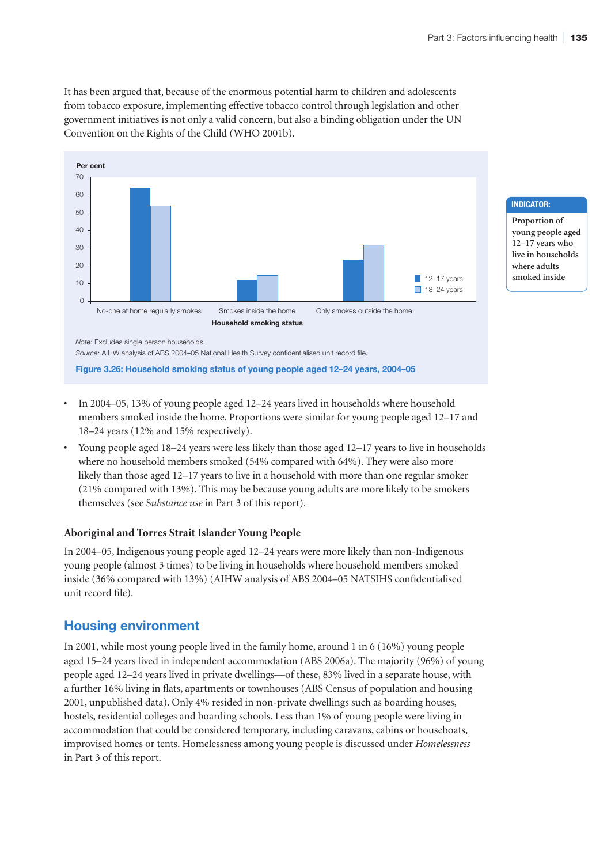It has been argued that, because of the enormous potential harm to children and adolescents from tobacco exposure, implementing effective tobacco control through legislation and other government initiatives is not only a valid concern, but also a binding obligation under the UN Convention on the Rights of the Child (WHO 2001b).



**Indicator: Proportion of** 

**young people aged 12–17 years who live in households where adults smoked inside**

*Note:* Excludes single person households.

*Source:* AIHW analysis of ABS 2004–05 National Health Survey confidentialised unit record file.

**Figure 3.26: Household smoking status of young people aged 12–24 years, 2004–05**

- In 2004–05, 13% of young people aged 12–24 years lived in households where household members smoked inside the home. Proportions were similar for young people aged 12–17 and 18–24 years (12% and 15% respectively).
- Young people aged 18–24 years were less likely than those aged 12–17 years to live in households where no household members smoked (54% compared with 64%). They were also more likely than those aged 12–17 years to live in a household with more than one regular smoker (21% compared with 13%). This may be because young adults are more likely to be smokers themselves (see S*ubstance use* in Part 3 of this report).

### **Aboriginal and Torres Strait Islander Young People**

In 2004–05, Indigenous young people aged 12–24 years were more likely than non-Indigenous young people (almost 3 times) to be living in households where household members smoked inside (36% compared with 13%) (AIHW analysis of ABS 2004–05 NATSIHS confidentialised unit record file).

## **Housing environment**

In 2001, while most young people lived in the family home, around 1 in 6 (16%) young people aged 15–24 years lived in independent accommodation (ABS 2006a). The majority (96%) of young people aged 12–24 years lived in private dwellings—of these, 83% lived in a separate house, with a further 16% living in flats, apartments or townhouses (ABS Census of population and housing 2001, unpublished data). Only 4% resided in non-private dwellings such as boarding houses, hostels, residential colleges and boarding schools. Less than 1% of young people were living in accommodation that could be considered temporary, including caravans, cabins or houseboats, improvised homes or tents. Homelessness among young people is discussed under *Homelessness* in Part 3 of this report.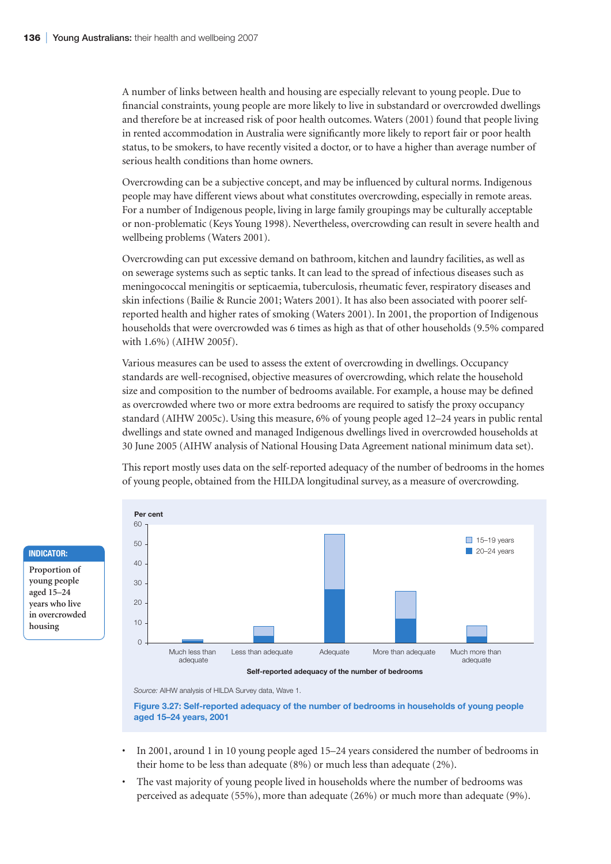A number of links between health and housing are especially relevant to young people. Due to financial constraints, young people are more likely to live in substandard or overcrowded dwellings and therefore be at increased risk of poor health outcomes. Waters (2001) found that people living in rented accommodation in Australia were significantly more likely to report fair or poor health status, to be smokers, to have recently visited a doctor, or to have a higher than average number of serious health conditions than home owners.

Overcrowding can be a subjective concept, and may be influenced by cultural norms. Indigenous people may have different views about what constitutes overcrowding, especially in remote areas. For a number of Indigenous people, living in large family groupings may be culturally acceptable or non-problematic (Keys Young 1998). Nevertheless, overcrowding can result in severe health and wellbeing problems (Waters 2001).

Overcrowding can put excessive demand on bathroom, kitchen and laundry facilities, as well as on sewerage systems such as septic tanks. It can lead to the spread of infectious diseases such as meningococcal meningitis or septicaemia, tuberculosis, rheumatic fever, respiratory diseases and skin infections (Bailie & Runcie 2001; Waters 2001). It has also been associated with poorer selfreported health and higher rates of smoking (Waters 2001). In 2001, the proportion of Indigenous households that were overcrowded was 6 times as high as that of other households (9.5% compared with 1.6%) (AIHW 2005f).

Various measures can be used to assess the extent of overcrowding in dwellings. Occupancy standards are well-recognised, objective measures of overcrowding, which relate the household size and composition to the number of bedrooms available. For example, a house may be defined as overcrowded where two or more extra bedrooms are required to satisfy the proxy occupancy standard (AIHW 2005c). Using this measure, 6% of young people aged 12–24 years in public rental dwellings and state owned and managed Indigenous dwellings lived in overcrowded households at 30 June 2005 (AIHW analysis of National Housing Data Agreement national minimum data set).

This report mostly uses data on the self-reported adequacy of the number of bedrooms in the homes of young people, obtained from the HILDA longitudinal survey, as a measure of overcrowding.



#### **Indicator:**

**Proportion of young people aged 15–24 years who live in overcrowded housing**

**Figure 3.27: Self-reported adequacy of the number of bedrooms in households of young people aged 15–24 years, 2001**

- In 2001, around 1 in 10 young people aged 15–24 years considered the number of bedrooms in their home to be less than adequate (8%) or much less than adequate (2%).
- The vast majority of young people lived in households where the number of bedrooms was perceived as adequate (55%), more than adequate (26%) or much more than adequate (9%).

*Source:* AIHW analysis of HILDA Survey data, Wave 1.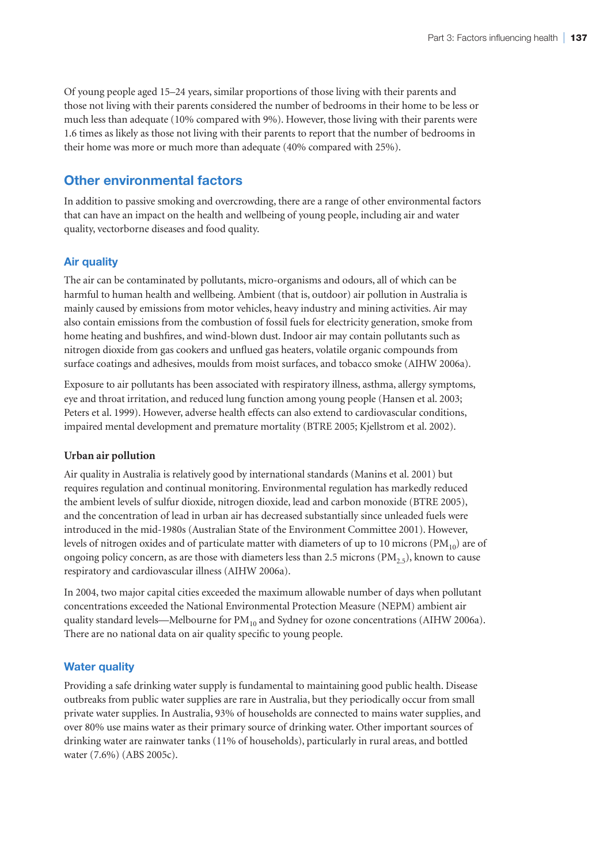Of young people aged 15–24 years, similar proportions of those living with their parents and those not living with their parents considered the number of bedrooms in their home to be less or much less than adequate (10% compared with 9%). However, those living with their parents were 1.6 times as likely as those not living with their parents to report that the number of bedrooms in their home was more or much more than adequate (40% compared with 25%).

## **Other environmental factors**

In addition to passive smoking and overcrowding, there are a range of other environmental factors that can have an impact on the health and wellbeing of young people, including air and water quality, vectorborne diseases and food quality.

## **Air quality**

The air can be contaminated by pollutants, micro-organisms and odours, all of which can be harmful to human health and wellbeing. Ambient (that is, outdoor) air pollution in Australia is mainly caused by emissions from motor vehicles, heavy industry and mining activities. Air may also contain emissions from the combustion of fossil fuels for electricity generation, smoke from home heating and bushfires, and wind-blown dust. Indoor air may contain pollutants such as nitrogen dioxide from gas cookers and unflued gas heaters, volatile organic compounds from surface coatings and adhesives, moulds from moist surfaces, and tobacco smoke (AIHW 2006a).

Exposure to air pollutants has been associated with respiratory illness, asthma, allergy symptoms, eye and throat irritation, and reduced lung function among young people (Hansen et al. 2003; Peters et al. 1999). However, adverse health effects can also extend to cardiovascular conditions, impaired mental development and premature mortality (BTRE 2005; Kjellstrom et al. 2002).

### **Urban air pollution**

Air quality in Australia is relatively good by international standards (Manins et al. 2001) but requires regulation and continual monitoring. Environmental regulation has markedly reduced the ambient levels of sulfur dioxide, nitrogen dioxide, lead and carbon monoxide (BTRE 2005), and the concentration of lead in urban air has decreased substantially since unleaded fuels were introduced in the mid-1980s (Australian State of the Environment Committee 2001). However, levels of nitrogen oxides and of particulate matter with diameters of up to 10 microns ( $PM_{10}$ ) are of ongoing policy concern, as are those with diameters less than 2.5 microns ( $PM<sub>2.5</sub>$ ), known to cause respiratory and cardiovascular illness (AIHW 2006a).

In 2004, two major capital cities exceeded the maximum allowable number of days when pollutant concentrations exceeded the National Environmental Protection Measure (NEPM) ambient air quality standard levels—Melbourne for PM<sub>10</sub> and Sydney for ozone concentrations (AIHW 2006a). There are no national data on air quality specific to young people.

### **Water quality**

Providing a safe drinking water supply is fundamental to maintaining good public health. Disease outbreaks from public water supplies are rare in Australia, but they periodically occur from small private water supplies. In Australia, 93% of households are connected to mains water supplies, and over 80% use mains water as their primary source of drinking water. Other important sources of drinking water are rainwater tanks (11% of households), particularly in rural areas, and bottled water (7.6%) (ABS 2005c).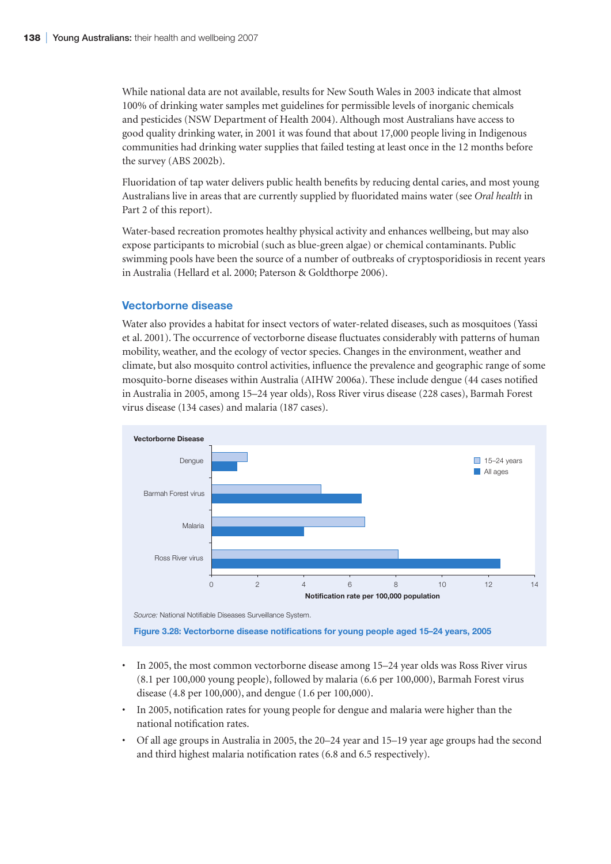While national data are not available, results for New South Wales in 2003 indicate that almost 100% of drinking water samples met guidelines for permissible levels of inorganic chemicals and pesticides (NSW Department of Health 2004). Although most Australians have access to good quality drinking water, in 2001 it was found that about 17,000 people living in Indigenous communities had drinking water supplies that failed testing at least once in the 12 months before the survey (ABS 2002b).

Fluoridation of tap water delivers public health benefits by reducing dental caries, and most young Australians live in areas that are currently supplied by fluoridated mains water (see *Oral health* in Part 2 of this report).

Water-based recreation promotes healthy physical activity and enhances wellbeing, but may also expose participants to microbial (such as blue-green algae) or chemical contaminants. Public swimming pools have been the source of a number of outbreaks of cryptosporidiosis in recent years in Australia (Hellard et al. 2000; Paterson & Goldthorpe 2006).

## **Vectorborne disease**

Water also provides a habitat for insect vectors of water-related diseases, such as mosquitoes (Yassi et al. 2001). The occurrence of vectorborne disease fluctuates considerably with patterns of human mobility, weather, and the ecology of vector species. Changes in the environment, weather and climate, but also mosquito control activities, influence the prevalence and geographic range of some mosquito-borne diseases within Australia (AIHW 2006a). These include dengue (44 cases notified in Australia in 2005, among 15–24 year olds), Ross River virus disease (228 cases), Barmah Forest virus disease (134 cases) and malaria (187 cases).



- In 2005, the most common vectorborne disease among 15–24 year olds was Ross River virus (8.1 per 100,000 young people), followed by malaria (6.6 per 100,000), Barmah Forest virus disease (4.8 per 100,000), and dengue (1.6 per 100,000).
- In 2005, notification rates for young people for dengue and malaria were higher than the national notification rates.
- Of all age groups in Australia in 2005, the 20–24 year and 15–19 year age groups had the second and third highest malaria notification rates (6.8 and 6.5 respectively).